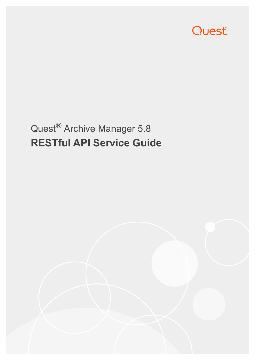

# Quest® Archive Manager 5.8 **RESTful API Service Guide**

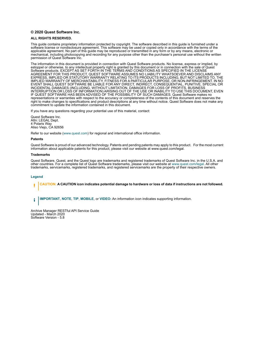#### **© 2020 Quest Software Inc.**

#### **ALL RIGHTS RESERVED.**

This guide contains proprietary information protected by copyright. The software described in this guide is furnished under a software license or nondisclosure agreement. This software may be used or copied only in accordance with the terms of the applicable agreement. No part of this guide may be reproduced or transmitted in any form or by any means, electronic or mechanical, including photocopying and recording for any purpose other than the purchaser's personal use without the written permission of Quest Software Inc.

The information in this document is provided in connection with Quest Software products. No license, express or implied, by estoppel or otherwise, to any intellectual property right is granted by this document or in connection with the sale of Quest<br>Software products. EXCEPT AS SET FORTH IN THE TERMS AND CONDITIONS AS SPECIFIED IN THE LICENSE<br>A EXPRESS, IMPLIED OR STATUTORY WARRANTY RELATING TO ITS PRODUCTS INCLUDING, BUT NOT LIMITED TO, THE IMPLIED WARRANTY OF MERCHANTABILITY, FITNESS FOR A PARTICULAR PURPOSE, OR NON-INFRINGEMENT. IN NO EVENT SHALL QUEST SOFTWARE BE LIABLE FOR ANY DIRECT, INDIRECT, CONSEQUENTIAL, PUNITIVE, SPECIAL OR INCIDENTAL DAMAGES (INCLUDING, WITHOUT LIMITATION, DAMAGES FOR LOSS OF PROFITS, BUSINESS<br>INTERRUPTION OR LOSS OF INFORMATION) ARISING OUT OF THE USE OR INABILITY TO USE THIS DOCUMENT, EVEN IF QUEST SOFTWARE HAS BEEN ADVISED OF THE POSSIBILITY OF SUCH DAMAGES. Quest Software makes no representations or warranties with respect to the accuracy or completeness of the contents of this document and reserves the right to make changes to specifications and product descriptions at any time without notice. Quest Software does not make any commitment to update the information contained in this document.

If you have any questions regarding your potential use of this material, contact:

Quest Software Inc. Attn: LEGAL Dept. 4 Polaris Way Aliso Viejo, CA 92656

Refer to our website [\(www.quest.com](http://www.quest.com)) for regional and international office information.

#### **Patents**

Quest Software is proud of our advanced technology. Patents and pending patents may apply to this product. For the most current information about applicable patents for this product, please visit our website at www.quest.com/legal.

#### **Trademarks**

Quest Software, Quest, and the Quest logo are trademarks and registered trademarks of Quest Software Inc. in the U.S.A. and other countries. For a complete list of Quest Software trademarks, please visit our website at [www.quest.com/legal](http://www.quest.com/legal). All other trademarks, servicemarks, registered trademarks, and registered servicemarks are the property of their respective owners.

#### **Legend**

**CAUTION: A CAUTION icon indicates potential damage to hardware or loss of data if instructions are not followed.** ţ

**IMPORTANT**, **NOTE**, **TIP**, **MOBILE**, or **VIDEO:** An information icon indicates supporting information.i

Archive Manager RESTful API Service Guide Updated - March 2020 Software Version - 5.8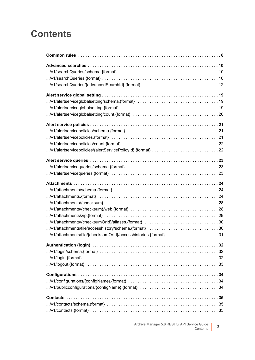#### **Contents**

| /v1/alertservicequeries/schema.{format} $\dots\dots\dots\dots\dots\dots\dots\dots\dots\dots\dots\dots\dots\dots$ |
|------------------------------------------------------------------------------------------------------------------|
| /v1/attachments/file/{checksumOrld}/accesshistories.{format} 31                                                  |
|                                                                                                                  |
|                                                                                                                  |
|                                                                                                                  |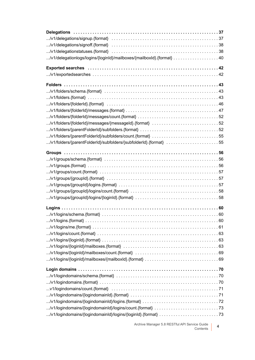| /v1/delegationlogs/logins/{loginId}/mailboxes/{mailboxId}.{format} 40                                             |  |
|-------------------------------------------------------------------------------------------------------------------|--|
|                                                                                                                   |  |
|                                                                                                                   |  |
|                                                                                                                   |  |
|                                                                                                                   |  |
|                                                                                                                   |  |
|                                                                                                                   |  |
|                                                                                                                   |  |
|                                                                                                                   |  |
|                                                                                                                   |  |
|                                                                                                                   |  |
| /v1/folders/{folderId}/messages/{messageId}.{format} 52                                                           |  |
|                                                                                                                   |  |
| /v1/folders/{parentFolderId}/subfolders/count.{format} 55                                                         |  |
| /v1/folders/{parentFolderId}/subfolders/{subfolderId}.{format} 55                                                 |  |
|                                                                                                                   |  |
|                                                                                                                   |  |
|                                                                                                                   |  |
|                                                                                                                   |  |
|                                                                                                                   |  |
|                                                                                                                   |  |
|                                                                                                                   |  |
|                                                                                                                   |  |
|                                                                                                                   |  |
|                                                                                                                   |  |
|                                                                                                                   |  |
|                                                                                                                   |  |
|                                                                                                                   |  |
|                                                                                                                   |  |
|                                                                                                                   |  |
|                                                                                                                   |  |
|                                                                                                                   |  |
|                                                                                                                   |  |
|                                                                                                                   |  |
|                                                                                                                   |  |
|                                                                                                                   |  |
|                                                                                                                   |  |
| v1/logindomains/count.{format} $\dots\dots\dots\dots\dots\dots\dots\dots\dots\dots\dots\dots\dots\dots\dots\dots$ |  |
|                                                                                                                   |  |
|                                                                                                                   |  |
|                                                                                                                   |  |
|                                                                                                                   |  |
|                                                                                                                   |  |

Archive Manager 5.8 RESTful API Service Guide Contents **<sup>4</sup>**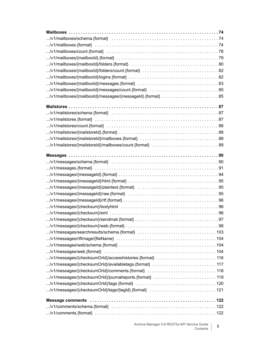| /v1/mailboxes/{mailboxId}/messages/count.{format} $\dots\dots\dots\dots\dots\dots\dots\dots\dots\dots$ |  |
|--------------------------------------------------------------------------------------------------------|--|
| /v1/mailboxes/{mailboxld}/messages/{messageId}.{format} 85                                             |  |
|                                                                                                        |  |
|                                                                                                        |  |
|                                                                                                        |  |
|                                                                                                        |  |
|                                                                                                        |  |
|                                                                                                        |  |
|                                                                                                        |  |
|                                                                                                        |  |
|                                                                                                        |  |
|                                                                                                        |  |
|                                                                                                        |  |
|                                                                                                        |  |
|                                                                                                        |  |
|                                                                                                        |  |
|                                                                                                        |  |
|                                                                                                        |  |
|                                                                                                        |  |
|                                                                                                        |  |
|                                                                                                        |  |
|                                                                                                        |  |
|                                                                                                        |  |
|                                                                                                        |  |
|                                                                                                        |  |
|                                                                                                        |  |
|                                                                                                        |  |
|                                                                                                        |  |
|                                                                                                        |  |
|                                                                                                        |  |
|                                                                                                        |  |
|                                                                                                        |  |
|                                                                                                        |  |
|                                                                                                        |  |
|                                                                                                        |  |
|                                                                                                        |  |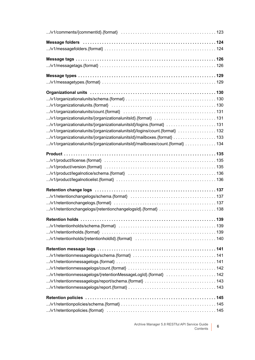| Message folders in the content of the content of the Message folders in the content of the content of the Message of the Message of the Message of the Message of the Message of the Message of the Message of the Message of |  |
|-------------------------------------------------------------------------------------------------------------------------------------------------------------------------------------------------------------------------------|--|
|                                                                                                                                                                                                                               |  |
|                                                                                                                                                                                                                               |  |
|                                                                                                                                                                                                                               |  |
|                                                                                                                                                                                                                               |  |
|                                                                                                                                                                                                                               |  |
|                                                                                                                                                                                                                               |  |
|                                                                                                                                                                                                                               |  |
| /v1/organizationalunits.{format} $\dots\dots\dots\dots\dots\dots\dots\dots\dots\dots\dots\dots\dots\dots\dots\dots\dots$                                                                                                      |  |
|                                                                                                                                                                                                                               |  |
|                                                                                                                                                                                                                               |  |
| /v1/organizationalunits/{organizationalunitsId}/logins.{format} 131                                                                                                                                                           |  |
| /v1/organizationalunits/{organizationalunitsId}/logins/count.{format} 132                                                                                                                                                     |  |
| /v1/organizationalunits/{organizationalunitsId}/mailboxes.{format}  133                                                                                                                                                       |  |
| /v1/organizationalunits/{organizationalunitsId}/mailboxes/count.{format}  134                                                                                                                                                 |  |
|                                                                                                                                                                                                                               |  |
|                                                                                                                                                                                                                               |  |
|                                                                                                                                                                                                                               |  |
|                                                                                                                                                                                                                               |  |
|                                                                                                                                                                                                                               |  |
|                                                                                                                                                                                                                               |  |
|                                                                                                                                                                                                                               |  |
|                                                                                                                                                                                                                               |  |
| /v1/retentionchangelogs/{retentionchangelogsId}.{format} 138                                                                                                                                                                  |  |
|                                                                                                                                                                                                                               |  |
|                                                                                                                                                                                                                               |  |
|                                                                                                                                                                                                                               |  |
|                                                                                                                                                                                                                               |  |
|                                                                                                                                                                                                                               |  |
|                                                                                                                                                                                                                               |  |
|                                                                                                                                                                                                                               |  |
|                                                                                                                                                                                                                               |  |
| /v1/retentionmessagelogs/{retentionMessageLogId}.{format} 142                                                                                                                                                                 |  |
|                                                                                                                                                                                                                               |  |
|                                                                                                                                                                                                                               |  |
|                                                                                                                                                                                                                               |  |
|                                                                                                                                                                                                                               |  |
|                                                                                                                                                                                                                               |  |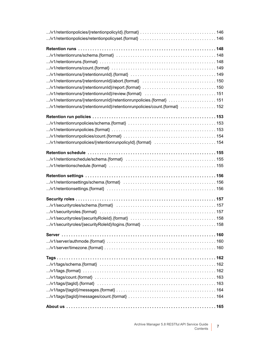| /v1/retentionruns/{retentionrunld}/retentionrunpolicies.{format}  151                                                         |  |
|-------------------------------------------------------------------------------------------------------------------------------|--|
|                                                                                                                               |  |
| /v1/retentionruns/{retentionrunId}/retentionrunpolicies/count.{format}  152                                                   |  |
|                                                                                                                               |  |
|                                                                                                                               |  |
|                                                                                                                               |  |
|                                                                                                                               |  |
| /v1/retentionrunpolicies/{retentionrunpolicyId}.{format}  154                                                                 |  |
|                                                                                                                               |  |
|                                                                                                                               |  |
|                                                                                                                               |  |
|                                                                                                                               |  |
|                                                                                                                               |  |
|                                                                                                                               |  |
|                                                                                                                               |  |
|                                                                                                                               |  |
| $\ldots$ /v1/securityroles/schema.{format} $\dots\dots\dots\dots\dots\dots\dots\dots\dots\dots\dots\dots\dots\dots\dots\dots$ |  |
|                                                                                                                               |  |
|                                                                                                                               |  |
|                                                                                                                               |  |
|                                                                                                                               |  |
|                                                                                                                               |  |
|                                                                                                                               |  |
|                                                                                                                               |  |
|                                                                                                                               |  |
|                                                                                                                               |  |
|                                                                                                                               |  |
|                                                                                                                               |  |
|                                                                                                                               |  |
|                                                                                                                               |  |
|                                                                                                                               |  |
|                                                                                                                               |  |
|                                                                                                                               |  |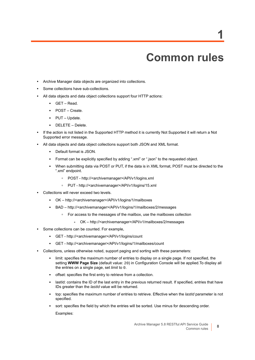## **Common rules**

- <span id="page-7-0"></span>**•** Archive Manager data objects are organized into collections.
- **•** Some collections have sub-collections.
- **•** All data objects and data object collections support four HTTP actions:
	- **▪** GET Read.
	- **▪** POST Create.
	- **▪** PUT Update.
	- **▪** DELETE Delete.
- **•** If the action is not listed in the Supported HTTP method it is currently Not Supported it will return a Not Supported error message.
- **•** All data objects and data object collections support both JSON and XML format.
	- **▪** Default format is JSON.
	- **▪** Format can be explicitly specified by adding ".xml" or ".json" to the requested object.
	- **▪** When submitting data via POST or PUT, if the data is in XML format, POST must be directed to the ".xml" endpoint.
		- **▫** POST http://<archivemanager>/API/v1/logins.xml
		- **▫** PUT http://<archivemanager>/API/v1/logins/15.xml
- **•** Collections will never exceed two levels.
	- **▪** OK http://<archivemanager>/API/v1/logins/1/mailboxes
	- **▪** BAD http://<archivemanager>/API/v1/logins/1/mailboxes/2/messages
		- **▫** For access to the messages of the mailbox, use the mailboxes collection
			- **-** OK http://<archivemanager>/API/v1/mailboxes/2/messages
- **•** Some collections can be counted. For example,
	- **▪** GET http://<archivemanager>/API/v1/logins/count
	- **▪** GET http://<archivemanager>/API/v1/logins/1/mailboxes/count
- **•** Collections, unless otherwise noted, support paging and sorting with these parameters:
	- **▪** limit: specifies the maximum number of entries to display on a single page. If not specified, the setting **WWW Page Size** (default value: 20) in Configuration Console will be applied.To display all the entries on a single page, set *limit* to 0.
	- **▪** offset: specifies the first entry to retrieve from a collection.
	- lastId: contains the ID of the last entry in the previous returned result. If specified, entries that have IDs greater than the *lastId* value will be returned.
	- **▪** top: specifies the maximum number of entries to retrieve. Effective when the *lastId* parameter is not specified.
	- sort: specifies the field by which the entries will be sorted. Use minus for descending order. Examples:

**1**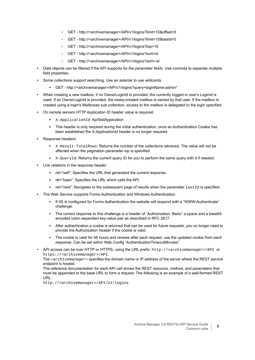- **▫** GET http://<archivemanager>/API/v1/logins?limit=10&offset=5
- **▫** GET http://<archivemanager>/API/v1/logins?limit=10&lastId=5
- **▫** GET http://<archivemanager>/API/v1/logins?top=10
- **▫** GET http://<archivemanager>/API/v1/logins?sort=id
- **▫** GET http://<archivemanager>/API/v1/logins?sort=-id
- **•** Data objects can be filtered if the API supports for the parameter *fields*. Use commas to separate multiple field properties.
- **•** Some collections support searching. Use an asterisk to use wildcards.
	- **▪** GET http://<archivemanager>/API/v1/logins?query=loginName:admin\*
- **•** When creating a new mailbox, if no OwnerLoginId is provided, the currently logged in user's LoginId is used. If an OwnerLoginId is provided, the newly-created mailbox is owned by that user. If the mailbox is created using a login's Mailboxes sub-collection, access to the mailbox is delegated to the login specified.
- **•** On remote servers HTTP Application ID header value is required.
	- **▪** X-ApplicationId: ApiTestApplication
	- **This header is only required during the initial authentication, once an Authentication Cookie has** been established the X-ApplicationId header is no longer required.
- **•** Response headers:
	- **▪** X-Result-TotalRows: Returns the number of the collections retrieved. The value will not be affected when the pagination parameter *top* is specified.
	- **X-QueryId: Returns the current query ID for you to perform the same query with it if needed.**
- **•** Link relations in the response header:
	- **▪** rel="self": Specifies the URL that generated the current response.
	- **▪** rel="base": Specifies the URL which calls the API.
	- rel="next": Navigates to the subsequent page of results when the parameter lastId is specified.
- **•** The Web Service supports Forms Authentication and Windows Authentication.
	- **▪** If IIS is configured for Forms Authentication the website will respond with a "WWW-Authenticate" challenge.
	- The correct response to this challenge is a header of "Authorization: Basic" a space and a base64 encoded colon separated key-value pair as described in RFC 2617.
	- After authentication a cookie is returned that can be used for future requests, you no longer need to provide the Authorization header if the cookie is valid.
	- **▪** The cookie is valid for 48 hours and renews after each request, use the updated cookie from each response. Can be set within Web.Config "AuthenticationTimeoutMinutes".
- **•** API access can be over HTTP or HTTPS, using the URL prefix: http://<archivemanager>/API or https://<archivemanager>/API.

The <archivemanager> specifies the domain name or IP address of the server where the REST service endpoint is hosted.

The reference documentation for each API call shows the REST resource, method, and parameters that must be appended to the base URL to form a request. The following is an example of a well-formed REST URL:

http://<archivemanager>/API/v1/logins.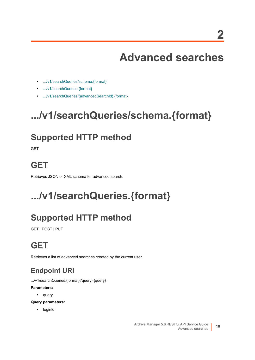# **Advanced searches**

- <span id="page-9-0"></span>**•** [.../v1/searchQueries/schema.{format}](#page-9-1)
- **•** [.../v1/searchQueries.{format}](#page-9-2)
- **•** [.../v1/searchQueries/{advancedSearchId}.{format}](#page-11-0)

## <span id="page-9-1"></span>**.../v1/searchQueries/schema.{format}**

#### **Supported HTTP method**

**GET** 

#### **GET**

Retrieves JSON or XML schema for advanced search.

## <span id="page-9-2"></span>**.../v1/searchQueries.{format}**

### **Supported HTTP method**

GET | POST | PUT

## **GET**

Retrieves a list of advanced searches created by the current user.

#### **Endpoint URI**

.../v1/searchQueries.{format}?query={query}

#### **Parameters:**

**•** query

**Query parameters:**

**•** loginId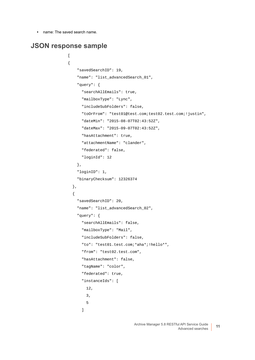**•** name: The saved search name.

#### **JSON response sample**

 $\overline{1}$ {

```
 "savedSearchID": 19,
   "name": "list_advancedSearch_01",
   "query": {
     "searchAllEmails": true,
     "mailboxType": "Lync",
     "includeSubFolders": false,
     "toOrFrom": "test01@test.com;test02.test.com;!justin",
     "dateMin": "2015-08-07T02:43:52Z",
     "dateMax": "2015-09-07T02:43:52Z",
     "hasAttachment": true,
     "attachmentName": "clander",
     "federated": false,
     "loginId": 12
   },
   "loginID": 1,
   "binaryChecksum": 12326374
 },
 {
   "savedSearchID": 20,
   "name": "list_advancedSearch_02",
   "query": {
     "searchAllEmails": false,
     "mailboxType": "Mail",
     "includeSubFolders": false,
     "to": "test01.test.com;*aha*;!hello*",
     "from": "test02.test.com",
     "hasAttachment": false,
     "tagName": "color",
     "federated": true,
     "instanceIds": [
       12,
       3,
       5
     ]
```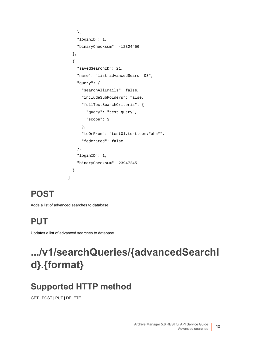```
 },
     "loginID": 1,
     "binaryChecksum": -12324456
   },
   {
     "savedSearchID": 21,
     "name": "list_advancedSearch_03",
     "query": {
       "searchAllEmails": false,
       "includeSubFolders": false,
       "fullTextSearchCriteria": {
         "query": "test query",
         "scope": 3
       },
       "toOrFrom": "test01.test.com;*aha*",
       "federated": false
     },
     "loginID": 1,
     "binaryChecksum": 23947245
   }
]
```
## **POST**

Adds a list of advanced searches to database.

## **PUT**

Updates a list of advanced searches to database.

## <span id="page-11-0"></span>**.../v1/searchQueries/{advancedSearchI d}.{format}**

## **Supported HTTP method**

GET | POST | PUT | DELETE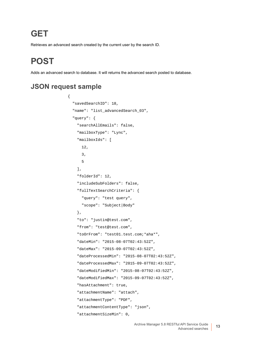#### **GET**

Retrieves an advanced search created by the current user by the search ID.

## **POST**

Adds an advanced search to database. It will returns the advanced search posted to database.

#### **JSON request sample**

{

```
 "savedSearchID": 18,
 "name": "list_advancedSearch_03",
 "query": {
   "searchAllEmails": false,
   "mailboxType": "Lync",
   "mailboxIds": [
     12,
     3,
     5
   ],
   "folderId": 12,
   "includeSubFolders": false,
   "fullTextSearchCriteria": {
     "query": "test query",
     "scope": "Subject|Body"
   },
   "to": "justin@test.com",
   "from": "test@test.com",
   "toOrFrom": "test01.test.com;*aha*",
   "dateMin": "2015-08-07T02:43:52Z",
   "dateMax": "2015-09-07T02:43:52Z",
   "dateProcessedMin": "2015-08-07T02:43:52Z",
   "dateProcessedMax": "2015-09-07T02:43:52Z",
   "dateModifiedMin": "2015-08-07T02:43:52Z",
   "dateModifiedMax": "2015-09-07T02:43:52Z",
   "hasAttachment": true,
   "attachmentName": "attach",
   "attachmentType": "PDF",
   "attachmentContentType": "json",
   "attachmentSizeMin": 0,
```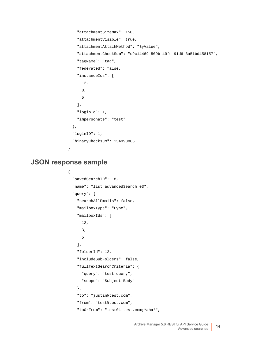```
 "attachmentSizeMax": 150,
     "attachmentVisible": true,
     "attachmentAttachMethod": "ByValue",
     "attachmentCheckSum": "c9c14469-509b-49fc-91d6-3a51bd458157",
     "tagName": "tag",
     "federated": false,
     "instanceIds": [
       12,
       3,
       5
     ],
     "loginId": 1,
     "impersonate": "test"
  },
   "loginID": 1,
   "binaryChecksum": 154990865
}
```
#### **JSON response sample**

```
{
   "savedSearchID": 18,
   "name": "list_advancedSearch_03",
   "query": {
     "searchAllEmails": false,
     "mailboxType": "Lync",
     "mailboxIds": [
       12,
       3,
       5
     ],
     "folderId": 12,
     "includeSubFolders": false,
     "fullTextSearchCriteria": {
       "query": "test query",
       "scope": "Subject|Body"
     },
     "to": "justin@test.com",
     "from": "test@test.com",
     "toOrFrom": "test01.test.com;*aha*",
```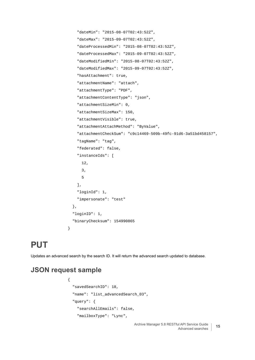```
 "dateMin": "2015-08-07T02:43:52Z",
   "dateMax": "2015-09-07T02:43:52Z",
   "dateProcessedMin": "2015-08-07T02:43:52Z",
   "dateProcessedMax": "2015-09-07T02:43:52Z",
   "dateModifiedMin": "2015-08-07T02:43:52Z",
   "dateModifiedMax": "2015-09-07T02:43:52Z",
   "hasAttachment": true,
   "attachmentName": "attach",
   "attachmentType": "PDF",
   "attachmentContentType": "json",
   "attachmentSizeMin": 0,
   "attachmentSizeMax": 150,
   "attachmentVisible": true,
   "attachmentAttachMethod": "ByValue",
   "attachmentCheckSum": "c9c14469-509b-49fc-91d6-3a51bd458157",
   "tagName": "tag",
   "federated": false,
   "instanceIds": [
     12,
     3,
     5
   ],
   "loginId": 1,
   "impersonate": "test"
 },
 "loginID": 1,
 "binaryChecksum": 154990865
```
#### **PUT**

Updates an advanced search by the search ID. It will return the advanced search updated to database.

#### **JSON request sample**

}

```
{
   "savedSearchID": 18,
   "name": "list_advancedSearch_03",
   "query": {
     "searchAllEmails": false,
     "mailboxType": "Lync",
```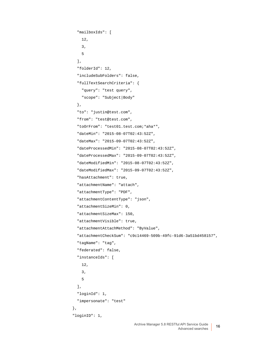```
 "mailboxIds": [
     12,
     3,
     5
  \mathbf{1},
   "folderId": 12,
   "includeSubFolders": false,
   "fullTextSearchCriteria": {
     "query": "test query",
     "scope": "Subject|Body"
   },
   "to": "justin@test.com",
   "from": "test@test.com",
   "toOrFrom": "test01.test.com;*aha*",
   "dateMin": "2015-08-07T02:43:52Z",
   "dateMax": "2015-09-07T02:43:52Z",
   "dateProcessedMin": "2015-08-07T02:43:52Z",
   "dateProcessedMax": "2015-09-07T02:43:52Z",
   "dateModifiedMin": "2015-08-07T02:43:52Z",
   "dateModifiedMax": "2015-09-07T02:43:52Z",
   "hasAttachment": true,
   "attachmentName": "attach",
   "attachmentType": "PDF",
   "attachmentContentType": "json",
   "attachmentSizeMin": 0,
   "attachmentSizeMax": 150,
   "attachmentVisible": true,
   "attachmentAttachMethod": "ByValue",
   "attachmentCheckSum": "c9c14469-509b-49fc-91d6-3a51bd458157",
   "tagName": "tag",
   "federated": false,
   "instanceIds": [
     12,
     3,
     5
   ],
   "loginId": 1,
   "impersonate": "test"
 },
 "loginID": 1,
```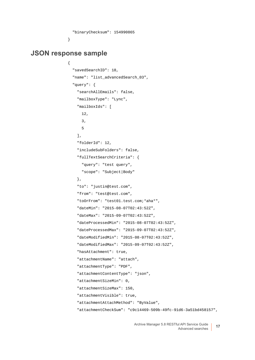```
 "binaryChecksum": 154990865
```
#### **JSON response sample**

{

}

```
 "savedSearchID": 18,
 "name": "list_advancedSearch_03",
 "query": {
   "searchAllEmails": false,
   "mailboxType": "Lync",
   "mailboxIds": [
     12,
    3,
     5
   ],
   "folderId": 12,
   "includeSubFolders": false,
   "fullTextSearchCriteria": {
     "query": "test query",
     "scope": "Subject|Body"
   },
   "to": "justin@test.com",
   "from": "test@test.com",
   "toOrFrom": "test01.test.com;*aha*",
   "dateMin": "2015-08-07T02:43:52Z",
   "dateMax": "2015-09-07T02:43:52Z",
   "dateProcessedMin": "2015-08-07T02:43:52Z",
   "dateProcessedMax": "2015-09-07T02:43:52Z",
   "dateModifiedMin": "2015-08-07T02:43:52Z",
   "dateModifiedMax": "2015-09-07T02:43:52Z",
   "hasAttachment": true,
   "attachmentName": "attach",
   "attachmentType": "PDF",
   "attachmentContentType": "json",
   "attachmentSizeMin": 0,
   "attachmentSizeMax": 150,
   "attachmentVisible": true,
   "attachmentAttachMethod": "ByValue",
   "attachmentCheckSum": "c9c14469-509b-49fc-91d6-3a51bd458157",
```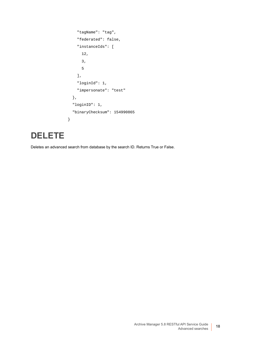```
 "tagName": "tag",
     "federated": false,
     "instanceIds": [
       12,
       3,
       5
     ],
     "loginId": 1,
     "impersonate": "test"
   },
   "loginID": 1,
   "binaryChecksum": 154990865
}
```
#### **DELETE**

Deletes an advanced search from database by the search ID. Returns True or False.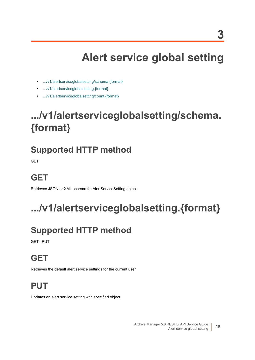# **Alert service global setting**

- <span id="page-18-0"></span>**•** [.../v1/alertserviceglobalsetting/schema.{format}](#page-18-1)
- **•** [.../v1/alertserviceglobalsetting.{format}](#page-18-2)
- **•** [.../v1/alertserviceglobalsetting/count.{format}](#page-19-0)

## <span id="page-18-1"></span>**.../v1/alertserviceglobalsetting/schema. {format}**

#### **Supported HTTP method**

**GET** 

## **GET**

Retrieves JSON or XML schema for AlertServiceSetting object.

# <span id="page-18-2"></span>**.../v1/alertserviceglobalsetting.{format}**

## **Supported HTTP method**

GET | PUT

### **GET**

Retrieves the default alert service settings for the current user.

#### **PUT**

Updates an alert service setting with specified object.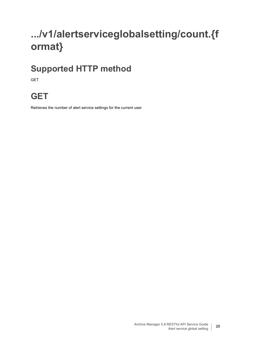## <span id="page-19-0"></span>**.../v1/alertserviceglobalsetting/count.{f ormat}**

#### **Supported HTTP method**

GET

#### **GET**

Retrieves the number of alert service settings for the current user.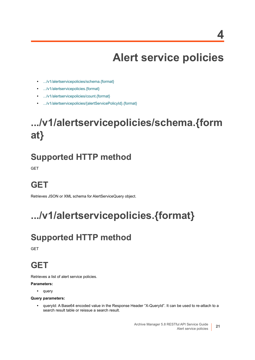# **Alert service policies**

- <span id="page-20-0"></span>**•** [.../v1/alertservicepolicies/schema.{format}](#page-20-1)
- **•** [.../v1/alertservicepolicies.{format}](#page-20-2)
- **•** [.../v1/alertservicepolicies/count.{format}](#page-21-0)
- **•** [.../v1/alertservicepolicies/{alertServicePolicyId}.{format}](#page-21-1)

## <span id="page-20-1"></span>**.../v1/alertservicepolicies/schema.{form at}**

#### **Supported HTTP method**

GET

### **GET**

Retrieves JSON or XML schema for AlertServiceQuery object.

## <span id="page-20-2"></span>**.../v1/alertservicepolicies.{format}**

## **Supported HTTP method**

**GET** 

#### **GET**

Retrieves a list of alert service policies.

#### **Parameters:**

**•** query

#### **Query parameters:**

**•** queryId: A Base64 encoded value in the Response Header "X-QueryId". It can be used to re-attach to a search result table or reissue a search result.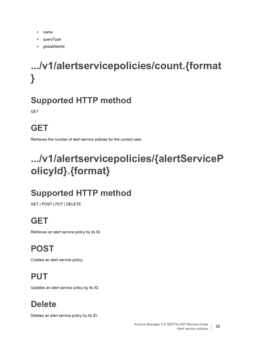- **•** name
- **•** queryType
- **•** globalAlertId

# <span id="page-21-0"></span>**.../v1/alertservicepolicies/count.{format }**

### **Supported HTTP method**

**GET** 

## **GET**

Retrieves the number of alert service policies for the current user.

# <span id="page-21-1"></span>**.../v1/alertservicepolicies/{alertServiceP olicyId}.{format}**

## **Supported HTTP method**

GET | POST | PUT | DELETE

## **GET**

Retrieves an alert service policy by its ID.

**POST**

Creates an alert service policy.

**PUT**

Updates an alert service policy by its ID.

## **Delete**

Deletes an alert service policy by its ID.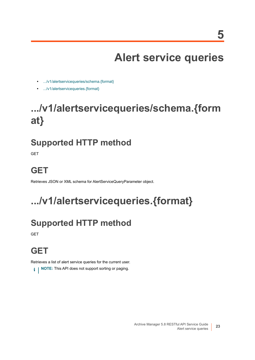**5**

# **Alert service queries**

- <span id="page-22-0"></span>**•** [.../v1/alertservicequeries/schema.{format}](#page-22-1)
- **•** [.../v1/alertservicequeries.{format}](#page-22-2)

# <span id="page-22-1"></span>**.../v1/alertservicequeries/schema.{form at}**

#### **Supported HTTP method**

**GET** 

## **GET**

Retrieves JSON or XML schema for AlertServiceQueryParameter object.

# <span id="page-22-2"></span>**.../v1/alertservicequeries.{format}**

## **Supported HTTP method**

**GET** 

## **GET**

Retrieves a list of alert service queries for the current user.

**i** | NOTE: This API does not support sorting or paging.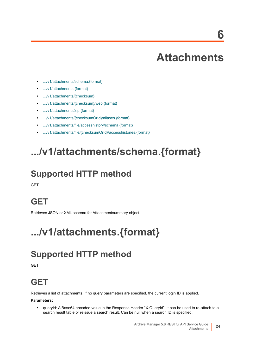## **Attachments**

- <span id="page-23-0"></span>**•** [.../v1/attachments/schema.{format}](#page-23-1)
- **•** [.../v1/attachments.{format}](#page-23-2)
- **•** [.../v1/attachments/{checksum}](#page-27-0)
- **•** [.../v1/attachments/{checksum}/web.{format}](#page-27-1)
- **•** [.../v1/attachments/zip.{format}](#page-28-0)
- **•** [.../v1/attachments/{checksumOrId}/aliases.{format}](#page-29-0)
- **•** [.../v1/attachments/file/accesshistory/schema.{format}](#page-29-1)
- **•** [.../v1/attachments/file/{checksumOrId}/accesshistories.{format}](#page-30-0)

## <span id="page-23-1"></span>**.../v1/attachments/schema.{format}**

#### **Supported HTTP method**

**GET** 

#### **GET**

Retrieves JSON or XML schema for Attachmentsummary object.

## <span id="page-23-2"></span>**.../v1/attachments.{format}**

### **Supported HTTP method**

**GFT** 

### **GET**

Retrieves a list of attachments. If no query parameters are specified, the current login ID is applied.

#### **Parameters:**

**•** queryId: A Base64 encoded value in the Response Header "X-QueryId". It can be used to re-attach to a search result table or reissue a search result. Can be null when a search ID is specified.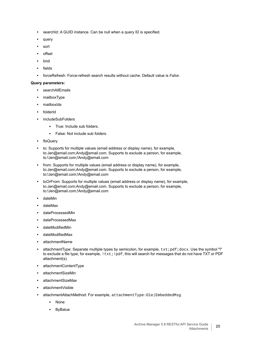- **•** searchId: A GUID instance. Can be null when a query ID is specified.
- **•** query
- **•** sort
- **•** offset
- **•** limit
- **•** fields
- **•** forceRefresh: Force-refresh search results without cache. Default value is *False*.

#### **Query parameters:**

- **•** searchAllEmails
- **•** mailboxType
- **•** mailboxIds
- **•** folderId
- **•** includeSubFolders
	- **▪** True: Include sub folders.
	- **▪** False: Not include sub folders.
- **•** ftsQuery
- **•** to: Supports for multiple values (email address or display name), for example, to:Jen@email.com;Andy@email.com. Supports to exclude a person, for example, to:!Jen@email.com;!Andy@email.com
- **•** from: Supports for multiple values (email address or display name), for example, to:Jen@email.com;Andy@email.com. Supports to exclude a person, for example, to:!Jen@email.com;!Andy@email.com
- **•** toOrFrom: Supports for multiple values (email address or display name), for example, to:Jen@email.com;Andy@email.com. Supports to exclude a person, for example, to:!Jen@email.com;!Andy@email.com
- **•** dateMin
- **•** dateMax
- **•** dateProcessedMin
- **•** dateProcessedMax
- **•** dateModifiedMin
- **•** dateModifiedMax
- **•** attachmentName
- **•** attachmentType: Separate multiple types by semicolon, for example, txt;pdf;docx. Use the symbol "!" to exclude a file type, for example,  $!txt;!pdf, this will search for messages that do not have TXT or PDF$ attachment(s).
- **•** attachmentContentType
- **•** attachmentSizeMin
- **•** attachmentSizeMax
- **•** attachmentVisible
- **•** attachmentAttachMethod: For example, attachmentType:Ole|EmbeddedMsg.
	- **▪** None
	- **ByBalue**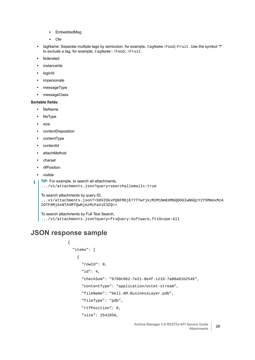- **▪** EmbeddedMsg
- **▪** Ole
- **•** tagName: Separate multiple tags by semicolon, for example, tagName:Food;Fruit. Use the symbol "!" to exclude a tag, for example, tagName:!Food;!Fruit.
- **•** federated
- **•** instanceIds
- **•** loginId
- **•** impersonate
- **•** messageType
- **•** messageClass

#### **Sortable fields:**

- **•** fileName
- **•** fileType
- **•** size
- **•** contentDisposition
- **•** contentType
- **•** contentId
- **•** attachMethod
- **•** charset
- **•** rtfPosition
- **•** visible

```
TIP: For example, to search all attachments,
   .../v1/attachments.json?query=searchallemails:true
```

```
To search attachments by query ID,
```

```
...v1/attachments.json?=S0VZOkxPQ0FMOjE7YTYwYjkzM2M1NmE0MGQ0OGIwNGQzY2Y5MmUxMzA
2OTF8MjAxNTA4MTQwNjAzMzFaXzE3ZQ==
```
To search attachments by Full Text Search, .../v1/attachments.json?query=ftsQuery:Software,ftsScope:All

#### **JSON response sample**

{

```
 "items": [
  {
     "rowId": 0,
     "id": 4,
     "checkSum": "6790c062-7e21-0e4f-1219-7a08a01b2546",
     "contentType": "application/octet-stream",
     "fileName": "Dell.AM.BusinessLayer.pdb",
     "fileType": "pdb",
     "rtfPosition": 0,
     "size": 2541056,
```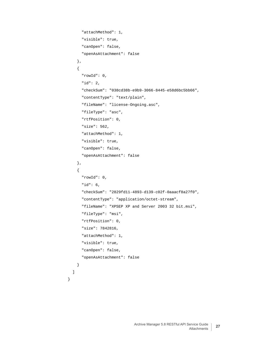```
 "attachMethod": 1,
       "visible": true,
       "canOpen": false,
       "openAsAttachment": false
     },
     {
       "rowId": 0,
       "id": 2,
       "checkSum": "038cd38b-e9b9-3066-8445-e58d6bc5bb66",
       "contentType": "text/plain",
       "fileName": "license-Ongoing.asc",
       "fileType": "asc",
       "rtfPosition": 0,
       "size": 562,
       "attachMethod": 1,
       "visible": true,
       "canOpen": false,
       "openAsAttachment": false
     },
     {
       "rowId": 0,
       "id": 6,
       "checkSum": "2829fd11-4893-d139-c02f-0aaacf8a27f0",
       "contentType": "application/octet-stream",
       "fileName": "XPSEP XP and Server 2003 32 bit.msi",
       "fileType": "msi",
       "rtfPosition": 0,
       "size": 7842816,
       "attachMethod": 1,
       "visible": true,
       "canOpen": false,
       "openAsAttachment": false
    }
  ]
}
```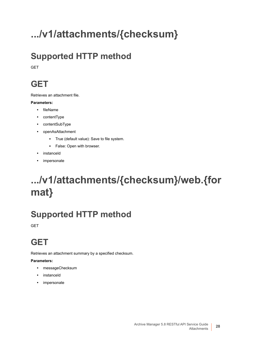# <span id="page-27-0"></span>**.../v1/attachments/{checksum}**

## **Supported HTTP method**

**GET** 

#### **GET**

Retrieves an attachment file.

#### **Parameters:**

- **•** fileName
- **•** contentType
- **•** contentSubType
- **•** openAsAttachment
	- **▪** True (default value): Save to file system.
	- **▪** False: Open with browser.
- **•** instanceId
- **•** impersonate

## <span id="page-27-1"></span>**.../v1/attachments/{checksum}/web.{for mat}**

## **Supported HTTP method**

**GET** 

### **GET**

Retrieves an attachment summary by a specified checksum.

#### **Parameters:**

- **•** messageChecksum
- **•** instanceId
- **•** impersonate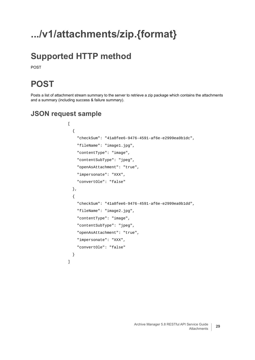## <span id="page-28-0"></span>**.../v1/attachments/zip.{format}**

### **Supported HTTP method**

POST

#### **POST**

Posts a list of attachment stream summary to the server to retrieve a zip package which contains the attachments and a summary (including success & failure summary).

#### **JSON request sample**

```
\overline{[} {
     "checkSum": "41a8fee6-9476-4591-af6e-e2999ea0b1dc",
     "fileName": "image1.jpg",
     "contentType": "image",
     "contentSubType": "jpeg",
     "openAsAttachment": "true",
     "impersonate": "XXX",
     "convertOle": "false"
   },
   {
     "checkSum": "41a8fee6-9476-4591-af6e-e2999ea0b1dd",
     "fileName": "image2.jpg",
     "contentType": "image",
     "contentSubType": "jpeg",
     "openAsAttachment": "true",
     "impersonate": "XXX",
     "convertOle": "false"
   }
]
```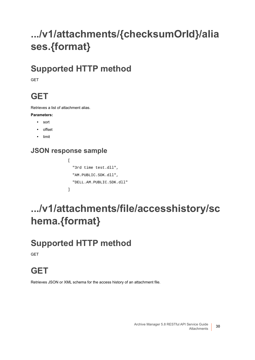## <span id="page-29-0"></span>**.../v1/attachments/{checksumOrId}/alia ses.{format}**

#### **Supported HTTP method**

GET

#### **GET**

Retrieves a list of attachment alias.

#### **Parameters:**

- **•** sort
- **•** offset
- **•** limit

#### **JSON response sample**

```
[
   "3rd time test.dll",
   "AM.PUBLIC.SDK.dll",
   "DELL.AM.PUBLIC.SDK.dll"
]
```
## <span id="page-29-1"></span>**.../v1/attachments/file/accesshistory/sc hema.{format}**

#### **Supported HTTP method**

GET

#### **GET**

Retrieves JSON or XML schema for the access history of an attachment file.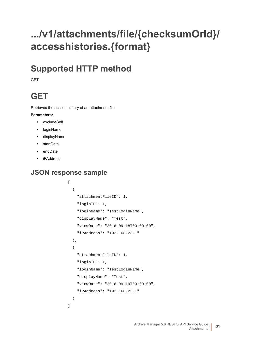## <span id="page-30-0"></span>**.../v1/attachments/file/{checksumOrId}/ accesshistories.{format}**

#### **Supported HTTP method**

**GFT** 

### **GET**

Retrieves the access history of an attachment file.

#### **Parameters:**

- **•** excludeSelf
- **•** loginName
- **•** displayName
- **•** startDate
- **•** endDate
- **•** iPAddress

#### **JSON response sample**

```
\overline{[} {
     "attachmentFileID": 1,
     "loginID": 1,
     "loginName": "TestLoginName",
     "displayName": "Test",
     "viewDate": "2016-09-18T00:00:00",
     "iPAddress": "192.168.23.1"
   },
   {
     "attachmentFileID": 1,
     "loginID": 1,
     "loginName": "TestLoginName",
     "displayName": "Test",
     "viewDate": "2016-09-19T00:00:00",
     "iPAddress": "192.168.23.1"
   }
]
```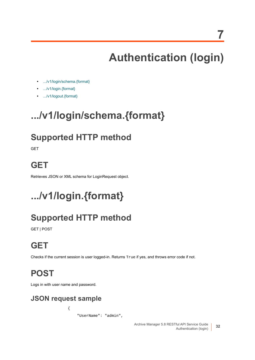**7**

# **Authentication (login)**

- <span id="page-31-0"></span>**•** [.../v1/login/schema.{format}](#page-31-1)
- **•** [.../v1/login.{format}](#page-31-2)
- **•** [.../v1/logout.{format}](#page-32-0)

## <span id="page-31-1"></span>**.../v1/login/schema.{format}**

#### **Supported HTTP method**

**GET** 

#### **GET**

Retrieves JSON or XML schema for LoginRequest object.

# <span id="page-31-2"></span>**.../v1/login.{format}**

## **Supported HTTP method**

GET | POST

## **GET**

Checks if the current session is user logged-in. Returns True if yes, and throws error code if not.

### **POST**

Logs in with user name and password.

#### **JSON request sample**

{

"UserName": "admin",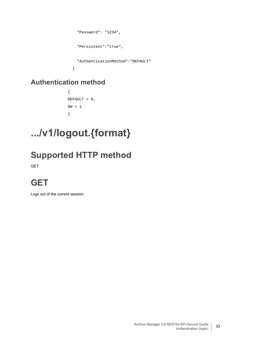```
 "Password": "1234",
   "Persistent":"true",
   "AuthenticationMethod":"DEFAULT"
 }
```
#### **Authentication method**

```
{
DEFAULT = 0,
GW = 1}
```
## <span id="page-32-0"></span>**.../v1/logout.{format}**

## **Supported HTTP method**

GET

### **GET**

Logs out of the current session.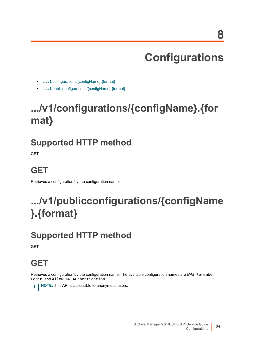# **Configurations**

- <span id="page-33-0"></span>**•** [.../v1/configurations/{configName}.{format}](#page-33-1)
- **•** [.../v1/publicconfigurations/{configName}.{format}](#page-33-2)

# <span id="page-33-1"></span>**.../v1/configurations/{configName}.{for mat}**

### **Supported HTTP method**

**GET** 

## **GET**

Retrieves a configuration by the configuration name.

# <span id="page-33-2"></span>**.../v1/publicconfigurations/{configName }.{format}**

## **Supported HTTP method**

**GET** 

### **GET**

Retrieves a configuration by the configuration name. The available configuration names are WWW Remember Login, and Allow GW Authentication.

**i** | NOTE: This API is accessible to anonymous users.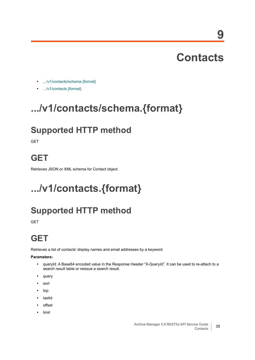**9**

- <span id="page-34-0"></span>**•** [.../v1/contacts/schema.{format}](#page-34-1)
- **•** [.../v1/contacts.{format}](#page-34-2)

## <span id="page-34-1"></span>**.../v1/contacts/schema.{format}**

#### **Supported HTTP method**

**GET** 

#### **GET**

Retrieves JSON or XML schema for Contact object.

# <span id="page-34-2"></span>**.../v1/contacts.{format}**

#### **Supported HTTP method**

**GET** 

## **GET**

Retrieves a list of contacts' display names and email addresses by a keyword.

**Parameters:**

- **•** queryId: A Base64 encoded value in the Response Header "X-QueryId". It can be used to re-attach to a search result table or reissue a search result.
- **•** query
- **•** sort
- **•** top
- **•** lastId
- **•** offset
- **•** limit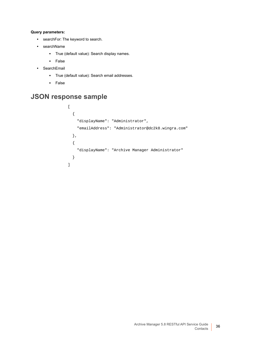#### **Query parameters:**

- **•** searchFor: The keyword to search.
- **•** searchName
	- **▪** True (default value): Search display names.
	- **▪** False
- **•** SearchEmail
	- **▪** True (default value): Search email addresses.
	- **▪** False

#### **JSON response sample**

```
\overline{[} {
     "displayName": "Administrator",
     "emailAddress": "Administrator@dc2k8.wingra.com"
   },
   {
     "displayName": "Archive Manager Administrator"
   }
\, \, \,
```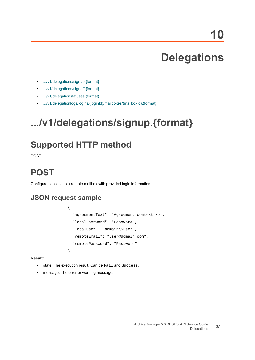## **Delegations**

- **•** [.../v1/delegations/signup.{format}](#page-36-0)
- **•** [.../v1/delegations/signoff.{format}](#page-37-0)
- **•** [.../v1/delegationstatuses.{format}](#page-37-1)
- **•** [.../v1/delegationlogs/logins/{loginId}/mailboxes/{mailboxId}.{format}](#page-39-0)

## <span id="page-36-0"></span>**.../v1/delegations/signup.{format}**

### **Supported HTTP method**

POST

### **POST**

Configures access to a remote mailbox with provided login information.

#### **JSON request sample**

```
{
   "agreementText": "Agreement context />",
  "localPassword": "Password",
  "localUser": "domain\\user",
  "remoteEmail": "user@domain.com",
   "remotePassword": "Password"
```
**Result:**

- **•** state: The execution result. Can be Fail and Success.
- **•** message: The error or warning message.

}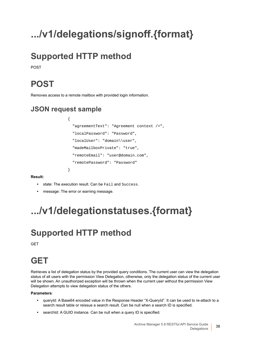# <span id="page-37-0"></span>**.../v1/delegations/signoff.{format}**

## **Supported HTTP method**

POST

## **POST**

Removes access to a remote mailbox with provided login information.

#### **JSON request sample**

{

}

```
 "agreementText": "Agreement context />",
 "localPassword": "Password",
 "localUser": "domain\\user",
 "madeMailboxPrivate": "true",
 "remoteEmail": "user@domain.com",
 "remotePassword": "Password"
```
**Result:**

- **•** state: The execution result. Can be Fail and Success.
- **•** message: The error or warning message.

## <span id="page-37-1"></span>**.../v1/delegationstatuses.{format}**

## **Supported HTTP method**

**GET** 

## **GET**

Retrieves a list of delegation status by the provided query conditions. The current user can view the delegation status of all users with the permission View Delegation, otherwise, only the delegation status of the current user will be shown. An unauthorized exception will be thrown when the current user without the permission View Delegation attempts to view delegation status of the others.

#### **Parameters**:

- **•** queryId: A Base64 encoded value in the Response Header "X-QueryId". It can be used to re-attach to a search result table or reissue a search result. Can be null when a search ID is specified.
- **•** searchId: A GUID instance. Can be null when a query ID is specified.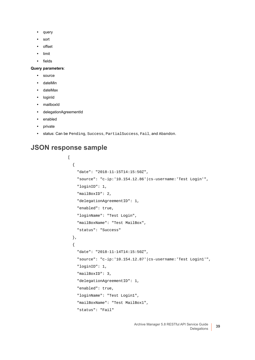- **•** query
- **•** sort
- **•** offset
- **•** limit
- **•** fields

#### **Query parameters**:

- **•** source
- **•** dateMin
- **•** dateMax
- **•** loginId
- **•** mailboxId
- **•** delegationAgreementId
- **•** enabled
- **•** private
- **•** status: Can be Pending, Success, PartialSuccess, Fail, and Abandon.

#### **JSON response sample**

```
\overline{[} {
     "date": "2018-11-15T14:15:50Z",
     "source": "c-ip:'10.154.12.86'|cs-username:'Test Login'",
     "loginID": 1,
     "mailBoxID": 2,
     "delegationAgreementID": 1,
     "enabled": true,
     "loginName": "Test Login",
     "mailBoxName": "Test MailBox",
     "status": "Success"
   },
   {
     "date": "2018-11-14T14:15:50Z",
     "source": "c-ip:'10.154.12.87'|cs-username:'Test Login1'",
     "loginID": 1,
     "mailBoxID": 3,
     "delegationAgreementID": 1,
     "enabled": true,
     "loginName": "Test Login1",
     "mailBoxName": "Test MailBox1",
     "status": "Fail"
```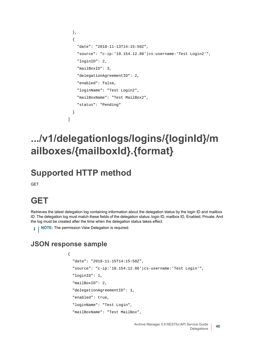```
 },
   {
     "date": "2018-11-13T14:15:50Z",
     "source": "c-ip:'10.154.12.88'|cs-username:'Test Login2'",
     "loginID": 2,
     "mailBoxID": 3,
     "delegationAgreementID": 2,
     "enabled": false,
     "loginName": "Test Login2",
     "mailBoxName": "Test MailBox2",
     "status": "Pending"
   }
]
```
## <span id="page-39-0"></span>**.../v1/delegationlogs/logins/{loginId}/m ailboxes/{mailboxId}.{format}**

#### **Supported HTTP method**

**GET** 

## **GET**

Retrieves the latest delegation log containing information about the delegation status by the login ID and mailbox ID. The delegation log must match these fields of the delegation status: login ID, mailbox ID, Enabled, Private. And the log must be created after the time when the delegation status takes effect.

**i** | NOTE: The permission View Delegation is required.

#### **JSON response sample**

```
{
   "date": "2018-11-15T14:15:50Z",
   "source": "c-ip:'10.154.12.86'|cs-username:'Test Login'",
   "loginID": 1,
   "mailBoxID": 2,
   "delegationAgreementID": 1,
   "enabled": true,
   "loginName": "Test Login",
   "mailBoxName": "Test MailBox",
```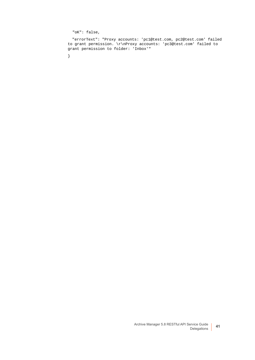"oK": false,

 "errorText": "Proxy accounts: 'pc1@test.com, pc2@test.com' failed to grant permission. \r\nProxy accounts: 'pc3@test.com' failed to grant permission to folder: 'Inbox'"

}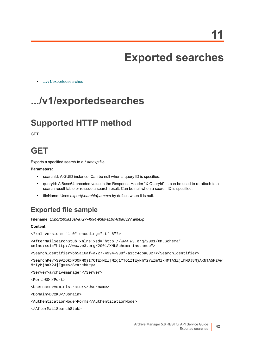# **Exported searches**

**•** [.../v1/exportedsearches](#page-41-0)

## <span id="page-41-0"></span>**.../v1/exportedsearches**

#### **Supported HTTP method**

**GET** 

#### **GET**

Exports a specified search to a *\*.amexp* file.

#### **Parameters:**

- **•** searchId: A GUID instance. Can be null when a query ID is specified.
- **•** queryId: A Base64 encoded value in the Response Header "X-QueryId". It can be used to re-attach to a search result table or reissue a search result. Can be null when a search ID is specified.
- **•** fileName: Uses *export{searchId}.amexp* by default when it is null.

#### **Exported file sample**

**Filename**: *Exportbb5a16af-a727-4994-938f-a1bc4cba8327.amexp*

#### **Content**:

```
<?xml version= "1.0" encoding="utf-8"?>
```
<AfterMailSearchStub xmlns:xsd="http://www.w3.org/2001/XMLSchema" xmlns:xsi="http://www.w3.org/2001/XMLSchema-instance">

<SearchIdentifier>bb5a16af-a727-4994-938f-a1bc4cba8327</SearchIdentifier>

<SearchKey>S0VZOkxPQ0FMOjI7OTExMzljMzg1YTQ1ZTEyNmY2YWZmMzk4MTA3ZjlhMDJ8MjAxNTA5MzAw MzIyMjhaX2JjZg==</SearchKey>

<Server>archivemanager</Server>

<Port>80</Port>

<Username>Administrator</Username>

<Domain>DC2K8</Domain>

<AuthenticationMode>Forms</AuthenticationMode>

</AfterMailSearchStub>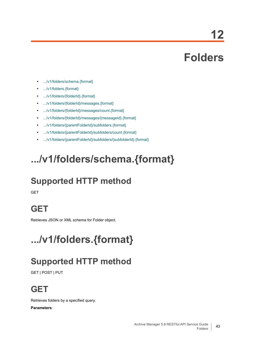**12**

## **Folders**

- **•** [.../v1/folders/schema.{format}](#page-42-0)
- **•** [.../v1/folders.{format}](#page-42-1)
- **•** [.../v1/folders/{folderId}.{format}](#page-45-0)
- **•** [.../v1/folders/{folderId}/messages.{format}](#page-46-0)
- **•** [.../v1/folders/{folderId}/messages/count.{format}](#page-51-0)
- **•** [.../v1/folders/{folderId}/messages/{messageId}.{format}](#page-51-1)
- **•** [.../v1/folders/{parentFolderId}/subfolders.{format}](#page-51-2)
- **•** [.../v1/folders/{parentFolderId}/subfolders/count.{format}](#page-54-1)
- **•** [.../v1/folders/{parentFolderId}/subfolders/{subfolderId}.{format}](#page-54-0)

## <span id="page-42-0"></span>**.../v1/folders/schema.{format}**

## **Supported HTTP method**

**GFT** 

### **GET**

Retrieves JSON or XML schema for Folder object.

## <span id="page-42-1"></span>**.../v1/folders.{format}**

### **Supported HTTP method**

GET | POST | PUT

## **GET**

Retrieves folders by a specified query. **Parameters**: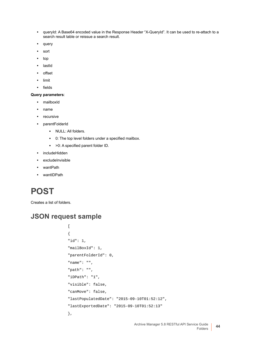- **•** queryId: A Base64 encoded value in the Response Header "X-QueryId". It can be used to re-attach to a search result table or reissue a search result.
- **•** query
- **•** sort
- **•** top
- **•** lastId
- **•** offset
- **•** limit
- **•** fields

#### **Query parameters**:

- **•** mailboxId
- **•** name
- **•** recursive
- **•** parentFolderId
	- **▪** NULL: All folders.
	- **▪** 0: The top level folders under a specified mailbox.
	- **▪** >0: A specified parent folder ID.
- **•** includeHidden
- **•** excludeInvisible
- **•** wantPath
- **•** wantIDPath

## **POST**

Creates a list of folders.

```
\begin{bmatrix} 1 & 0 \\ 0 & 1 \end{bmatrix}{
"id": 1,
"mailBoxId": 1,
"parentFolderId": 0,
"name": "",
"path": "",
"iDPath": "1",
"visible": false,
"canMove": false,
"lastPopulatedDate": "2015-09-10T01:52:12",
"lastExportedDate": "2015-09-10T01:52:13"
},
```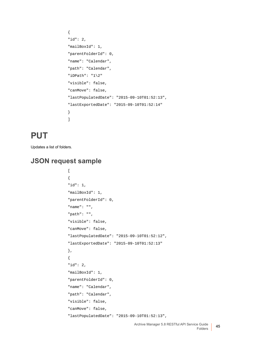```
{
"id": 2,
"mailBoxId": 1,
"parentFolderId": 0,
"name": "Calendar",
"path": "Calendar",
"iDPath": "1\2"
"visible": false,
"canMove": false,
"lastPopulatedDate": "2015-09-10T01:52:13",
"lastExportedDate": "2015-09-10T01:52:14"
}
]
```
#### **PUT**

Updates a list of folders.

```
\mathfrak{g}{
"id": 1,
"mailBoxId": 1,
"parentFolderId": 0,
"name": "",
"path": "",
"visible": false,
"canMove": false,
"lastPopulatedDate": "2015-09-10T01:52:12",
"lastExportedDate": "2015-09-10T01:52:13"
},
{
"id": 2,
"mailBoxId": 1,
"parentFolderId": 0,
"name": "Calendar",
"path": "Calendar",
"visible": false,
"canMove": false,
"lastPopulatedDate": "2015-09-10T01:52:13",
```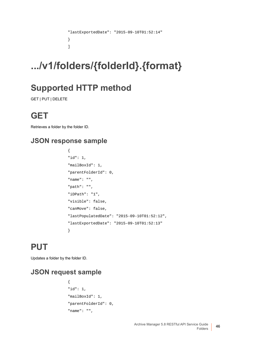```
"lastExportedDate": "2015-09-10T01:52:14"
}
\overline{1}
```
# <span id="page-45-0"></span>**.../v1/folders/{folderId}.{format}**

## **Supported HTTP method**

GET | PUT | DELETE

## **GET**

Retrieves a folder by the folder ID.

#### **JSON response sample**

```
{
"id": 1,
"mailBoxId": 1,
"parentFolderId": 0,
"name": "",
"path": "",
"iDPath": "1",
"visible": false,
"canMove": false,
"lastPopulatedDate": "2015-09-10T01:52:12",
"lastExportedDate": "2015-09-10T01:52:13"
}
```
## **PUT**

Updates a folder by the folder ID.

```
{
"id": 1,
"mailBoxId": 1,
"parentFolderId": 0,
"name": "",
```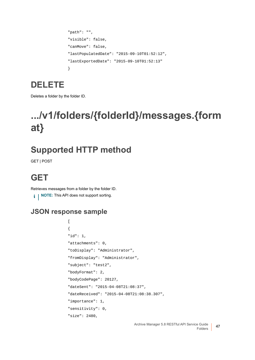```
"path": "",
"visible": false,
"canMove": false,
"lastPopulatedDate": "2015-09-10T01:52:12",
"lastExportedDate": "2015-09-10T01:52:13"
}
```
#### **DELETE**

Deletes a folder by the folder ID.

## <span id="page-46-0"></span>**.../v1/folders/{folderId}/messages.{form at}**

## **Supported HTTP method**

GET | POST

## **GET**

Retrieves messages from a folder by the folder ID. **i** | NOTE: This API does not support sorting.

#### **JSON response sample**

```
\Gamma{
"id": 1,
"attachments": 0,
"toDisplay": "Administrator",
"fromDisplay": "Administrator",
"subject": "test2",
"bodyFormat": 2,
"bodyCodePage": 20127,
"dateSent": "2015-04-08T21:08:37",
"dateReceived": "2015-04-08T21:08:38.307",
"importance": 1,
"sensitivity": 0,
"size": 2480,
```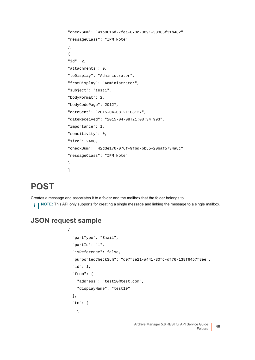```
"checkSum": "41b0616d-7fea-873c-8891-30386f31b462",
"messageClass": "IPM.Note"
},
{
"id": 2,
"attachments": 0,
"toDisplay": "Administrator",
"fromDisplay": "Administrator",
"subject": "test1",
"bodyFormat": 2,
"bodyCodePage": 20127,
"dateSent": "2015-04-08T21:08:27",
"dateReceived": "2015-04-08T21:08:34.993",
"importance": 1,
"sensitivity": 0,
"size": 2488,
"checkSum": "42d3e176-076f-9fbd-bb55-20baf5734a8c",
"messageClass": "IPM.Note"
}
]
```
#### **POST**

Creates a message and associates it to a folder and the mailbox that the folder belongs to.

**i** | NOTE: This API only supports for creating a single message and linking the message to a single mailbox.

```
{
   "partType": "Email",
   "partId": "1",
   "isReference": false,
   "purportedCheckSum": "d07f8e21-a441-30fc-df76-138f64b7f8ee",
   "id": 1,
   "from": {
     "address": "test10@test.com",
     "displayName": "test10"
   },
   "to": [
     {
```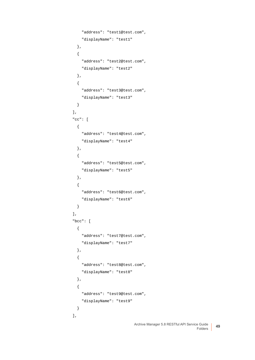```
 "address": "test1@test.com",
     "displayName": "test1"
   },
   {
     "address": "test2@test.com",
     "displayName": "test2"
   },
   {
     "address": "test3@test.com",
     "displayName": "test3"
  }
 ],
 "cc": [
   {
     "address": "test4@test.com",
     "displayName": "test4"
   },
   {
     "address": "test5@test.com",
     "displayName": "test5"
  },
   {
     "address": "test6@test.com",
     "displayName": "test6"
  }
 ],
 "bcc": [
  {
     "address": "test7@test.com",
     "displayName": "test7"
   },
   {
     "address": "test8@test.com",
     "displayName": "test8"
   },
   {
     "address": "test9@test.com",
     "displayName": "test9"
  }
 ],
```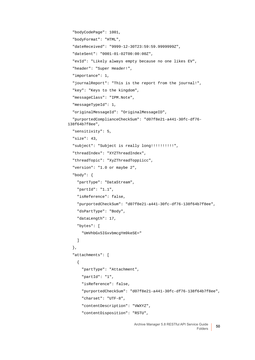```
 "bodyCodePage": 1001,
   "bodyFormat": "HTML",
   "dateReceived": "9999-12-30T23:59:59.9999999Z",
   "dateSent": "0001-01-02T00:00:00Z",
   "evId": "Likely always empty because no one likes EV",
   "header": "Super Header!",
   "importance": 1,
   "journalReport": "This is the report from the journal!",
   "key": "Keys to the kingdom",
   "messageClass": "IPM.Note",
   "messageTypeId": 1,
   "originalMessageId": "OriginalMessageID",
   "purportedComplianceCheckSum": "d07f8e21-a441-30fc-df76-
138f64b7f8ee",
   "sensitivity": 5,
   "size": 43,
   "subject": "Subject is really long!!!!!!!!!!",
   "threadIndex": "XYZThreadIndex",
   "threadTopic": "XyZThreadToppiicc",
   "version": "1.0 or maybe 2",
   "body": {
     "partType": "DataStream",
     "partId": "1.1",
     "isReference": false,
     "purportedCheckSum": "d07f8e21-a441-30fc-df76-138f64b7f8ee",
     "dsPartType": "Body",
     "dataLength": 17,
     "bytes": [
       "UmVhbGx5IGxvbmcgYm9keSE="
     ]
   },
   "attachments": [
     {
       "partType": "Attachment",
       "partId": "1",
       "isReference": false,
       "purportedCheckSum": "d07f8e21-a441-30fc-df76-138f64b7f8ee",
       "charset": "UTF-8",
       "contentDescription": "VWXYZ",
       "contentDisposition": "RSTU",
```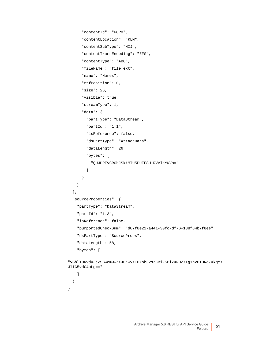```
 "contentId": "NOPQ",
       "contentLocation": "KLM",
       "contentSubType": "HIJ",
       "contentTransEncoding": "EFG",
       "contentType": "ABC",
       "fileName": "file.ext",
       "name": "Names",
       "rtfPosition": 0,
       "size": 26,
       "visible": true,
       "streamType": 1,
       "data": {
         "partType": "DataStream",
         "partId": "1.1",
         "isReference": false,
         "dsPartType": "AttachData",
         "dataLength": 26,
         "bytes": [
           "QUJDREVGR0hJSktMTU5PUFFSU1RVVldYWVo="
         ]
       }
     }
   ],
   "sourceProperties": {
     "partType": "DataStream",
     "partId": "1.3",
     "isReference": false,
     "purportedCheckSum": "d07f8e21-a441-30fc-df76-138f64b7f8ee",
     "dsPartType": "SourceProps",
     "dataLength": 58,
     "bytes": [
"VGhlIHNvdXJjZSBwcm9wZXJ0aWVzIHNob3VsZCBiZSBiZXR0ZXIgYnV0IHRoZXkgYX
```

```
JlIG5vdC4uLg=="
```

```
 ]
   }
}
```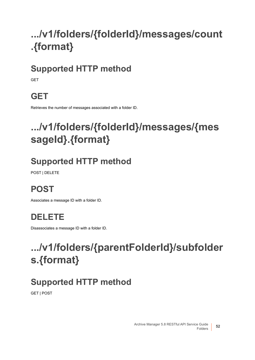# <span id="page-51-0"></span>**.../v1/folders/{folderId}/messages/count .{format}**

## **Supported HTTP method**

**GFT** 

## **GET**

Retrieves the number of messages associated with a folder ID.

## <span id="page-51-1"></span>**.../v1/folders/{folderId}/messages/{mes sageId}.{format}**

## **Supported HTTP method**

POST | DELETE

## **POST**

Associates a message ID with a folder ID.

## **DELETE**

Disassociates a message ID with a folder ID.

## <span id="page-51-2"></span>**.../v1/folders/{parentFolderId}/subfolder s.{format}**

## **Supported HTTP method**

GET | POST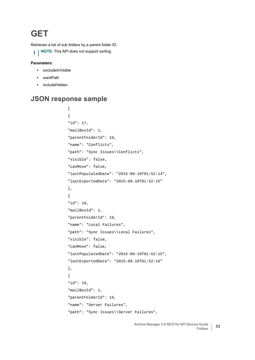#### **GET**

Retrieves a list of sub folders by a parent folder ID.

**i** | NOTE: This API does not support sorting.

#### **Parameters**:

- **•** excludeInVisible
- **•** wantPath
- **•** includeHidden

#### **JSON response sample**

```
\overline{[}{
"id": 17,
"mailBoxId": 1,
"parentFolderId": 16,
"name": "Conflicts",
"path": "Sync Issues\\Conflicts",
"visible": false,
"canMove": false,
"lastPopulatedDate": "2015-09-10T01:52:14",
"lastExportedDate": "2015-09-10T01:52:15"
},
{
"id": 18,
"mailBoxId": 1,
"parentFolderId": 16,
"name": "Local Failures",
"path": "Sync Issues\\Local Failures",
"visible": false,
"canMove": false,
"lastPopulatedDate": "2015-09-10T01:52:15",
"lastExportedDate": "2015-09-10T01:52:16"
},
{
"id": 19,
"mailBoxId": 1,
"parentFolderId": 16,
"name": "Server Failures",
"path": "Sync Issues\\Server Failures",
```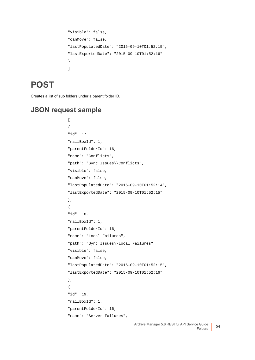```
"visible": false,
"canMove": false,
"lastPopulatedDate": "2015-09-10T01:52:15",
"lastExportedDate": "2015-09-10T01:52:16"
}
]
```
#### **POST**

Creates a list of sub folders under a parent folder ID.

```
\overline{[}{
"id": 17,
"mailBoxId": 1,
"parentFolderId": 16,
"name": "Conflicts",
"path": "Sync Issues\\Conflicts",
"visible": false,
"canMove": false,
"lastPopulatedDate": "2015-09-10T01:52:14",
"lastExportedDate": "2015-09-10T01:52:15"
},
{
"id": 18,
"mailBoxId": 1,
"parentFolderId": 16,
"name": "Local Failures",
"path": "Sync Issues\\Local Failures",
"visible": false,
"canMove": false,
"lastPopulatedDate": "2015-09-10T01:52:15",
"lastExportedDate": "2015-09-10T01:52:16"
},
{
"id": 19,
"mailBoxId": 1,
"parentFolderId": 16,
"name": "Server Failures",
```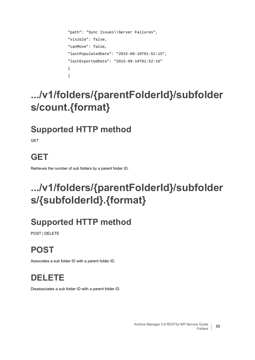```
"path": "Sync Issues\\Server Failures",
"visible": false,
"canMove": false,
"lastPopulatedDate": "2015-09-10T01:52:15",
"lastExportedDate": "2015-09-10T01:52:16"
}
]
```
## <span id="page-54-1"></span>**.../v1/folders/{parentFolderId}/subfolder s/count.{format}**

## **Supported HTTP method**

**GET** 

## **GET**

Retrieves the number of sub folders by a parent folder ID.

## <span id="page-54-0"></span>**.../v1/folders/{parentFolderId}/subfolder s/{subfolderId}.{format}**

## **Supported HTTP method**

POST | DELETE

## **POST**

Associates a sub folder ID with a parent folder ID.

## **DELETE**

Disassociates a sub folder ID with a parent folder ID.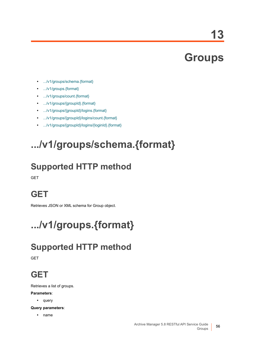**13**

## **Groups**

- **•** [.../v1/groups/schema.{format}](#page-55-0)
- **•** [.../v1/groups.{format}](#page-55-1)
- **•** [.../v1/groups/count.{format}](#page-56-0)
- **•** [.../v1/groups/{groupId}.{format}](#page-56-1)
- **•** [.../v1/groups/{groupId}/logins.{format}](#page-56-2)
- **•** [.../v1/groups/{groupId}/logins/count.{format}](#page-57-1)
- **•** [.../v1/groups/{groupId}/logins/{loginId}.{format}](#page-57-0)

# <span id="page-55-0"></span>**.../v1/groups/schema.{format}**

## **Supported HTTP method**

**GET** 

## **GET**

Retrieves JSON or XML schema for Group object.

# <span id="page-55-1"></span>**.../v1/groups.{format}**

## **Supported HTTP method**

**GET** 

## **GET**

Retrieves a list of groups.

#### **Parameters**:

**•** query

**Query parameters**:

**•** name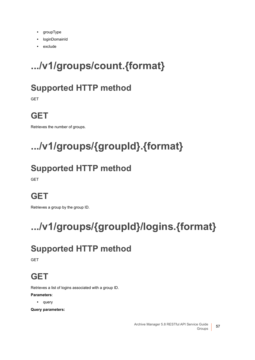- **•** groupType
- **•** loginDomainId
- **•** exclude

# <span id="page-56-0"></span>**.../v1/groups/count.{format}**

## **Supported HTTP method**

GET

## **GET**

Retrieves the number of groups.

# <span id="page-56-1"></span>**.../v1/groups/{groupId}.{format}**

## **Supported HTTP method**

**GET** 

## **GET**

Retrieves a group by the group ID.

# <span id="page-56-2"></span>**.../v1/groups/{groupId}/logins.{format}**

## **Supported HTTP method**

**GET** 

## **GET**

Retrieves a list of logins associated with a group ID.

#### **Parameters**:

**•** query

**Query parameters:**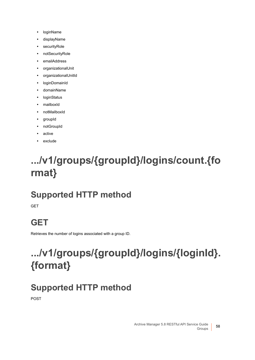- **•** loginName
- **•** displayName
- **•** securityRole
- **•** notSecurityRole
- **•** emailAddress
- **•** organizationalUnit
- **•** organizationalUnitId
- **•** loginDomainId
- **•** domainName
- **•** loginStatus
- **•** mailboxId
- **•** notMailboxId
- **•** groupId
- **•** notGroupId
- **•** active
- **•** exclude

## <span id="page-57-1"></span>**.../v1/groups/{groupId}/logins/count.{fo rmat}**

## **Supported HTTP method**

**GET** 

## **GET**

Retrieves the number of logins associated with a group ID.

# <span id="page-57-0"></span>**.../v1/groups/{groupId}/logins/{loginId}. {format}**

## **Supported HTTP method**

POST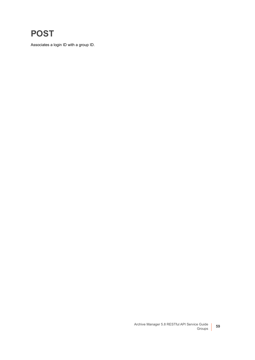### **POST**

Associates a login ID with a group ID.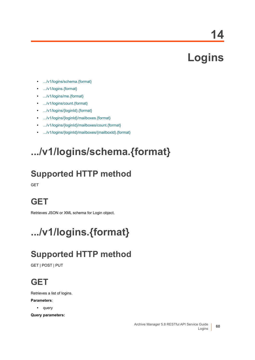**14**

# **Logins**

- **•** [.../v1/logins/schema.{format}](#page-59-0)
- **•** [.../v1/logins.{format}](#page-59-1)
- **•** [.../v1/logins/me.{format}](#page-60-0)
- **•** [.../v1/logins/count.{format}](#page-62-0)
- **•** [.../v1/logins/{loginId}.{format}](#page-62-2)
- **•** [.../v1/logins/{loginId}/mailboxes.{format}](#page-62-1)
- **•** [.../v1/logins/{loginId}/mailboxes/count.{format}](#page-68-0)
- **•** [.../v1/logins/{loginId}/mailboxes/{mailboxId}.{format}](#page-68-1)

## <span id="page-59-0"></span>**.../v1/logins/schema.{format}**

## **Supported HTTP method**

**GET** 

## **GET**

Retrieves JSON or XML schema for Login object.

# <span id="page-59-1"></span>**.../v1/logins.{format}**

## **Supported HTTP method**

GET | POST | PUT

## **GET**

Retrieves a list of logins.

#### **Parameters**:

**•** query

**Query parameters:**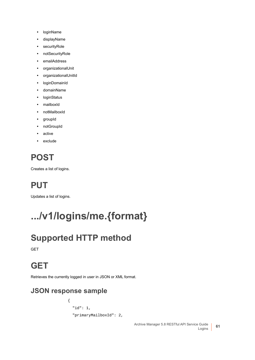- **•** loginName
- **•** displayName
- **•** securityRole
- **•** notSecurityRole
- **•** emailAddress
- **•** organizationalUnit
- **•** organizationalUnitId
- **•** loginDomainId
- **•** domainName
- **•** loginStatus
- **•** mailboxId
- **•** notMailboxId
- **•** groupId
- **•** notGroupId
- **•** active
- **•** exclude

## **POST**

Creates a list of logins.

## **PUT**

Updates a list of logins.

# <span id="page-60-0"></span>**.../v1/logins/me.{format}**

## **Supported HTTP method**

GET

### **GET**

Retrieves the currently logged in user in JSON or XML format.

#### **JSON response sample**

```
{
   "id": 1,
   "primaryMailboxId": 2,
```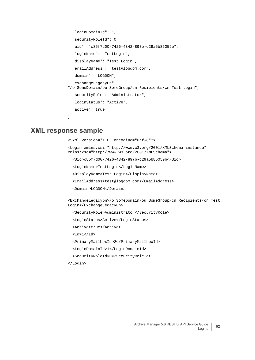```
 "loginDomainId": 1,
   "securityRoleId": 0,
   "uid": "c85f7d00-7426-4342-897b-d29a5b85059b",
   "loginName": "TestLogin",
   "displayName": "Test Login",
   "emailAddress": "test@logdom.com",
   "domain": "LOGDOM",
   "exchangeLegacyDn": 
"/o=SomeDomain/ou=SomeGroup/cn=Recipients/cn=Test Login",
   "securityRole": "Administrator",
   "loginStatus": "Active",
   "active": true
}
```
#### **XML response sample**

```
<?xml version="1.0" encoding="utf-8"?>
```

```
<Login xmlns:xsi="http://www.w3.org/2001/XMLSchema-instance" 
xmlns:xsd="http://www.w3.org/2001/XMLSchema">
```
<Uid>c85f7d00-7426-4342-897b-d29a5b85059b</Uid>

<LoginName>TestLogin</LoginName>

<DisplayName>Test Login</DisplayName>

<EmailAddress>test@logdom.com</EmailAddress>

<Domain>LOGDOM</Domain>

<ExchangeLegacyDn>/o=SomeDomain/ou=SomeGroup/cn=Recipients/cn=Test Login</ExchangeLegacyDn>

<SecurityRole>Administrator</SecurityRole>

<LoginStatus>Active</LoginStatus>

<Active>true</Active>

 $<$ Id> $1$ </Id>

<PrimaryMailboxId>2</PrimaryMailboxId>

<LoginDomainId>1</LoginDomainId>

<SecurityRoleId>0</SecurityRoleId>

</Login>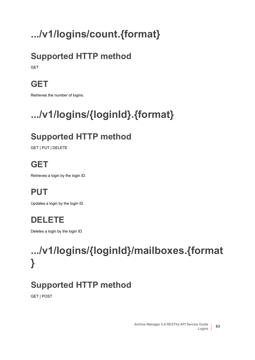# <span id="page-62-0"></span>**.../v1/logins/count.{format}**

## **Supported HTTP method**

**GET** 

## **GET**

Retrieves the number of logins.

# <span id="page-62-2"></span>**.../v1/logins/{loginId}.{format}**

## **Supported HTTP method**

GET | PUT | DELETE

## **GET**

Retrieves a login by the login ID.

## **PUT**

Updates a login by the login ID.

## **DELETE**

Deletes a login by the login ID.

# <span id="page-62-1"></span>**.../v1/logins/{loginId}/mailboxes.{format }**

## **Supported HTTP method**

GET | POST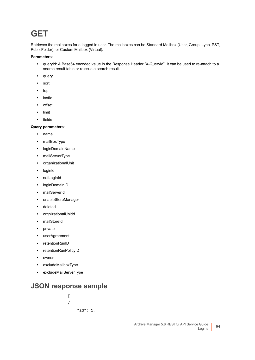### **GET**

Retrieves the mailboxes for a logged in user. The mailboxes can be Standard Mailbox (User, Group, Lync, PST, PublicFolder), or Custom Mailbox (Virtual).

#### **Parameters**:

- **•** queryId: A Base64 encoded value in the Response Header "X-QueryId". It can be used to re-attach to a search result table or reissue a search result.
- **•** query
- **•** sort
- **•** top
- **•** lastId
- **•** offset
- **•** limit
- **•** fields

#### **Query parameters**:

- **•** name
- **•** mailBoxType
- **•** loginDomainName
- **•** mailServerType
- **•** organizationalUnit
- **•** loginId
- **•** notLoginId
- **•** loginDomainID
- **•** mailServerId
- **•** enableStoreManager
- **•** deleted
- **•** orgnizationalUnitId
- **•** mailStoreId
- **•** private
- **•** userAgreement
- **•** retentionRunID
- **•** retentionRunPolicyID
- **•** owner
- **•** excludeMailboxType
- **•** excludeMailServerType

#### **JSON response sample**

 $\overline{[}$ { "id": 1,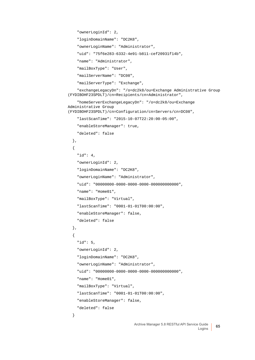```
 "ownerLoginId": 2,
     "loginDomainName": "DC2K8",
     "ownerLoginName": "Administrator",
     "uid": "75f6e283-6332-4e91-b811-cef20931f14b",
     "name": "Administrator",
     "mailBoxType": "User",
     "mailServerName": "DC08",
     "mailServerType": "Exchange",
     "exchangeLegacyDn": "/o=dc2k8/ou=Exchange Administrative Group 
(FYDIBOHF23SPDLT)/cn=Recipients/cn=Administrator",
     "homeServerExchangeLegacyDn": "/o=dc2k8/ou=Exchange 
Administrative Group 
(FYDIBOHF23SPDLT)/cn=Configuration/cn=Servers/cn=DC08",
     "lastScanTime": "2015-10-07T22:20:00-05:00",
     "enableStoreManager": true,
     "deleted": false
   },
   {
     "id": 4,
     "ownerLoginId": 2,
     "loginDomainName": "DC2K8",
     "ownerLoginName": "Administrator",
     "uid": "00000000-0000-0000-0000-000000000000",
     "name": "Home01",
     "mailBoxType": "Virtual",
     "lastScanTime": "0001-01-01T00:00:00",
     "enableStoreManager": false,
     "deleted": false
   },
   {
     "id": 5,
     "ownerLoginId": 2,
     "loginDomainName": "DC2K8",
     "ownerLoginName": "Administrator",
     "uid": "00000000-0000-0000-0000-000000000000",
     "name": "Home01",
     "mailBoxType": "Virtual",
     "lastScanTime": "0001-01-01T00:00:00",
     "enableStoreManager": false,
     "deleted": false
   }
```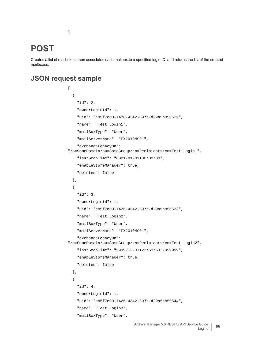#### **POST**

Creates a list of mailboxes, then associates each mailbox to a specified login ID, and returns the list of the created mailboxes.

#### **JSON request sample**

]

```
\overline{[} {
     "id": 2,
     "ownerLoginId": 1,
     "uid": "c85f7d00-7426-4342-897b-d29a5b850522",
     "name": "Test Login1",
     "mailBoxType": "User",
     "mailServerName": "EX2010MS01",
     "exchangeLegacyDn": 
"/o=SomeDomain/ou=SomeGroup/cn=Recipients/cn=Test Login1",
     "lastScanTime": "0001-01-01T00:00:00",
     "enableStoreManager": true,
     "deleted": false
   },
   {
     "id": 3,
     "ownerLoginId": 1,
     "uid": "c85f7d00-7426-4342-897b-d29a5b850533",
     "name": "Test Login2",
     "mailBoxType": "User",
     "mailServerName": "EX2010MS01",
     "exchangeLegacyDn": 
"/o=SomeDomain/ou=SomeGroup/cn=Recipients/cn=Test Login2",
     "lastScanTime": "9999-12-31T23:59:59.9999999",
     "enableStoreManager": true,
     "deleted": false
   },
   {
     "id": 4,
     "ownerLoginId": 1,
     "uid": "c85f7d00-7426-4342-897b-d29a5b850544",
     "name": "Test Login3",
     "mailBoxType": "User",
```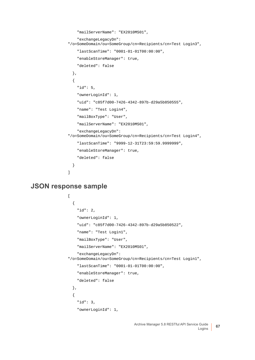```
 "mailServerName": "EX2010MS01",
     "exchangeLegacyDn": 
"/o=SomeDomain/ou=SomeGroup/cn=Recipients/cn=Test Login3",
     "lastScanTime": "0001-01-01T00:00:00",
     "enableStoreManager": true,
     "deleted": false
  },
   {
     "id": 5,
     "ownerLoginId": 1,
     "uid": "c85f7d00-7426-4342-897b-d29a5b850555",
     "name": "Test Login4",
     "mailBoxType": "User",
     "mailServerName": "EX2010MS01",
     "exchangeLegacyDn": 
"/o=SomeDomain/ou=SomeGroup/cn=Recipients/cn=Test Login4",
     "lastScanTime": "9999-12-31T23:59:59.9999999",
     "enableStoreManager": true,
     "deleted": false
   }
]
```
**JSON response sample**

```
\mathbf{r} {
     "id": 2,
     "ownerLoginId": 1,
     "uid": "c85f7d00-7426-4342-897b-d29a5b850522",
     "name": "Test Login1",
     "mailBoxType": "User",
     "mailServerName": "EX2010MS01",
     "exchangeLegacyDn": 
"/o=SomeDomain/ou=SomeGroup/cn=Recipients/cn=Test Login1",
     "lastScanTime": "0001-01-01T00:00:00",
     "enableStoreManager": true,
     "deleted": false
   },
   {
     "id": 3,
     "ownerLoginId": 1,
```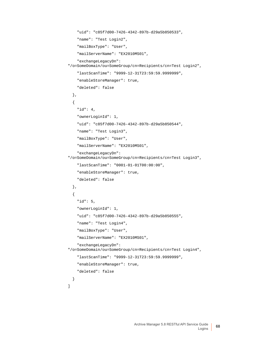```
 "uid": "c85f7d00-7426-4342-897b-d29a5b850533",
     "name": "Test Login2",
     "mailBoxType": "User",
     "mailServerName": "EX2010MS01",
     "exchangeLegacyDn": 
"/o=SomeDomain/ou=SomeGroup/cn=Recipients/cn=Test Login2",
     "lastScanTime": "9999-12-31T23:59:59.9999999",
     "enableStoreManager": true,
     "deleted": false
  },
   {
     "id": 4,
     "ownerLoginId": 1,
     "uid": "c85f7d00-7426-4342-897b-d29a5b850544",
     "name": "Test Login3",
     "mailBoxType": "User",
     "mailServerName": "EX2010MS01",
     "exchangeLegacyDn": 
"/o=SomeDomain/ou=SomeGroup/cn=Recipients/cn=Test Login3",
     "lastScanTime": "0001-01-01T00:00:00",
     "enableStoreManager": true,
     "deleted": false
  },
   {
     "id": 5,
     "ownerLoginId": 1,
     "uid": "c85f7d00-7426-4342-897b-d29a5b850555",
     "name": "Test Login4",
     "mailBoxType": "User",
     "mailServerName": "EX2010MS01",
     "exchangeLegacyDn": 
"/o=SomeDomain/ou=SomeGroup/cn=Recipients/cn=Test Login4",
     "lastScanTime": "9999-12-31T23:59:59.9999999",
     "enableStoreManager": true,
     "deleted": false
  }
]
```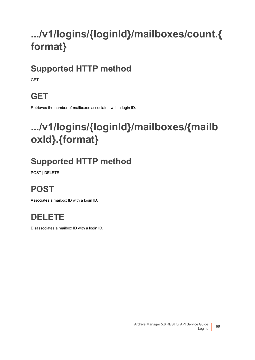# <span id="page-68-0"></span>**.../v1/logins/{loginId}/mailboxes/count.{ format}**

## **Supported HTTP method**

**GFT** 

## **GET**

Retrieves the number of mailboxes associated with a login ID.

## <span id="page-68-1"></span>**.../v1/logins/{loginId}/mailboxes/{mailb oxId}.{format}**

## **Supported HTTP method**

POST | DELETE

## **POST**

Associates a mailbox ID with a login ID.

### **DELETE**

Disassociates a mailbox ID with a login ID.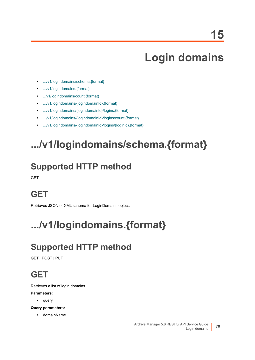## **Login domains**

- **•** [.../v1/logindomains/schema.{format}](#page-69-1)
- **•** [.../v1/logindomains.{format}](#page-69-0)
- **•** [...v1/logindomains/count.{format}](#page-70-0)
- **•** [.../v1/logindomains/{logindomainId}.{format}](#page-70-1)
- **•** [.../v1/logindomains/{logindomainId}/logins.{format}](#page-71-0)
- **•** [.../v1/logindomains/{logindomainId}/logins/count.{format}](#page-72-1)
- **•** [.../v1/logindomains/{logindomainId}/logins/{loginId}.{format}](#page-72-0)

# <span id="page-69-1"></span>**.../v1/logindomains/schema.{format}**

## **Supported HTTP method**

**GET** 

## **GET**

Retrieves JSON or XML schema for LoginDomains object.

# <span id="page-69-0"></span>**.../v1/logindomains.{format}**

## **Supported HTTP method**

GET | POST | PUT

## **GET**

Retrieves a list of login domains.

#### **Parameters**:

**•** query

**Query parameters:**

**•** domainName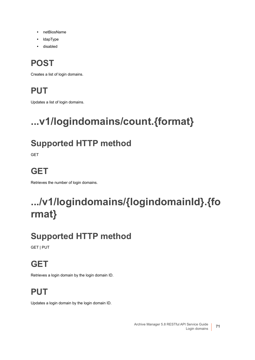- **•** netBiosName
- **•** ldapType
- **•** disabled

## **POST**

Creates a list of login domains.

## **PUT**

Updates a list of login domains.

# <span id="page-70-0"></span>**...v1/logindomains/count.{format}**

## **Supported HTTP method**

GET

## **GET**

Retrieves the number of login domains.

# <span id="page-70-1"></span>**.../v1/logindomains/{logindomainId}.{fo rmat}**

## **Supported HTTP method**

GET | PUT

## **GET**

Retrieves a login domain by the login domain ID.

## **PUT**

Updates a login domain by the login domain ID.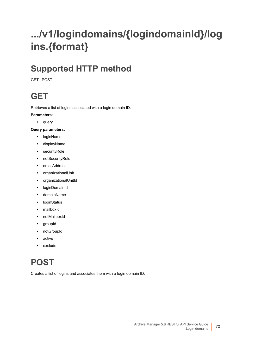# <span id="page-71-0"></span>**.../v1/logindomains/{logindomainId}/log ins.{format}**

## **Supported HTTP method**

GET | POST

### **GET**

Retrieves a list of logins associated with a login domain ID.

#### **Parameters**:

**•** query

#### **Query parameters:**

- **•** loginName
- **•** displayName
- **•** securityRole
- **•** notSecurityRole
- **•** emailAddress
- **•** organizationalUnit
- **•** organizationalUnitId
- **•** loginDomainId
- **•** domainName
- **•** loginStatus
- **•** mailboxId
- **•** notMailboxId
- **•** groupId
- **•** notGroupId
- **•** active
- **•** exclude

## **POST**

Creates a list of logins and associates them with a login domain ID.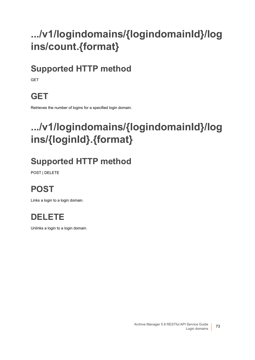# **.../v1/logindomains/{logindomainId}/log ins/count.{format}**

## **Supported HTTP method**

GET

## **GET**

Retrieves the number of logins for a specified login domain.

## **.../v1/logindomains/{logindomainId}/log ins/{loginId}.{format}**

## **Supported HTTP method**

POST | DELETE

## **POST**

Links a login to a login domain.



Unlinks a login to a login domain.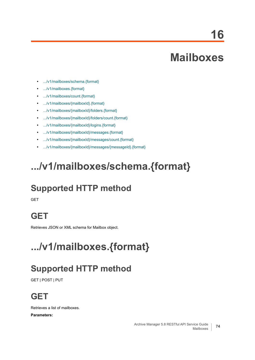**16**

## **Mailboxes**

- **•** [.../v1/mailboxes/schema.{format}](#page-73-1)
- **•** [.../v1/mailboxes.{format}](#page-73-0)
- **•** [.../v1/mailboxes/count.{format}](#page-77-0)
- **•** [.../v1/mailboxes/{mailboxId}.{format}](#page-78-0)
- **•** [.../v1/mailboxes/{mailboxId}/folders.{format}](#page-79-0)
- **•** [.../v1/mailboxes/{mailboxId}/folders/count.{format}](#page-81-0)
- **•** [.../v1/mailboxes/{mailboxId}/logins.{format}](#page-81-1)
- **•** [.../v1/mailboxes/{mailboxId}/messages.{format}](#page-82-0)
- **•** [.../v1/mailboxes/{mailboxId}/messages/count.{format}](#page-84-0)
- **•** [.../v1/mailboxes/{mailboxId}/messages/{messageId}.{format}](#page-84-1)

## <span id="page-73-1"></span>**.../v1/mailboxes/schema.{format}**

## **Supported HTTP method**

**GET** 

## **GET**

Retrieves JSON or XML schema for Mailbox object.

# <span id="page-73-0"></span>**.../v1/mailboxes.{format}**

## **Supported HTTP method**

GET | POST | PUT

## **GET**

Retrieves a list of mailboxes.

**Parameters:**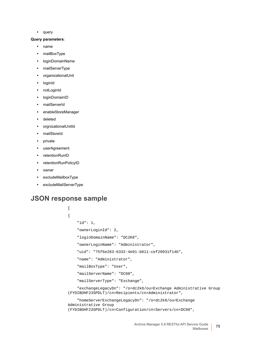**•** query

#### **Query parameters**:

- **•** name
- **•** mailBoxType
- **•** loginDomainName
- **•** mailServerType
- **•** organizationalUnit
- **•** loginId
- **•** notLoginId
- **•** loginDomainID
- **•** mailServerId
- **•** enableStoreManager
- **•** deleted
- **•** orgnizationalUnitId
- **•** mailStoreId
- **•** private
- **•** userAgreement
- **•** retentionRunID
- **•** retentionRunPolicyID
- **•** owner
- **•** excludeMailboxType
- **•** excludeMailServerType

#### **JSON response sample**

```
\begin{bmatrix} 1 & 0 \\ 0 & 1 \end{bmatrix}{
     "id": 1,
     "ownerLoginId": 2,
     "loginDomainName": "DC2K8",
      "ownerLoginName": "Administrator",
      "uid": "75f6e283-6332-4e91-b811-cef20931f14b",
      "name": "Administrator",
      "mailBoxType": "User",
      "mailServerName": "DC08",
      "mailServerType": "Exchange",
      "exchangeLegacyDn": "/o=dc2k8/ou=Exchange Administrative Group 
(FYDIBOHF23SPDLT)/cn=Recipients/cn=Administrator",
     "homeServerExchangeLegacyDn": "/o=dc2k8/ou=Exchange 
Administrative Group
```

```
(FYDIBOHF23SPDLT)/cn=Configuration/cn=Servers/cn=DC08",
```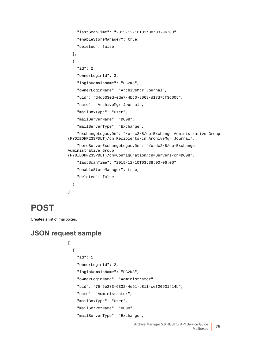```
 "lastScanTime": "2015-12-10T03:38:00-06:00",
     "enableStoreManager": true,
     "deleted": false
   },
   {
     "id": 2,
     "ownerLoginId": 3,
     "loginDomainName": "DC2K8",
     "ownerLoginName": "ArchiveMgr_Journal",
     "uid": "d4d633ed-ede7-4bd0-8068-d17d7cf3c005",
     "name": "ArchiveMgr_Journal",
     "mailBoxType": "User",
     "mailServerName": "DC08",
     "mailServerType": "Exchange",
     "exchangeLegacyDn": "/o=dc2k8/ou=Exchange Administrative Group 
(FYDIBOHF23SPDLT)/cn=Recipients/cn=ArchiveMgr_Journal",
     "homeServerExchangeLegacyDn": "/o=dc2k8/ou=Exchange 
Administrative Group 
(FYDIBOHF23SPDLT)/cn=Configuration/cn=Servers/cn=DC08",
     "lastScanTime": "2015-12-10T03:38:00-06:00",
     "enableStoreManager": true,
     "deleted": false
   }
]
```
### **POST**

Creates a list of mailboxes.

#### **JSON request sample**

[

```
 {
   "id": 1,
   "ownerLoginId": 2,
   "loginDomainName": "DC2K8",
   "ownerLoginName": "Administrator",
   "uid": "75f6e283-6332-4e91-b811-cef20931f14b",
   "name": "Administrator",
   "mailBoxType": "User",
   "mailServerName": "DC08",
   "mailServerType": "Exchange",
```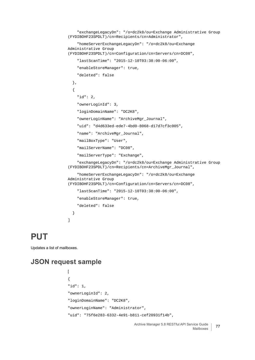```
 "exchangeLegacyDn": "/o=dc2k8/ou=Exchange Administrative Group 
(FYDIBOHF23SPDLT)/cn=Recipients/cn=Administrator",
     "homeServerExchangeLegacyDn": "/o=dc2k8/ou=Exchange 
Administrative Group 
(FYDIBOHF23SPDLT)/cn=Configuration/cn=Servers/cn=DC08",
     "lastScanTime": "2015-12-10T03:38:00-06:00",
     "enableStoreManager": true,
     "deleted": false
   },
   {
     "id": 2,
     "ownerLoginId": 3,
     "loginDomainName": "DC2K8",
     "ownerLoginName": "ArchiveMgr_Journal",
     "uid": "d4d633ed-ede7-4bd0-8068-d17d7cf3c005",
     "name": "ArchiveMgr_Journal",
     "mailBoxType": "User",
     "mailServerName": "DC08",
     "mailServerType": "Exchange",
     "exchangeLegacyDn": "/o=dc2k8/ou=Exchange Administrative Group 
(FYDIBOHF23SPDLT)/cn=Recipients/cn=ArchiveMgr_Journal",
     "homeServerExchangeLegacyDn": "/o=dc2k8/ou=Exchange 
Administrative Group 
(FYDIBOHF23SPDLT)/cn=Configuration/cn=Servers/cn=DC08",
     "lastScanTime": "2015-12-10T03:38:00-06:00",
     "enableStoreManager": true,
     "deleted": false
   }
]
```
#### **PUT**

Updates a list of mailboxes.

#### **JSON request sample**

```
[
{
"id": 1,
"ownerLoginId": 2,
"loginDomainName": "DC2K8",
"ownerLoginName": "Administrator",
"uid": "75f6e283-6332-4e91-b811-cef20931f14b",
```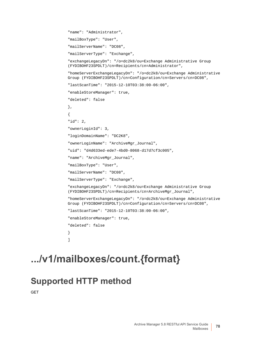```
"name": "Administrator",
"mailBoxType": "User",
"mailServerName": "DC08",
"mailServerType": "Exchange",
"exchangeLegacyDn": "/o=dc2k8/ou=Exchange Administrative Group 
(FYDIBOHF23SPDLT)/cn=Recipients/cn=Administrator",
"homeServerExchangeLegacyDn": "/o=dc2k8/ou=Exchange Administrative 
Group (FYDIBOHF23SPDLT)/cn=Configuration/cn=Servers/cn=DC08",
"lastScanTime": "2015-12-10T03:38:00-06:00",
"enableStoreManager": true,
"deleted": false
},
{
"id": 2,
"ownerLoginId": 3,
"loginDomainName": "DC2K8",
"ownerLoginName": "ArchiveMgr_Journal",
"uid": "d4d633ed-ede7-4bd0-8068-d17d7cf3c005",
"name": "ArchiveMgr_Journal",
"mailBoxType": "User",
"mailServerName": "DC08",
"mailServerType": "Exchange",
"exchangeLegacyDn": "/o=dc2k8/ou=Exchange Administrative Group 
(FYDIBOHF23SPDLT)/cn=Recipients/cn=ArchiveMgr_Journal",
"homeServerExchangeLegacyDn": "/o=dc2k8/ou=Exchange Administrative 
Group (FYDIBOHF23SPDLT)/cn=Configuration/cn=Servers/cn=DC08",
"lastScanTime": "2015-12-10T03:38:00-06:00",
"enableStoreManager": true,
"deleted": false
}
]
```
## <span id="page-77-0"></span>**.../v1/mailboxes/count.{format}**

#### **Supported HTTP method**

**GFT**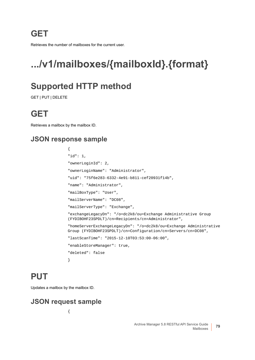**GET**

Retrieves the number of mailboxes for the current user.

## <span id="page-78-0"></span>**.../v1/mailboxes/{mailboxId}.{format}**

### **Supported HTTP method**

GET | PUT | DELETE

### **GET**

Retrieves a mailbox by the mailbox ID.

#### **JSON response sample**

```
{
"id": 1,
"ownerLoginId": 2,
"ownerLoginName": "Administrator",
"uid": "75f6e283-6332-4e91-b811-cef20931f14b",
"name": "Administrator",
"mailBoxType": "User",
"mailServerName": "DC08",
"mailServerType": "Exchange",
"exchangeLegacyDn": "/o=dc2k8/ou=Exchange Administrative Group 
(FYDIBOHF23SPDLT)/cn=Recipients/cn=Administrator",
"homeServerExchangeLegacyDn": "/o=dc2k8/ou=Exchange Administrative 
Group (FYDIBOHF23SPDLT)/cn=Configuration/cn=Servers/cn=DC08",
"lastScanTime": "2015-12-10T03:53:00-06:00",
"enableStoreManager": true,
"deleted": false
}
```
### **PUT**

Updates a mailbox by the mailbox ID.

#### **JSON request sample**

{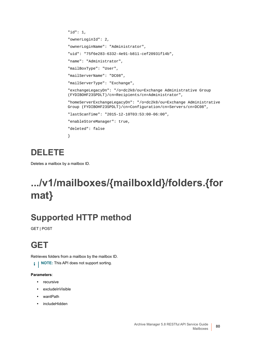```
"id": 1,
"ownerLoginId": 2,
"ownerLoginName": "Administrator",
"uid": "75f6e283-6332-4e91-b811-cef20931f14b",
"name": "Administrator",
"mailBoxType": "User",
"mailServerName": "DC08",
"mailServerType": "Exchange",
"exchangeLegacyDn": "/o=dc2k8/ou=Exchange Administrative Group 
(FYDIBOHF23SPDLT)/cn=Recipients/cn=Administrator",
"homeServerExchangeLegacyDn": "/o=dc2k8/ou=Exchange Administrative 
Group (FYDIBOHF23SPDLT)/cn=Configuration/cn=Servers/cn=DC08",
"lastScanTime": "2015-12-10T03:53:00-06:00",
"enableStoreManager": true,
"deleted": false
}
```
### **DELETE**

Deletes a mailbox by a mailbox ID.

## <span id="page-79-0"></span>**.../v1/mailboxes/{mailboxId}/folders.{for mat}**

## **Supported HTTP method**

GET | POST

## **GET**

Retrieves folders from a mailbox by the mailbox ID.

**i** | NOTE: This API does not support sorting.

#### **Parameters**:

- **•** recursive
- **•** excludeInVisible
- **•** wantPath
- **•** includeHidden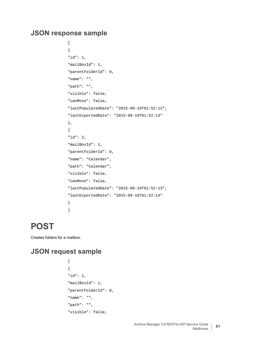#### **JSON response sample**

```
\overline{[}{
"id": 1,
"mailBoxId": 1,
"parentFolderId": 0,
"name": "",
"path": "",
"visible": false,
"canMove": false,
"lastPopulatedDate": "2015-09-10T01:52:12",
"lastExportedDate": "2015-09-10T01:52:13"
},
{
"id": 2,
"mailBoxId": 1,
"parentFolderId": 0,
"name": "Calendar",
"path": "Calendar",
"visible": false,
"canMove": false,
"lastPopulatedDate": "2015-09-10T01:52:13",
"lastExportedDate": "2015-09-10T01:52:14"
}
]
```
### **POST**

Creates folders for a mailbox.

#### **JSON request sample**

```
\begin{bmatrix} 1 & 0 \\ 0 & 1 \end{bmatrix}{
"id": 1,
"mailBoxId": 1,
"parentFolderId": 0,
"name": "",
"path": "",
"visible": false,
```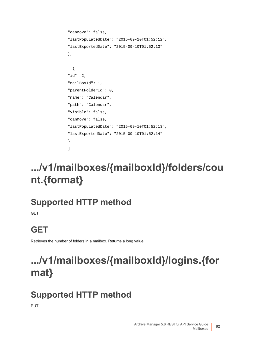```
"canMove": false,
"lastPopulatedDate": "2015-09-10T01:52:12",
"lastExportedDate": "2015-09-10T01:52:13"
},
   {
"id": 2,
"mailBoxId": 1,
"parentFolderId": 0,
"name": "Calendar",
"path": "Calendar",
"visible": false,
"canMove": false,
"lastPopulatedDate": "2015-09-10T01:52:13",
"lastExportedDate": "2015-09-10T01:52:14"
}
]
```
# <span id="page-81-0"></span>**.../v1/mailboxes/{mailboxId}/folders/cou nt.{format}**

## **Supported HTTP method**

**GET** 

## **GET**

Retrieves the number of folders in a mailbox. Returns a long value.

# <span id="page-81-1"></span>**.../v1/mailboxes/{mailboxId}/logins.{for mat}**

## **Supported HTTP method**

PUT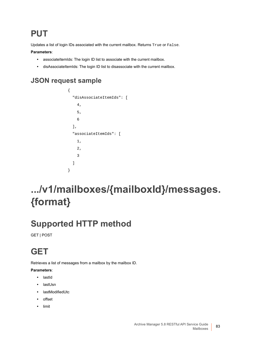## **PUT**

Updates a list of login IDs associated with the current mailbox. Returns True or False.

#### **Parameters**:

- **•** associateItemIds: The login ID list to associate with the current mailbox.
- disAssociateItemIds: The login ID list to disassociate with the current mailbox.

#### **JSON request sample**

```
{
   "disAssociateItemIds": [
      4,
      5,
      6
   ],
   "associateItemIds": [
      1,
      2,
      3
   ]
}
```
## <span id="page-82-0"></span>**.../v1/mailboxes/{mailboxId}/messages. {format}**

## **Supported HTTP method**

GET | POST

## **GET**

Retrieves a list of messages from a mailbox by the mailbox ID.

#### **Parameters**:

- **•** lastId
- **•** lastUsn
- **•** lastModifiedUtc
- **•** offset
- **•** limit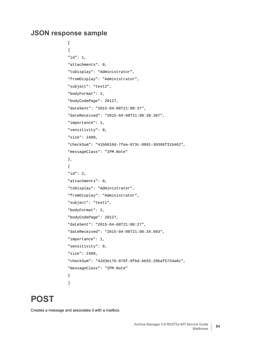#### **JSON response sample**

```
\overline{1}{
"id": 1,
"attachments": 0,
"toDisplay": "Administrator",
"fromDisplay": "Administrator",
"subject": "test2",
"bodyFormat": 2,
"bodyCodePage": 20127,
"dateSent": "2015-04-08T21:08:37",
"dateReceived": "2015-04-08T21:08:38.307",
"importance": 1,
"sensitivity": 0,
"size": 2480,
"checkSum": "41b0616d-7fea-873c-8891-30386f31b462",
"messageClass": "IPM.Note"
},
{
"id": 2,
"attachments": 0,
"toDisplay": "Administrator",
"fromDisplay": "Administrator",
"subject": "test1",
"bodyFormat": 2,
"bodyCodePage": 20127,
"dateSent": "2015-04-08T21:08:27",
"dateReceived": "2015-04-08T21:08:34.993",
"importance": 1,
"sensitivity": 0,
"size": 2488,
"checkSum": "42d3e176-076f-9fbd-bb55-20baf5734a8c",
"messageClass": "IPM.Note"
}
]
```
### **POST**

Creates a message and associates it with a mailbox.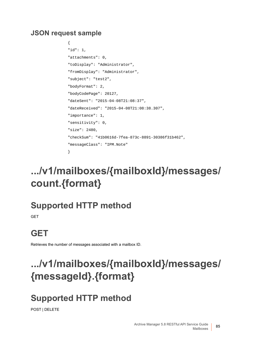#### **JSON request sample**

```
{
"id": 1,
"attachments": 0,
"toDisplay": "Administrator",
"fromDisplay": "Administrator",
"subject": "test2",
"bodyFormat": 2,
"bodyCodePage": 20127,
"dateSent": "2015-04-08T21:08:37",
"dateReceived": "2015-04-08T21:08:38.307",
"importance": 1,
"sensitivity": 0,
"size": 2480,
"checkSum": "41b0616d-7fea-873c-8891-30386f31b462",
"messageClass": "IPM.Note"
}
```
## <span id="page-84-0"></span>**.../v1/mailboxes/{mailboxId}/messages/ count.{format}**

### **Supported HTTP method**

**GFT** 

## **GET**

Retrieves the number of messages associated with a mailbox ID.

## <span id="page-84-1"></span>**.../v1/mailboxes/{mailboxId}/messages/ {messageId}.{format}**

## **Supported HTTP method**

POST | DELETE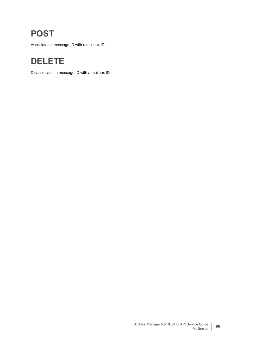### **POST**

Associates a message ID with a mailbox ID.

### **DELETE**

Disassociates a message ID with a mailbox ID.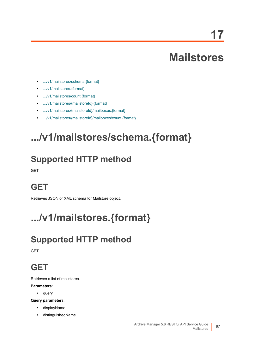**17**

## **Mailstores**

- **•** [.../v1/mailstores/schema.{format}](#page-86-1)
- **•** [.../v1/mailstores.{format}](#page-86-0)
- **•** [.../v1/mailstores/count.{format}](#page-87-0)
- **•** [.../v1/mailstores/{mailstoreId}.{format}](#page-87-1)
- **•** [.../v1/mailstores/{mailstoreId}/mailboxes.{format}](#page-87-2)
- **•** [.../v1/mailstores/{mailstoreId}/mailboxes/count.{format}](#page-88-0)

## <span id="page-86-1"></span>**.../v1/mailstores/schema.{format}**

## **Supported HTTP method**

GET

### **GET**

Retrieves JSON or XML schema for Mailstore object.

# <span id="page-86-0"></span>**.../v1/mailstores.{format}**

## **Supported HTTP method**

**GET** 

### **GET**

Retrieves a list of mailstores.

#### **Parameters**:

**•** query

**Query parameter**s:

- **•** displayName
- **•** distinguishedName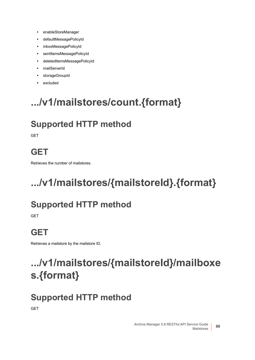- **•** enableStoreManager
- **•** defaultMessagePolicyId
- **•** inboxMessagePolicyId
- **•** sentItemsMessagePolicyId
- **•** deletedItemsMessagePolicyId
- **•** mailServerId
- **•** storageGroupId
- **•** excluded

# <span id="page-87-0"></span>**.../v1/mailstores/count.{format}**

## **Supported HTTP method**

**GET** 

## **GET**

Retrieves the number of mailstores.

# <span id="page-87-1"></span>**.../v1/mailstores/{mailstoreId}.{format}**

## **Supported HTTP method**

GET

## **GET**

Retrieves a mailstore by the mailstore ID.

# <span id="page-87-2"></span>**.../v1/mailstores/{mailstoreId}/mailboxe s.{format}**

## **Supported HTTP method**

**GET**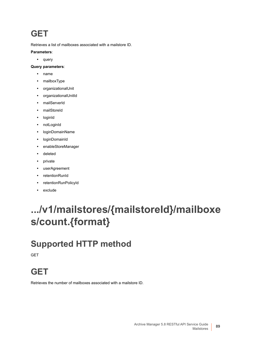### **GET**

Retrieves a list of mailboxes associated with a mailstore ID.

#### **Parameters**:

**•** query

#### **Query parameters**:

- **•** name
- **•** mailboxType
- **•** organizationalUnit
- **•** organizationalUnitId
- **•** mailServerId
- **•** mailStoreId
- **•** loginId
- **•** notLoginId
- **•** loginDomainName
- **•** loginDomainId
- **•** enableStoreManager
- **•** deleted
- **•** private
- **•** userAgreement
- **•** retentionRunId
- **•** retentionRunPolicyId
- **•** exclude

## <span id="page-88-0"></span>**.../v1/mailstores/{mailstoreId}/mailboxe s/count.{format}**

## **Supported HTTP method**

GET

## **GET**

Retrieves the number of mailboxes associated with a mailstore ID.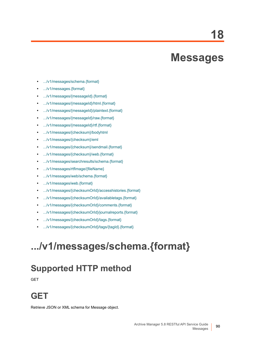**18**

## **Messages**

- **•** [.../v1/messages/schema.{format}](#page-89-0)
- **•** [.../v1/messages.{format}](#page-90-0)
- **•** [.../v1/messages/{messageId}.{format}](#page-93-0)
- **•** [.../v1/messages/{messageId}/html.{format}](#page-94-0)
- **•** [.../v1/messages/{messageId}/plaintext.{format}](#page-94-1)
- **•** [.../v1/messages/{messageId}/raw.{format}](#page-94-2)
- **•** [.../v1/messages/{messageId}/rtf.{format}](#page-95-2)
- **•** [.../v1/messages/{checksum}/bodyhtml](#page-95-0)
- **•** [.../v1/messages/{checksum}/eml](#page-95-1)
- **•** [.../v1/messages/{checksum}/sendmail.{format}](#page-96-0)
- **•** [.../v1/messages/{checksum}/web.{format}](#page-97-0)
- **•** [.../v1/messages/searchresults/schema.{format}](#page-102-0)
- **•** [.../v1/messages/rtfImage/{fileName}](#page-103-0)
- **•** [.../v1/messages/web/schema.{format}](#page-103-1)
- **•** [.../v1/messages/web.{format}](#page-103-2)
- **•** [.../v1/messages/{checksumOrId}/accesshistories.{format}](#page-115-0)
- **•** [.../v1/messages/{checksumOrId}/availabletags.{format}](#page-116-0)
- **•** [.../v1/messages/{checksumOrId}/comments.{format}](#page-117-0)
- **•** [.../v1/messages/{checksumOrId}/journalreports.{format}](#page-118-0)
- **•** [.../v1/messages/{checksumOrId}/tags.{format}](#page-119-0)
- **•** [.../v1/messages/{checksumOrId}/tags/{tagId}.{format}](#page-120-0)

# <span id="page-89-0"></span>**.../v1/messages/schema.{format}**

## **Supported HTTP method**

GET

### **GET**

Retrieve JSON or XML schema for Message object.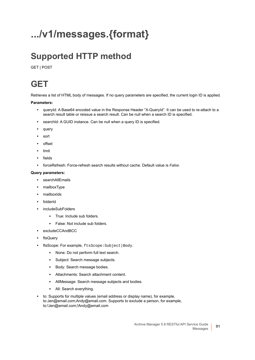# <span id="page-90-0"></span>**.../v1/messages.{format}**

## **Supported HTTP method**

GET | POST

### **GET**

Retrieves a list of HTML body of messages. If no query parameters are specified, the current login ID is applied.

#### **Parameters:**

- **•** queryId: A Base64 encoded value in the Response Header "X-QueryId". It can be used to re-attach to a search result table or reissue a search result. Can be null when a search ID is specified.
- **•** searchId: A GUID instance. Can be null when a query ID is specified.
- **•** query
- **•** sort
- **•** offset
- **•** limit
- **•** fields
- **•** forceRefresh: Force-refresh search results without cache. Default value is *False*.

#### **Query parameters:**

- **•** searchAllEmails
- **•** mailboxType
- **•** mailboxIds
- **•** folderId
- **•** includeSubFolders
	- **▪** True: Include sub folders.
	- **▪** False: Not include sub folders.
- **•** excludeCCAndBCC
- **•** ftsQuery
- **•** ftsScope: For example, ftsScope:Subject|Body.
	- **▪** None: Do not perform full text search.
	- **▪** Subject: Search message subjects.
	- **▪** Body: Search message bodies.
	- **▪** Attachments: Search attachment content.
	- **▪** AllMessage: Search message subjects and bodies.
	- **▪** All: Search everything.
- **•** to: Supports for multiple values (email address or display name), for example, to:Jen@email.com;Andy@email.com. Supports to exclude a person, for example, to:!Jen@email.com;!Andy@email.com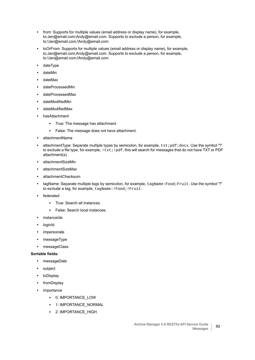- **•** from: Supports for multiple values (email address or display name), for example, to:Jen@email.com;Andy@email.com. Supports to exclude a person, for example, to:!Jen@email.com;!Andy@email.com
- **•** toOrFrom: Supports for multiple values (email address or display name), for example, to:Jen@email.com;Andy@email.com. Supports to exclude a person, for example, to:!Jen@email.com;!Andy@email.com
- **•** dateType
- **•** dateMin
- **•** dateMax
- **•** dateProcessedMin
- **•** dateProcessedMax
- **•** dateModifiedMin
- **•** dateModifiedMax
- **•** hasAttachment
	- **▪** True: The message has attachment.
	- **▪** False: The message does not have attachment.
- **•** attachmentName
- *attachmentType: Separate multiple types by semicolon, for example, txt;pdf;docx. Use the symbol "!"* to exclude a file type, for example,  $!txt;!pdf, this will search for messages that do not have TXT or PDF$ attachment(s).
- **•** attachmentSizeMin
- **•** attachmentSizeMax
- **•** attachmentChecksum
- **•** tagName: Separate multiple tags by semicolon, for example, tagName:Food;Fruit. Use the symbol "!" to exclude a tag, for example, tagName:!Food;!Fruit.
- **•** federated
	- **▪** True: Search all instances.
	- **▪** False: Search local instances.
- **•** instanceIds
- **•** loginId
- **•** impersonate
- **•** messageType
- **•** messageClass

#### **Sortable fields:**

- **•** messageDate
- **•** subject
- **•** toDisplay
- **•** fromDisplay
- **•** importance
	- **▪** 0: IMPORTANCE\_LOW
	- **▪** 1: IMPORTANCE\_NORMAL
	- **▪** 2: IMPORTANCE\_HIGH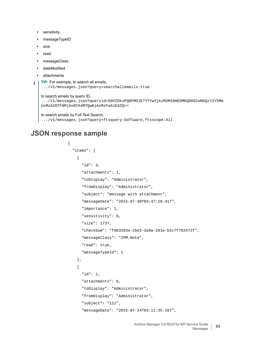- **•** sensitivity
- **•** messageTypeID
- **•** size
- **•** read
- **•** messageClass
- **•** dateModified
- **•** attachments

```
TIP: For example, to search all emails,
```
.../v1/messages.json?query=searchallemails:true

#### to search emails by query ID,

.../v1/messages.json?queryid=S0VZOkxPQ0FMOjE7YTYwYjkzM2M1NmE0MGQ0OGIwNGQzY2Y5Mm UxMzA2OTF8MjAxNTA4MTQwNjAzMzFaXzE3ZQ==

to search emails by Full Text Search, .../v1/messages.json?query=ftsquery:Software,ftsscope:All

#### **JSON response sample**

{

```
 "items": [
  {
     "id": 3,
     "attachments": 1,
     "toDisplay": "Administrator",
     "fromDisplay": "Administrator",
     "subject": "message with attachment",
     "messageDate": "2015-07-30T03:47:29.417",
     "importance": 1,
     "sensitivity": 0,
     "size": 1737,
     "checkSum": "f903283e-2bd3-2a9a-281e-b2c7f782472f",
     "messageClass": "IPM.Note",
     "read": true,
     "messageTypeId": 1
  },
   {
     "id": 1,
     "attachments": 0,
     "toDisplay": "Administrator",
     "fromDisplay": "Administrator",
     "subject": "111",
     "messageDate": "2015-07-24T03:11:35.167",
```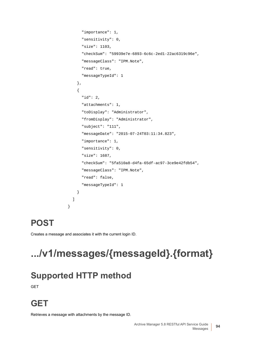```
 "importance": 1,
       "sensitivity": 0,
       "size": 1103,
       "checkSum": "59939e7e-6893-6c6c-2ed1-22ac6319c96e",
       "messageClass": "IPM.Note",
       "read": true,
       "messageTypeId": 1
     },
     {
       "id": 2,
       "attachments": 1,
       "toDisplay": "Administrator",
       "fromDisplay": "Administrator",
       "subject": "111",
       "messageDate": "2015-07-24T03:11:34.823",
       "importance": 1,
       "sensitivity": 0,
       "size": 1687,
       "checkSum": "5fa510a8-d4fa-65df-ac97-3ce9e42fdb54",
       "messageClass": "IPM.Note",
       "read": false,
       "messageTypeId": 1
     }
   ]
}
```
### **POST**

Creates a message and associates it with the current login ID.

# <span id="page-93-0"></span>**.../v1/messages/{messageId}.{format}**

## **Supported HTTP method**

GET

## **GET**

Retrieves a message with attachments by the message ID.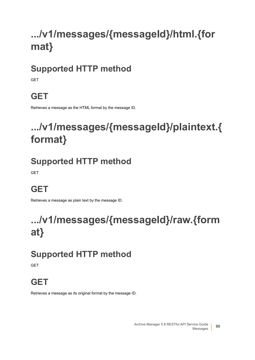# <span id="page-94-0"></span>**.../v1/messages/{messageId}/html.{for mat}**

## **Supported HTTP method**

**GFT** 

## **GET**

Retrieves a message as the HTML format by the message ID.

## <span id="page-94-1"></span>**.../v1/messages/{messageId}/plaintext.{ format}**

## **Supported HTTP method**

**GET** 

## **GET**

Retrieves a message as plain text by the message ID.

## <span id="page-94-2"></span>**.../v1/messages/{messageId}/raw.{form at}**

## **Supported HTTP method**

**GFT** 

## **GET**

Retrieves a message as its original format by the message ID.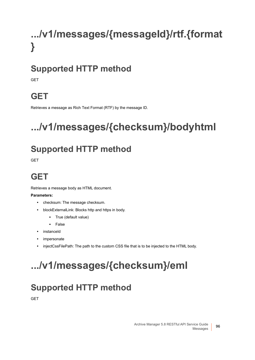# <span id="page-95-2"></span>**.../v1/messages/{messageId}/rtf.{format }**

## **Supported HTTP method**

**GFT** 

## **GET**

Retrieves a message as Rich Text Format (RTF) by the message ID.

# <span id="page-95-0"></span>**.../v1/messages/{checksum}/bodyhtml**

## **Supported HTTP method**

**GET** 

## **GET**

Retrieves a message body as HTML document.

#### **Parameters:**

- **•** checksum: The message checksum.
- **•** blockExternalLink: Blocks http and https in body.
	- **▪** True (default value)
	- **▪** False
- **•** instanceId
- **•** impersonate
- **•** injectCssFilePath: The path to the custom CSS file that is to be injected to the HTML body.

# <span id="page-95-1"></span>**.../v1/messages/{checksum}/eml**

## **Supported HTTP method**

**GFT**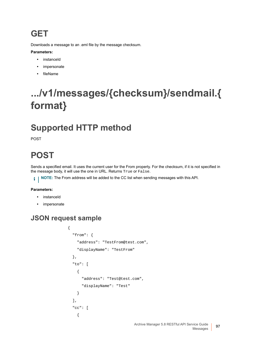### **GET**

Downloads a message to an .eml file by the message checksum.

#### **Parameters:**

- **•** instanceId
- **•** impersonate
- **•** fileName

## <span id="page-96-0"></span>**.../v1/messages/{checksum}/sendmail.{ format}**

## **Supported HTTP method**

POST

## **POST**

Sends a specified email. It uses the current user for the From property. For the checksum, if it is not specified in the message body, it will use the one in URL. Returns True or False.

**NOTE:** The From address will be added to the CC list when sending messages with this API.i I

#### **Parameters:**

- **•** instanceId
- **•** impersonate

#### **JSON request sample**

```
{
   "from": {
     "address": "TestFrom@test.com",
     "displayName": "TestFrom"
   },
   "to": [
     {
       "address": "Test@test.com",
       "displayName": "Test"
     }
   ],
   "cc": [
     {
```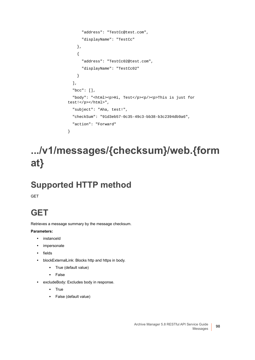```
 "address": "TestCc@test.com",
       "displayName": "TestCc"
     },
     {
       "address": "TestCc02@test.com",
       "displayName": "TestCc02"
     }
   ],
   "bcc": [],
   "body": "<html><p>Hi, Test</p><p/><p>This is just for 
test!</p></html>",
   "subject": "Aha, test!",
   "checkSum": "91d3eb57-0c35-49c3-bb38-b3c2394db9a6",
   "action": "Forward"
}
```
## <span id="page-97-0"></span>**.../v1/messages/{checksum}/web.{form at}**

## **Supported HTTP method**

GET

## **GET**

Retrieves a message summary by the message checksum.

#### **Parameters:**

- **•** instanceId
- **•** impersonate
- **•** fields
- **•** blockExternalLink: Blocks http and https in body.
	- **▪** True (default value)
	- **▪** False
- **•** excludeBody: Excludes body in response.
	- **▪** True
	- **▪** False (default value)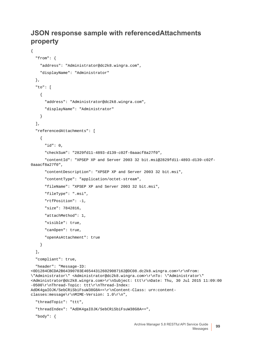#### **JSON response sample with referencedAttachments property**

```
Archive Manager 5.8 RESTful API Service Guide
{
   "from": {
     "address": "Administrator@dc2k8.wingra.com",
     "displayName": "Administrator"
   },
   "to": [
     {
       "address": "Administrator@dc2k8.wingra.com",
       "displayName": "Administrator"
     }
   ],
   "referencedAttachments": [
     {
       "id": 0,
       "checkSum": "2829fd11-4893-d139-c02f-0aaacf8a27f0",
       "contentId": "XPSEP XP and Server 2003 32 bit.msi@2829fd11-4893-d139-c02f-
0aaacf8a27f0",
       "contentDescription": "XPSEP XP and Server 2003 32 bit.msi",
       "contentType": "application/octet-stream",
       "fileName": "XPSEP XP and Server 2003 32 bit.msi",
       "fileType": ".msi",
       "rtfPosition": -1,
       "size": 7842816,
       "attachMethod": 1,
       "visible": true,
       "canOpen": true,
       "openAsAttachment": true
     }
   ],
   "compliant": true,
   "header": "Message-ID: 
<0D1284CBCDA2B64390703E465443126029087162@DC08.dc2k8.wingra.com>\r\nFrom: 
\"Administrator\" <Administrator@dc2k8.wingra.com>\r\nTo: \"Administrator\" 
<Administrator@dc2k8.wingra.com>\r\nSubject: ttt\r\nDate: Thu, 30 Jul 2015 11:09:00 
-0500\r\nThread-Topic: ttt\r\nThread-Index: 
AdDK4gaIOJK/SebCRiSbiFsuW38G8A==\r\nContent-Class: urn:content-
classes:message\r\nMIME-Version: 1.0\r\n",
   "threadTopic": "ttt",
   "threadIndex": "AdDK4gaIOJK/SebCRiSbiFsuW38G8A==",
   "body": {
```
Messages **<sup>99</sup>**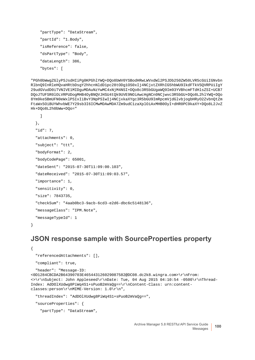```
 "partType": "DataStream",
 "partId": "1.Body",
 "isReference": false,
 "dsPartType": "Body",
 "dataLength": 386,
 "bytes": [
```
"PGh0bWwgZGlyPSJsdHIiPg0KPGhlYWQ+DQo8bWV0YSBodHRwLWVxdWl2PSJDb250ZW50LVR5cGUiIGNvbn RlbnQ9InRleHQvaHRtbDsgY2hhcnNldD1pc28tODg1OS0xIj4NCjxtZXRhIG5hbWU9IkdFTkVSQVRPUiIgY 29udGVudD0iTVNIVE1MIDguMDAuNzYwMC4xNjM4NSI+DQo8c3R5bGUgaWQ9Im93YVBhcmFTdHlsZSI+UCB7 DQoJTUFSR0lOLVRPUDogMHB4OyBNQVJHSU4tQk9UVE9NOiAwcHgNCn0NCjwvc3R5bGU+DQo8L2hlYWQ+DQo 8Ym9keSBmUFN0eWxlPSIxIiBvY3NpPSIwIj4NCjxkaXYgc3R5bGU9ImRpcmVjdGlvbjogbHRyO2ZvbnQtZm FtaWx5OiBUYWhvbWE7Y29sb3I6ICMwMDAwMDA7Zm9udC1zaXplOiAxMHB0OyI+dHR0PC9kaXY+DQo8L2JvZ Hk+DQo8L2h0bWw+DQo="

```
 ]
 },
 "id": 7,
 "attachments": 0,
 "subject": "ttt",
 "bodyFormat": 2,
 "bodyCodePage": 65001,
 "dateSent": "2015-07-30T11:09:00.103",
 "dateReceived": "2015-07-30T11:09:03.57",
 "importance": 1,
 "sensitivity": 0,
 "size": 7843735,
 "checkSum": "4aab0bc3-9acb-6cd3-e2d6-dbc6c5148136",
 "messageClass": "IPM.Note",
 "messageTypeId": 1
```
}

#### **JSON response sample with SourceProperties property**

```
{
   "referencedAttachments": [],
   "compliant": true,
   "header": "Message-ID: 
<0D1284CBCDA2B64390703E465443126029087582@DC08.dc2k8.wingra.com>\r\nFrom: 
<>\r\nSubject: John Appleseed\r\nDate: Tue, 04 Aug 2015 04:10:54 -0500\r\nThread-
Index: AdDOlXUdwg8PiWq4S1+sPuoB2mVaQg==\r\nContent-Class: urn:content-
classes:person\r\nMIME-Version: 1.0\r\n",
   "threadIndex": "AdDOlXUdwg8PiWq4S1+sPuoB2mVaQg==",
   "sourceProperties": {
```

```
 "partType": "DataStream",
```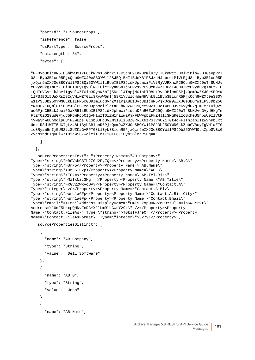```
 "partId": "1.SourceProps",
 "isReference": false,
 "dsPartType": "SourceProps",
 "dataLength": 847,
 "bytes": [
```

```
"PFByb3BlcnR5IE5hbWU9IkFCLkNvbXBhbnkiIFR5cGU9InN0cmluZyI+UkdWc2JDQlRiMlowZDJGeVpRPT
08L1Byb3BlcnR5PjxQcm9wZXJ0eSBOYW1lPSJBQi5HIiBUeXBlPSJzdHJpbmciPlVtRjU8L1Byb3BlcnR5P
jxQcm9wZXJ0eSBOYW1lPSJBQi5OYW1lIiBUeXBlPSJzdHJpbmciPlVtRjVJRXhwPC9Qcm9wZXJ0eT48UHJv
cGVydHkgTmFtZT0iQUIuUyIgVHlwZT0ic3RyaW5nIj5UR2s9PC9Qcm9wZXJ0eT48UHJvcGVydHkgTmFtZT0
iQUIuVGVsLkJpeiIgVHlwZT0ic3RyaW5nIj5Nekl4TnpjM01nPT08L1Byb3BlcnR5PjxQcm9wZXJ0eSBOYW
1lPSJBQi5UaXRsZSIgVHlwZT0ic3RyaW5nIj5SR1YyWld4dmNHVnk8L1Byb3BlcnR5PjxQcm9wZXJ0eSBOY
W1lPSJDb250YWN0LkEiIFR5cGU9ImludGVnZXIiPjA8L1Byb3BlcnR5PjxQcm9wZXJ0eSBOYW1lPSJDb250
YWN0LkEuQml6IiBUeXBlPSJzdHJpbmciPldtaDFhR0ZwPC9Qcm9wZXJ0eT48UHJvcGVydHkgTmFtZT0iQ29
udGFjdC5BLkJpei5DaXR5IiBUeXBlPSJzdHJpbmciPldtaDFhR0ZwPC9Qcm9wZXJ0eT48UHJvcGVydHkgTm
FtZT0iQ29udGFjdC5FbWFpbCIgVHlwZT0iZW1haWwiPjxFbWFpbEFkZHJlc3MgRGlzcGxheU5hbWU9IlVtR
jVMa3hwUUhOdlpuUjNZWEpsTG1SbGJHd3VZMjl0IiBBZGRyZXNzPSJVbUY1TGt4cFFITnZablIzWVhKbExt
UmxiR3d1WTI5dCIgLz48L1Byb3BlcnR5PjxQcm9wZXJ0eSBOYW1lPSJDb250YWN0LkZpbGVBcyIgVHlwZT0
ic3RyaW5nIj5UR2tzSUZKaGVRPT08L1Byb3BlcnR5PjxQcm9wZXJ0eSBOYW1lPSJDb250YWN0LkZpbGVBc0
Zvcm1hdCIgVHlwZT0iaW50ZWdlciI+MzI3OTE8L1Byb3BlcnR5Pg=="
```
#### ]

```
 },
```

```
 "sourcePropertiesText": "<Property Name=\"AB.Company\" 
Type=\"string\">RGVsbCBTb2Z0d2FyZQ==</Property><Property Name=\"AB.G\" 
Type=\"string\">UmF5</Property><Property Name=\"AB.Name\" 
Type=\"string\">UmF5IExp</Property><Property Name=\"AB.S\" 
Type=\"string\">TGk=</Property><Property Name=\"AB.Tel.Biz\" 
Type=\"string\">MzIxNzc3Mg==</Property><Property Name=\"AB.Title\" 
Type=\"string\">RGV2ZWxvcGVy</Property><Property Name=\"Contact.A\" 
Type=\"integer\">0</Property><Property Name=\"Contact.A.Biz\" 
Type=\"string\">Wmh1aGFp</Property><Property Name=\"Contact.A.Biz.City\" 
Type=\"string\">Wmh1aGFp</Property><Property Name=\"Contact.Email\" 
Type=\"email\"><EmailAddress DisplayName=\"UmF5LkxpQHNvZnR3YXJlLmRlbGwuY29t\" 
Address=\"UmF5LkxpQHNvZnR3YXJlLmRlbGwuY29t\" /></Property><Property 
Name=\"Contact.FileAs\" Type=\"string\">TGksIFJheQ==</Property><Property 
Name=\"Contact.FileAsFormat\" Type=\"integer\">32791</Property>",
```

```
 "sourcePropertiesDistinct": [
```

```
 {
       "name": "AB.Company",
       "type": "String",
       "value": "Dell Software"
     },
     {
       "name": "AB.G",
       "type": "String",
       "value": "John"
     },
\{ "name": "AB.Name",
```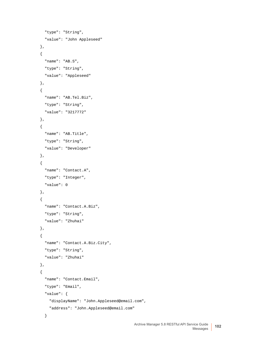```
 "type": "String",
   "value": "John Appleseed"
 },
 {
  "name": "AB.S",
  "type": "String",
  "value": "Appleseed"
 },
 {
   "name": "AB.Tel.Biz",
  "type": "String",
  "value": "3217772"
 },
 {
   "name": "AB.Title",
  "type": "String",
  "value": "Developer"
 },
 {
   "name": "Contact.A",
  "type": "Integer",
  "value": 0
 },
 {
   "name": "Contact.A.Biz",
   "type": "String",
   "value": "Zhuhai"
 },
 {
   "name": "Contact.A.Biz.City",
   "type": "String",
  "value": "Zhuhai"
 },
 {
   "name": "Contact.Email",
   "type": "Email",
   "value": {
     "displayName": "John.Appleseed@email.com",
     "address": "John.Appleseed@email.com"
   }
```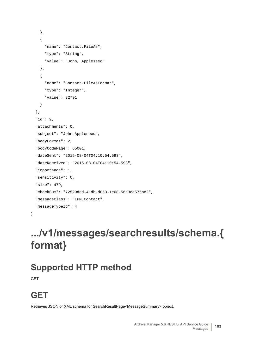```
 },
   {
     "name": "Contact.FileAs",
    "type": "String",
     "value": "John, Appleseed"
   },
   {
     "name": "Contact.FileAsFormat",
     "type": "Integer",
     "value": 32791
   }
 ],
 "id": 9,
 "attachments": 0,
 "subject": "John Appleseed",
 "bodyFormat": 2,
 "bodyCodePage": 65001,
 "dateSent": "2015-08-04T04:10:54.593",
 "dateReceived": "2015-08-04T04:10:54.593",
 "importance": 1,
 "sensitivity": 0,
 "size": 479,
 "checkSum": "72529ded-41db-d053-1e68-56e3cd575bc2",
 "messageClass": "IPM.Contact",
 "messageTypeId": 4
```
## <span id="page-102-0"></span>**.../v1/messages/searchresults/schema.{ format}**

### **Supported HTTP method**

**GET** 

}

## **GET**

Retrieves JSON or XML schema for SearchResultPage<MessageSummary> object.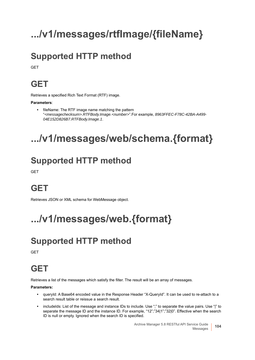# <span id="page-103-0"></span>**.../v1/messages/rtfImage/{fileName}**

## **Supported HTTP method**

**GET** 

## **GET**

Retrieves a specified Rich Text Format (RTF) image.

**Parameters**:

**•** fileName: The RTF image name matching the pattern "*<messagechecksum>.RTFBody.Image.<number>*".For example, *8963FFEC-F78C-42BA-A499- 04E152D826B7.RTFBody.Image.1*.

## <span id="page-103-1"></span>**.../v1/messages/web/schema.{format}**

## **Supported HTTP method**

**GFT** 

## **GET**

Retrieves JSON or XML schema for WebMessage object.

# <span id="page-103-2"></span>**.../v1/messages/web.{format}**

## **Supported HTTP method**

**GET** 

## **GET**

Retrieves a list of the messages which satisfy the filter. The result will be an array of messages.

**Parameters:**

- **•** queryId: A Base64 encoded value in the Response Header "X-QueryId". It can be used to re-attach to a search result table or reissue a search result.
- **•** includeIds: List of the message and instance IDs to include. Use ";" to separate the value pairs. Use "|" to separate the message ID and the instance ID. For example, "12";"34|1";"32|0". Effective when the search ID is null or empty. Ignored when the search ID is specified.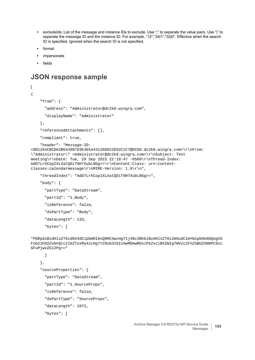- **•** excludeIds: List of the message and instance IDs to exclude. Use ";" to separate the value pairs. Use "|" to separate the message ID and the instance ID. For example, "12";"34|1";"32|0". Effective when the search ID is specified. Ignored when the search ID is not specified.
- **•** format
- **•** impersonate
- **•** fields

#### **JSON response sample**

```
\Gamma{
     "from": {
       "address": "Administrator@dc2k8.wingra.com",
       "displayName": "Administrator"
     },
     "referencedAttachments": [],
     "compliant": true,
     "header": "Message-ID: 
<0D1284CBCDA2B64390703E4654431260022ED2C1C7@DC08.dc2k8.wingra.com>\r\nFrom: 
\"Administrator\" <Administrator@dc2k8.wingra.com>\r\nSubject: Test 
meeting\r\nDate: Tue, 29 Sep 2015 22:18:47 -0500\r\nThread-Index: 
AdD7LrhCopIXLXatQOiT9H7XubLNGg==\r\nContent-Class: urn:content-
classes:calendarmessage\r\nMIME-Version: 1.0\r\n",
     "threadIndex": "AdD7LrhCopIXLXatQOiT9H7XubLNGg==",
     "body": {
       "partType": "DataStream",
       "partId": "1.Body",
       "isReference": false,
```

```
 "dsPartType": "Body",
```

```
 "dataLength": 133,
```

```
 "bytes": [
```
"PGRpdiBzdHlsZT0idGV4dC1pbmRlbnQ6MC4wcHg7Ij48c3BhbiBzdHlsZT0iZm9udC1mYW1pbHk6DQogVG Fob21hO2ZvbnQtc2l6ZToxMy4zcHg7Y29sb3I6IzAwMDAwMDsiPkZvciBXZWIgTWVzc2FnZSBUZXN0PC9zc GFuPjwvZGl2Pg=="

```
 ]
 },
 "sourceProperties": {
   "partType": "DataStream",
   "partId": "1.SourceProps",
   "isReference": false,
   "dsPartType": "SourceProps",
   "dataLength": 1072,
   "bytes": [
```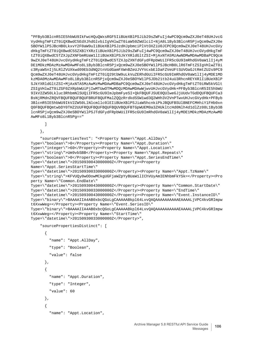"PFByb3BlcnR5IE5hbWU9IkFwcHQuQWxsRGF5IiBUeXBlPSJib29sZWFuIj4wPC9Qcm9wZXJ0eT48UHJvcG VydHkgTmFtZT0iQXBwdC5EdXJhdGlvbiIgVHlwZT0iaW50ZWdlciI+NjA8L1Byb3BlcnR5PjxQcm9wZXJ0e SBOYW1lPSJBcHB0LkxvY2F0aW9uIiBUeXBlPSJzdHJpbmciPlVtOXZiU0JCPC9Qcm9wZXJ0eT48UHJvcGVy dHkgTmFtZT0iQXBwdC5SZXBlYXRzIiBUeXBlPSJib29sZWFuIj4wPC9Qcm9wZXJ0eT48UHJvcGVydHkgTmF tZT0iQXBwdC5TZXJpZXNFbmRUaW1lIiBUeXBlPSJkYXRldGltZSI+MjAxNTA5MzAwNDMwMDAwMDBaPC9Qcm 9wZXJ0eT48UHJvcGVydHkgTmFtZT0iQXBwdC5TZXJpZXNTdGFydFRpbWUiIFR5cGU9ImRhdGV0aW1lIj4yM DE1MDkzMDAzMzAwMDAwMFo8L1Byb3BlcnR5PjxQcm9wZXJ0eSBOYW1lPSJBcHB0LlR6TmFtZSIgVHlwZT0i c3RyaW5nIj5LRlZVUXkwd09Eb3dNQ2tnVUdGamFXWnBZeUJVYVcxbElDaFZVeUFtSUVOaGJtRmtZU2s9PC9 Qcm9wZXJ0eT48UHJvcGVydHkgTmFtZT0iQ29tbW9uLkVuZERhdGUiIFR5cGU9ImRhdGV0aW1lIj4yMDE1MD kzMDA0MzAwMDAwMFo8L1Byb3BlcnR5PjxQcm9wZXJ0eSBOYW1lPSJDb21tb24uU3RhcnREYXRlIiBUeXBlP SJkYXRldGltZSI+MjAxNTA5MzAwMzMwMDAwMDBaPC9Qcm9wZXJ0eT48UHJvcGVydHkgTmFtZT0iRW5kVGlt ZSIgVHlwZT0iZGF0ZXRpbWUiPjIwMTUwOTMwMDQzMDAwMDAwWjwvUHJvcGVydHk+PFByb3BlcnR5IE5hbWU 9IkV2ZW50Lkluc3RhbmNlSUQiIFR5cGU9ImJpbmFyeSI+QkFBQUFJSUE0QUIweGJjUUdvTGdDQUFBQUFCa3 BsNjRMdnZRQVFBQUFBQUFBQUFBRUFBQUFMalZQQzRrdkdSSW1wd3Q2WHh3V2VnPTwvUHJvcGVydHk+PFByb 3BlcnR5IE5hbWU9IkV2ZW50LlNlcmllc0lEIiBUeXBlPSJiaW5hcnkiPkJBQUFBSUlBNEFCMHhiY1FHb0xn Q0FBQUFBQmtwbDY0THZ2UUFRQUFBQUFBQUFBQUVBQUFBTGpWUEM0a3ZHUkltcHd0Nlh4d1dlZz08L1Byb3B lcnR5PjxQcm9wZXJ0eSBOYW1lPSJTdGFydFRpbWUiIFR5cGU9ImRhdGV0aW1lIj4yMDE1MDkzMDAzMzAwMD AwMFo8L1Byb3BlcnR5Pg=="

```
 ]
```
},

```
 "sourcePropertiesText": "<Property Name=\"Appt.AllDay\" 
Type=\"boolean\">0</Property><Property Name=\"Appt.Duration\" 
Type=\"integer\">60</Property><Property Name=\"Appt.Location\" 
Type=\"string\">Um9vbSBB</Property><Property Name=\"Appt.Repeats\" 
Type=\"boolean\">0</Property><Property Name=\"Appt.SeriesEndTime\" 
Type=\"datetime\">20150930043000000Z</Property><Property 
Name=\"Appt.SeriesStartTime\" 
Type=\"datetime\">20150930033000000Z</Property><Property Name=\"Appt.TzName\" 
Type=\"string\">KFVUQy0wODowMCkgUGFjaWZpYyBUaW1lIChVUyAmIENhbmFkYSk=</Property><Pro
perty Name=\"Common.EndDate\" 
Type=\"datetime\">20150930043000000Z</Property><Property Name=\"Common.StartDate\" 
Type=\"datetime\">20150930033000000Z</Property><Property Name=\"EndTime\" 
Type=\"datetime\">20150930043000000Z</Property><Property Name=\"Event.InstanceID\" 
Type=\"binary\">BAAAAIIA4AB0xbcQGoLgCAAAAABkpl64LvvQAQAAAAAAAAAAEAAAALjVPC4kvGRImpw
t6XxwWeg=</Property><Property Name=\"Event.SeriesID\" 
Type=\"binary\">BAAAAIIA4AB0xbcQGoLgCAAAAABkpl64LvvQAQAAAAAAAAAAEAAAALjVPC4kvGRImpw
t6XxwWeg=</Property><Property Name=\"StartTime\" 
Type=\"datetime\">20150930033000000Z</Property>",
```

```
 "sourcePropertiesDistinct": [
```

```
 {
   "name": "Appt.AllDay",
   "type": "Boolean",
   "value": false
 },
 {
   "name": "Appt.Duration",
   "type": "Integer",
   "value": 60
 },
 {
   "name": "Appt.Location",
```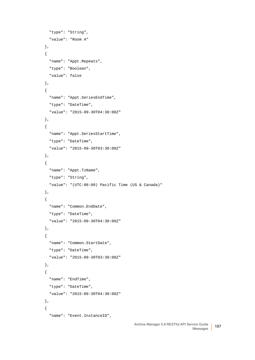```
 "type": "String",
   "value": "Room A"
 },
 {
   "name": "Appt.Repeats",
   "type": "Boolean",
   "value": false
 },
 {
   "name": "Appt.SeriesEndTime",
   "type": "DateTime",
   "value": "2015-09-30T04:30:00Z"
 },
 {
   "name": "Appt.SeriesStartTime",
   "type": "DateTime",
   "value": "2015-09-30T03:30:00Z"
 },
 {
   "name": "Appt.TzName",
   "type": "String",
   "value": "(UTC-08:00) Pacific Time (US & Canada)"
 },
 {
   "name": "Common.EndDate",
   "type": "DateTime",
   "value": "2015-09-30T04:30:00Z"
 },
 {
   "name": "Common.StartDate",
   "type": "DateTime",
   "value": "2015-09-30T03:30:00Z"
 },
 {
  "name": "EndTime",
   "type": "DateTime",
   "value": "2015-09-30T04:30:00Z"
 },
 {
   "name": "Event.InstanceID",
```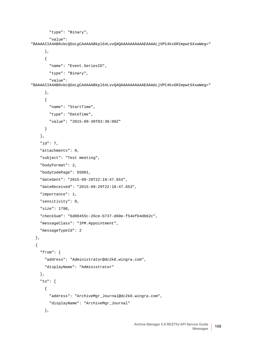```
 "type": "Binary",
         "value": 
"BAAAAIIA4AB0xbcQGoLgCAAAAABkpl64LvvQAQAAAAAAAAAAEAAAALjVPC4kvGRImpwt6XxwWeg="
       },
       {
         "name": "Event.SeriesID",
         "type": "Binary",
         "value": 
"BAAAAIIA4AB0xbcQGoLgCAAAAABkpl64LvvQAQAAAAAAAAAAEAAAALjVPC4kvGRImpwt6XxwWeg="
       },
       {
         "name": "StartTime",
         "type": "DateTime",
         "value": "2015-09-30T03:30:00Z"
       }
     ],
     "id": 7,
     "attachments": 0,
     "subject": "Test meeting",
     "bodyFormat": 2,
     "bodyCodePage": 65001,
     "dateSent": "2015-09-29T22:18:47.653",
     "dateReceived": "2015-09-29T22:18:47.653",
     "importance": 1,
     "sensitivity": 0,
     "size": 1798,
     "checkSum": "6d88455c-26ce-b737-d60e-f54efb4db62c",
     "messageClass": "IPM.Appointment",
     "messageTypeId": 2
   },
   {
     "from": {
       "address": "Administrator@dc2k8.wingra.com",
       "displayName": "Administrator"
     },
     "to": [
       {
         "address": "ArchiveMgr_Journal@dc2k8.wingra.com",
         "displayName": "ArchiveMgr_Journal"
       },
```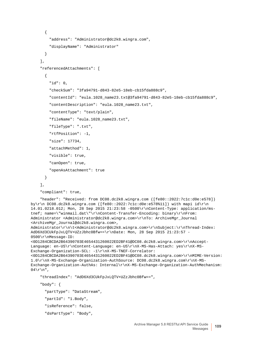```
 {
         "address": "Administrator@dc2k8.wingra.com",
         "displayName": "Administrator"
       }
     ],
     "referencedAttachments": [
       {
         "id": 0,
         "checkSum": "3fa94791-d843-82e5-18eb-cb15fda888c9",
         "contentId": "eula.1028_name23.txt@3fa94791-d843-82e5-18eb-cb15fda888c9",
         "contentDescription": "eula.1028_name23.txt",
         "contentType": "text/plain",
         "fileName": "eula.1028_name23.txt",
         "fileType": ".txt",
         "rtfPosition": -1,
         "size": 17734,
         "attachMethod": 1,
         "visible": true,
         "canOpen": true,
         "openAsAttachment": true
       }
     ],
     "compliant": true,
     "header": "Received: from DC08.dc2k8.wingra.com ([fe80::2022:7c1c:d0e:e578]) 
by\r\n DC08.dc2k8.wingra.com ([fe80::2022:7c1c:d0e:e578%11]) with mapi id\r\n 
14.01.0218.012; Mon, 28 Sep 2015 21:23:58 -0500\r\nContent-Type: application/ms-
tnef; name=\"winmail.dat\"\r\nContent-Transfer-Encoding: binary\r\nFrom: 
Administrator <Administrator@dc2k8.wingra.com>\r\nTo: ArchiveMgr_Journal 
<ArchiveMgr_Journal@dc2k8.wingra.com>, 
Administrator\r\n\t<Administrator@dc2k8.wingra.com>\r\nSubject:\r\nThread-Index: 
AdD6Xd3CUkFpJxLQTV+UZzJbhc0Bfw==\r\nDate: Mon, 28 Sep 2015 21:23:57 -
0500\r\nMessage-ID: 
<0D1284CBCDA2B64390703E4654431260022ED2BF41@DC08.dc2k8.wingra.com>\r\nAccept-
Language: en-US\r\nContent-Language: en-US\r\nX-MS-Has-Attach: yes\r\nX-MS-
Exchange-Organization-SCL: -1\r\nX-MS-TNEF-Correlator: 
<0D1284CBCDA2B64390703E4654431260022ED2BF41@DC08.dc2k8.wingra.com>\r\nMIME-Version: 
1.0\r\nX-MS-Exchange-Organization-AuthSource: DC08.dc2k8.wingra.com\r\nX-MS-
Exchange-Organization-AuthAs: Internal\r\nX-MS-Exchange-Organization-AuthMechanism: 
04\ \n\",
     "threadIndex": "AdD6Xd3CUkFpJxLQTV+UZzJbhc0Bfw==",
     "body": {
       "partType": "DataStream",
       "partId": "1.Body",
       "isReference": false,
       "dsPartType": "Body",
```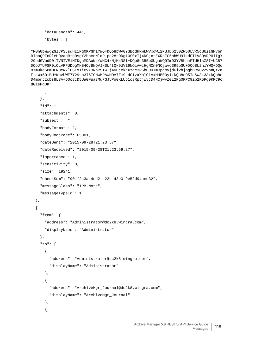```
 "dataLength": 441,
 "bytes": [
```
"PGh0bWwgZGlyPSJsdHIiPg0KPGhlYWQ+DQo8bWV0YSBodHRwLWVxdWl2PSJDb250ZW50LVR5cGUiIGNvbn RlbnQ9InRleHQvaHRtbDsgY2hhcnNldD1pc28tODg1OS0xIj4NCjxtZXRhIG5hbWU9IkdFTkVSQVRPUiIgY 29udGVudD0iTVNIVE1MIDguMDAuNzYwMC4xNjM4NSI+DQo8c3R5bGUgaWQ9Im93YVBhcmFTdHlsZSI+UCB7 DQoJTUFSR0lOLVRPUDogMHB4OyBNQVJHSU4tQk9UVE9NOiAwcHgNCn0NCjwvc3R5bGU+DQo8L2hlYWQ+DQo 8Ym9keSBmUFN0eWxlPSIxIiBvY3NpPSIwIj4NCjxkaXYgc3R5bGU9ImRpcmVjdGlvbjogbHRyO2ZvbnQtZm FtaWx5OiBUYWhvbWE7Y29sb3I6ICMwMDAwMDA7Zm9udC1zaXplOiAxMHB0OyI+DQo8cD5IaSw8L3A+DQo8c D4mbmJzcDs8L3A+DQo8cD5UaGFua3MuPGJyPg0KLUp1c3RpbjwvcD4NCjwvZGl2Pg0KPC9ib2R5Pg0KPC9o dG1sPg0K"

```
 ]
   },
   "id": 1,
   "attachments": 0,
   "subject": "",
   "bodyFormat": 2,
   "bodyCodePage": 65001,
   "dateSent": "2015-09-28T21:23:57",
   "dateReceived": "2015-09-28T21:23:59.27",
   "importance": 1,
   "sensitivity": 0,
   "size": 19241,
   "checkSum": "901f2a3a-4ed2-c22c-43e0-9e52d94aec32",
   "messageClass": "IPM.Note",
   "messageTypeId": 1
 },
 {
   "from": {
     "address": "Administrator@dc2k8.wingra.com",
     "displayName": "Administrator"
   },
   "to": [
     {
       "address": "Administrator@dc2k8.wingra.com",
       "displayName": "Administrator"
     },
     {
       "address": "ArchiveMgr_Journal@dc2k8.wingra.com",
       "displayName": "ArchiveMgr_Journal"
     },
     {
```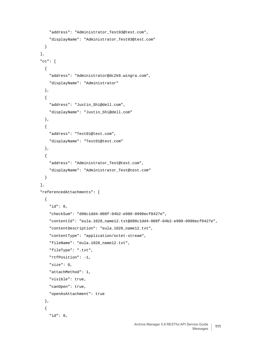```
 "address": "Administrator_Test03@test.com",
     "displayName": "Administrator_Test03@test.com"
  }
 ],
 "cc": [
   {
     "address": "Administrator@dc2k8.wingra.com",
     "displayName": "Administrator"
  },
   {
     "address": "Justin_Shi@dell.com",
     "displayName": "Justin_Shi@dell.com"
  },
   {
     "address": "Test01@test.com",
     "displayName": "Test01@test.com"
  },
   {
     "address": "Administrator_Test@test.com",
     "displayName": "Administrator_Test@test.com"
  }
 ],
 "referencedAttachments": [
   {
     "id": 0,
     "checkSum": "d98c1dd4-008f-04b2-e980-0998ecf8427e",
     "contentId": "eula.1028_name12.txt@d98c1dd4-008f-04b2-e980-0998ecf8427e",
     "contentDescription": "eula.1028_name12.txt",
     "contentType": "application/octet-stream",
     "fileName": "eula.1028_name12.txt",
     "fileType": ".txt",
     "rtfPosition": -1,
     "size": 0,
     "attachMethod": 1,
     "visible": true,
     "canOpen": true,
     "openAsAttachment": true
  },
   {
     "id": 0,
```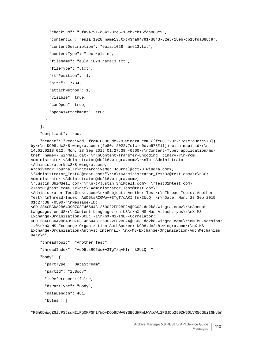```
 "checkSum": "3fa94791-d843-82e5-18eb-cb15fda888c9",
         "contentId": "eula.1028_name13.txt@3fa94791-d843-82e5-18eb-cb15fda888c9",
         "contentDescription": "eula.1028_name13.txt",
         "contentType": "text/plain",
         "fileName": "eula.1028_name13.txt",
         "fileType": ".txt",
         "rtfPosition": -1,
         "size": 17734,
         "attachMethod": 1,
         "visible": true,
         "canOpen": true,
         "openAsAttachment": true
       }
     ],
     "compliant": true,
     "header": "Received: from DC08.dc2k8.wingra.com ([fe80::2022:7c1c:d0e:e578]) 
by\r\n DC08.dc2k8.wingra.com ([fe80::2022:7c1c:d0e:e578%11]) with mapi id\r\n 
14.01.0218.012; Mon, 28 Sep 2015 01:27:39 -0500\r\nContent-Type: application/ms-
tnef; name=\"winmail.dat\"\r\nContent-Transfer-Encoding: binary\r\nFrom: 
Administrator <Administrator@dc2k8.wingra.com>\r\nTo: Administrator 
<Administrator@dc2k8.wingra.com>, 
ArchiveMgr_Journal\r\n\t<ArchiveMgr_Journal@dc2k8.wingra.com>, 
\"Administrator_Test03@test.com\"\r\n\t<Administrator_Test03@test.com>\r\nCC: 
Administrator <Administrator@dc2k8.wingra.com>, 
\"Justin_Shi@dell.com\"\r\n\t<Justin_Shi@dell.com>, \"Test01@test.com\" 
<Test01@test.com>,\r\n\t\"Administrator_Test@test.com\" 
<Administrator_Test@test.com>\r\nSubject: Another Test\r\nThread-Topic: Another 
Test\r\nThread-Index: AdD5tsRC6Wo++3TgT/qAKIrfnk2ULQ==\r\nDate: Mon, 28 Sep 2015 
01:27:38 -0500\r\nMessage-ID: 
<0D1284CBCDA2B64390703E4654431260022ED2BF2A@DC08.dc2k8.wingra.com>\r\nAccept-
Language: en-US\r\nContent-Language: en-US\r\nX-MS-Has-Attach: yes\r\nX-MS-
Exchange-Organization-SCL: -1\r\nX-MS-TNEF-Correlator: 
<0D1284CBCDA2B64390703E4654431260022ED2BF2A@DC08.dc2k8.wingra.com>\r\nMIME-Version: 
1.0\r\nX-MS-Exchange-Organization-AuthSource: DC08.dc2k8.wingra.com\r\nX-MS-
Exchange-Organization-AuthAs: Internal\r\nX-MS-Exchange-Organization-AuthMechanism: 
04\ \n\},
```

```
 "threadTopic": "Another Test",
```

```
 "threadIndex": "AdD5tsRC6Wo++3TgT/qAKIrfnk2ULQ==",
```

```
 "body": {
```
"partType": "DataStream",

```
 "partId": "1.Body",
```

```
 "isReference": false,
```

```
 "dsPartType": "Body",
```

```
 "dataLength": 481,
```
"bytes": [

"PGh0bWwgZGlyPSJsdHIiPg0KPGhlYWQ+DQo8bWV0YSBodHRwLWVxdWl2PSJDb250ZW50LVR5cGUiIGNvbn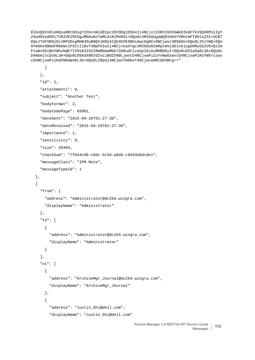RlbnQ9InRleHQvaHRtbDsgY2hhcnNldD1pc28tODg1OS0xIj4NCjxtZXRhIG5hbWU9IkdFTkVSQVRPUiIgY 29udGVudD0iTVNIVE1MIDguMDAuNzYwMC4xNjM4NSI+DQo8c3R5bGUgaWQ9Im93YVBhcmFTdHlsZSI+UCB7 DQoJTUFSR0lOLVRPUDogMHB4OyBNQVJHSU4tQk9UVE9NOiAwcHgNCn0NCjwvc3R5bGU+DQo8L2hlYWQ+DQo 8Ym9keSBmUFN0eWxlPSIxIiBvY3NpPSIwIj4NCjxkaXYgc3R5bGU9ImRpcmVjdGlvbjogbHRyO2ZvbnQtZm FtaWx5OiBUYWhvbWE7Y29sb3I6ICMwMDAwMDA7Zm9udC1zaXplOiAxMHB0OyI+DQo8cD5IaSw8L3A+DQo8c D4mbmJzcDs8L3A+DQo8cD5KdXN0IGZvciB0ZXN0LjwvcD4NCjxwPiZuYnNwOzwvcD4NCjxwPlRoYW5rczwv cD4NCjxwPi1KdXN0aW48L3A+DQo8L2Rpdj4NCjwvYm9keT4NCjwvaHRtbD4NCg=="

```
 ]
   },
   "id": 2,
   "attachments": 0,
   "subject": "Another Test",
   "bodyFormat": 2,
   "bodyCodePage": 65001,
   "dateSent": "2015-09-28T01:27:38",
   "dateReceived": "2015-09-28T01:27:39",
   "importance": 1,
   "sensitivity": 0,
   "size": 20484,
   "checkSum": "7f044c88-c8dc-5c50-a8dd-c84d3d6dcde1",
   "messageClass": "IPM.Note",
   "messageTypeId": 1
 },
 {
   "from": {
     "address": "Administrator@dc2k8.wingra.com",
     "displayName": "Administrator"
   },
   "to": [
     {
       "address": "Administrator@dc2k8.wingra.com",
       "displayName": "Administrator"
     }
   ],
   "cc": [
     {
       "address": "ArchiveMgr_Journal@dc2k8.wingra.com",
       "displayName": "ArchiveMgr_Journal"
     },
     {
       "address": "Justin_Shi@dell.com",
       "displayName": "Justin_Shi@dell.com"
```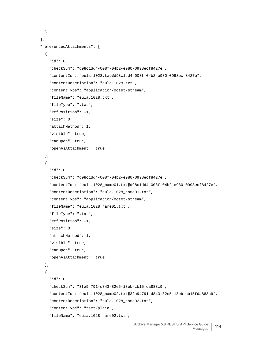```
 }
 ],
 "referencedAttachments": [
   {
     "id": 0,
     "checkSum": "d98c1dd4-008f-04b2-e980-0998ecf8427e",
     "contentId": "eula.1028.txt@d98c1dd4-008f-04b2-e980-0998ecf8427e",
     "contentDescription": "eula.1028.txt",
     "contentType": "application/octet-stream",
     "fileName": "eula.1028.txt",
     "fileType": ".txt",
     "rtfPosition": -1,
     "size": 0,
     "attachMethod": 1,
     "visible": true,
     "canOpen": true,
     "openAsAttachment": true
   },
   {
     "id": 0,
     "checkSum": "d98c1dd4-008f-04b2-e980-0998ecf8427e",
     "contentId": "eula.1028_name01.txt@d98c1dd4-008f-04b2-e980-0998ecf8427e",
     "contentDescription": "eula.1028_name01.txt",
     "contentType": "application/octet-stream",
     "fileName": "eula.1028_name01.txt",
     "fileType": ".txt",
     "rtfPosition": -1,
     "size": 0,
     "attachMethod": 1,
     "visible": true,
     "canOpen": true,
     "openAsAttachment": true
  },
   {
     "id": 0,
     "checkSum": "3fa94791-d843-82e5-18eb-cb15fda888c9",
     "contentId": "eula.1028_name02.txt@3fa94791-d843-82e5-18eb-cb15fda888c9",
     "contentDescription": "eula.1028_name02.txt",
     "contentType": "text/plain",
     "fileName": "eula.1028_name02.txt",
```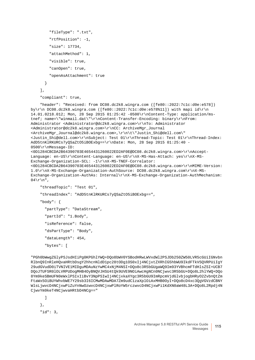```
 "fileType": ".txt",
     "rtfPosition": -1,
     "size": 17734,
     "attachMethod": 1,
     "visible": true,
     "canOpen": true,
     "openAsAttachment": true
   }
 ],
```

```
 "compliant": true,
```
 "header": "Received: from DC08.dc2k8.wingra.com ([fe80::2022:7c1c:d0e:e578]) by\r\n DC08.dc2k8.wingra.com ([fe80::2022:7c1c:d0e:e578%11]) with mapi id\r\n 14.01.0218.012; Mon, 28 Sep 2015 01:25:42 -0500\r\nContent-Type: application/mstnef; name=\"winmail.dat\"\r\nContent-Transfer-Encoding: binary\r\nFrom: Administrator <Administrator@dc2k8.wingra.com>\r\nTo: Administrator <Administrator@dc2k8.wingra.com>\r\nCC: ArchiveMgr\_Journal <ArchiveMgr\_Journal@dc2k8.wingra.com>,\r\n\t\"Justin\_Shi@dell.com\" <Justin\_Shi@dell.com>\r\nSubject: Test 01\r\nThread-Topic: Test 01\r\nThread-Index: AdD5tnKlRKURCs7yQSaZtO5iBOExbg==\r\nDate: Mon, 28 Sep 2015 01:25:40 - 0500\r\nMessage-ID: <0D1284CBCDA2B64390703E4654431260022ED2AF0E@DC08.dc2k8.wingra.com>\r\nAccept-Language: en-US\r\nContent-Language: en-US\r\nX-MS-Has-Attach: yes\r\nX-MS-Exchange-Organization-SCL: -1\r\nX-MS-TNEF-Correlator: <0D1284CBCDA2B64390703E4654431260022ED2AF0E@DC08.dc2k8.wingra.com>\r\nMIME-Version: 1.0\r\nX-MS-Exchange-Organization-AuthSource: DC08.dc2k8.wingra.com\r\nX-MS-Exchange-Organization-AuthAs: Internal\r\nX-MS-Exchange-Organization-AuthMechanism:  $04\$  \n\",

```
 "threadTopic": "Test 01",
```
"threadIndex": "AdD5tnKlRKURCs7yQSaZtO5iBOExbg==",

"body": {

```
 "partType": "DataStream",
```

```
 "partId": "1.Body",
```

```
 "isReference": false,
```

```
 "dsPartType": "Body",
```

```
 "dataLength": 454,
```

```
 "bytes": [
```
"PGh0bWwgZGlyPSJsdHIiPg0KPGhlYWQ+DQo8bWV0YSBodHRwLWVxdWl2PSJDb250ZW50LVR5cGUiIGNvbn RlbnQ9InRleHQvaHRtbDsgY2hhcnNldD1pc28tODg1OS0xIj4NCjxtZXRhIG5hbWU9IkdFTkVSQVRPUiIgY 29udGVudD0iTVNIVE1MIDguMDAuNzYwMC4xNjM4NSI+DQo8c3R5bGUgaWQ9Im93YVBhcmFTdHlsZSI+UCB7 DQoJTUFSR0lOLVRPUDogMHB4OyBNQVJHSU4tQk9UVE9NOiAwcHgNCn0NCjwvc3R5bGU+DQo8L2hlYWQ+DQo 8Ym9keSBmUFN0eWxlPSIxIiBvY3NpPSIwIj4NCjxkaXYgc3R5bGU9ImRpcmVjdGlvbjogbHRyO2ZvbnQtZm FtaWx5OiBUYWhvbWE7Y29sb3I6ICMwMDAwMDA7Zm9udC1zaXplOiAxMHB0OyI+DQo8cD4xc3QgVGVzdCBNY WlsLjwvcD4NCjxwPiZuYnNwOzwvcD4NCjxwPlRoYW5rczwvcD4NCjxwPi1KdXN0aW48L3A+DQo8L2Rpdj4N CjwvYm9keT4NCjwvaHRtbD4NCg=="

```
 ]
 },
 "id": 3,
```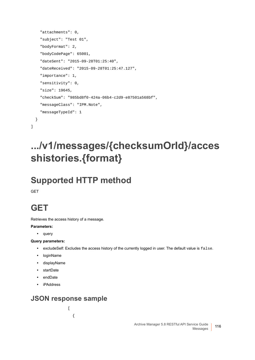```
 "attachments": 0,
   "subject": "Test 01",
   "bodyFormat": 2,
   "bodyCodePage": 65001,
   "dateSent": "2015-09-28T01:25:40",
   "dateReceived": "2015-09-28T01:25:47.127",
   "importance": 1,
   "sensitivity": 0,
   "size": 19645,
   "checkSum": "985bd8f0-424a-06b4-c2d9-e87501a568bf",
   "messageClass": "IPM.Note",
   "messageTypeId": 1
 }
```
### $\overline{1}$

# **.../v1/messages/{checksumOrId}/acces shistories.{format}**

## **Supported HTTP method**

GET

### **GET**

Retrieves the access history of a message.

#### **Parameters:**

**•** query

#### **Query parameters:**

- **•** excludeSelf: Excludes the access history of the currently logged in user. The default value is false.
- **•** loginName
- **•** displayName
- **•** startDate
- **•** endDate
- **•** iPAddress

### **JSON response sample**

 $\overline{[}$ 

{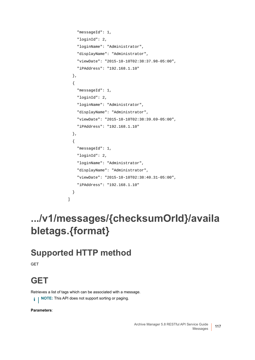```
 "messageId": 1,
     "loginId": 2,
     "loginName": "Administrator",
     "displayName": "Administrator",
     "viewDate": "2015-10-10T02:38:37.98-05:00",
     "iPAddress": "192.168.1.10"
   },
   {
     "messageId": 1,
     "loginId": 2,
     "loginName": "Administrator",
     "displayName": "Administrator",
     "viewDate": "2015-10-10T02:38:39.69-05:00",
     "iPAddress": "192.168.1.10"
  },
   {
     "messageId": 1,
     "loginId": 2,
     "loginName": "Administrator",
     "displayName": "Administrator",
     "viewDate": "2015-10-10T02:38:40.31-05:00",
     "iPAddress": "192.168.1.10"
   }
]
```
# **.../v1/messages/{checksumOrId}/availa bletags.{format}**

# **Supported HTTP method**

**GET** 

# **GET**

Retrieves a list of tags which can be associated with a message. **NOTE:** This API does not support sorting or paging. $\mathbf{i}$ 

**Parameters**: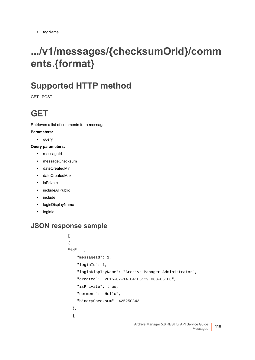# **.../v1/messages/{checksumOrId}/comm ents.{format}**

### **Supported HTTP method**

GET | POST

## **GET**

Retrieves a list of comments for a message.

#### **Parameters:**

**•** query

#### **Query parameters:**

- **•** messageId
- **•** messageChecksum
- **•** dateCreatedMin
- **•** dateCreatedMax
- **•** isPrivate
- **•** includeAllPublic
- **•** include
- **•** loginDisplayName
- **•** loginId

```
\Gamma{
"id": 1,
     "messageId": 1,
     "loginId": 1,
     "loginDisplayName": "Archive Manager Administrator",
     "created": "2015-07-14T04:06:29.063-05:00",
     "isPrivate": true,
     "comment": "Hello",
     "binaryChecksum": 425250843
   },
   {
```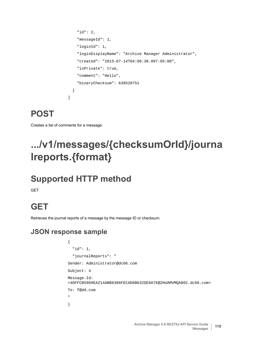```
 "id": 2,
     "messageId": 1,
     "loginId": 1,
     "loginDisplayName": "Archive Manager Administrator",
     "created": "2015-07-14T04:06:38.097-05:00",
     "isPrivate": true,
     "comment": "Hello",
     "binaryChecksum": 638520751
   }
\overline{1}
```
### **POST**

Creates a list of comments for a message.

# **.../v1/messages/{checksumOrId}/journa lreports.{format}**

# **Supported HTTP method**

**GET** 

# **GET**

Retrieves the journal reports of a message by the message ID or checksum.

```
{
   "id": 1,
   "journalReports": "
Sender: Administrator@dc66.com
Subject: 4
Message-Id: 
<4DFFCB5969EA214ABB8386FECAD6B632DE8A7E@ZHUAMVMQA002.dc66.com>
To: f@dd.com
"
}
```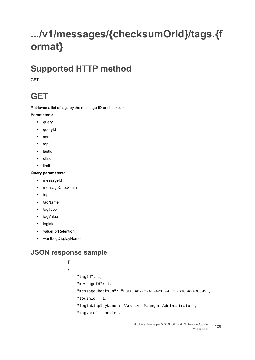# **.../v1/messages/{checksumOrId}/tags.{f ormat}**

### **Supported HTTP method**

**GFT** 

### **GET**

Retrieves a list of tags by the message ID or checksum.

#### **Parameters:**

- **•** query
- **•** queryId
- **•** sort
- **•** top
- **•** lastId
- **•** offset
- **•** limit

#### **Query parameters:**

- **•** messageId
- **•** messageChecksum
- **•** tagId
- **•** tagName
- **•** tagType
- **•** tagValue
- **•** loginId
- **•** valueForRetention
- **•** wantLogDisplayName

```
\lbrack{
     "tagId": 1,
     "messageId": 1,
     "messageChecksum": "E3C0FAB2-2241-421E-AFC1-B08BA24B6595",
     "loginId": 1,
     "loginDisplayName": "Archive Manager Administrator",
     "tagName": "Movie",
```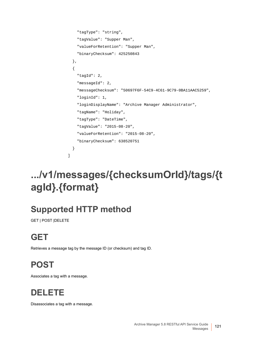```
 "tagType": "string",
     "tagValue": "Supper Man",
     "valueForRetention": "Supper Man",
     "binaryChecksum": 425250843
  },
   {
     "tagId": 2,
     "messageId": 2,
     "messageChecksum": "50697F6F-54C9-4C61-9C79-0BA11AAC5259",
     "loginId": 1,
     "loginDisplayName": "Archive Manager Administrator",
     "tagName": "Holiday",
     "tagType": "DateTime",
     "tagValue": "2015-08-20",
     "valueForRetention": "2015-08-20",
     "binaryChecksum": 638520751
  }
]
```
# **.../v1/messages/{checksumOrId}/tags/{t agId}.{format}**

# **Supported HTTP method**

GET | POST |DELETE

# **GET**

Retrieves a message tag by the message ID (or checksum) and tag ID.

# **POST**

Associates a tag with a message.

# **DELETE**

Disassociates a tag with a message.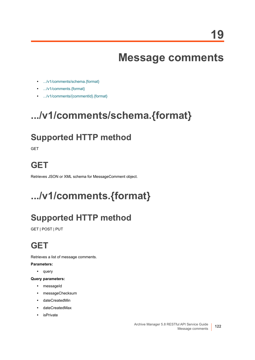# **Message comments**

- **•** [.../v1/comments/schema.{format}](#page-121-1)
- **•** [.../v1/comments.{format}](#page-121-0)
- **•** [.../v1/comments/{commentId}.{format}](#page-122-0)

# <span id="page-121-1"></span>**.../v1/comments/schema.{format}**

### **Supported HTTP method**

**GET** 

### **GET**

Retrieves JSON or XML schema for MessageComment object.

# <span id="page-121-0"></span>**.../v1/comments.{format}**

# **Supported HTTP method**

GET | POST | PUT

# **GET**

Retrieves a list of message comments.

**Parameters:**

**•** query

**Query parameters:**

- **•** messageId
- **•** messageChecksum
- **•** dateCreatedMin
- **•** dateCreatedMax
- **•** isPrivate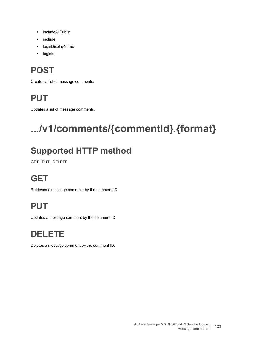- **•** includeAllPublic
- **•** include
- **•** loginDisplayName
- **•** loginId

# **POST**

Creates a list of message comments.

## **PUT**

Updates a list of message comments.

# <span id="page-122-0"></span>**.../v1/comments/{commentId}.{format}**

# **Supported HTTP method**

GET | PUT | DELETE

# **GET**

Retrieves a message comment by the comment ID.

# **PUT**

Updates a message comment by the comment ID.

# **DELETE**

Deletes a message comment by the comment ID.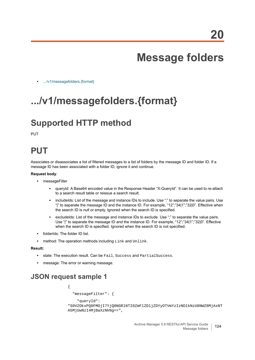# **Message folders**

**•** [.../v1/messagefolders.{format}](#page-123-0)

# <span id="page-123-0"></span>**.../v1/messagefolders.{format}**

### **Supported HTTP method**

PUT

### **PUT**

Associates or disassociates a list of filtered messages to a list of folders by the message ID and folder ID. If a message ID has been associated with a folder ID, ignore it and continue.

#### **Request body**:

- **•** messageFilter
	- **▪** queryId: A Base64 encoded value in the Response Header "X-QueryId". It can be used to re-attach to a search result table or reissue a search result.
	- **▪** includeIds: List of the message and instance IDs to include. Use ";" to separate the value pairs. Use "|" to separate the message ID and the instance ID. For example, "12";"34|1";"32|0". Effective when the search ID is null or empty. Ignored when the search ID is specified.
	- excludeIds: List of the message and instance IDs to exclude. Use ";" to separate the value pairs. Use "|" to separate the message ID and the instance ID. For example, "12";"34|1";"32|0". Effective when the search ID is specified. Ignored when the search ID is not specified.
- **•** folderIds: The folder ID list.
- **•** method: The operation methods including Link and Unlink.

#### **Result:**

- **•** state: The execution result. Can be Fail, Success and PartialSuccess.
- **•** message: The error or warning message.

### **JSON request sample 1**

```
{
   "messageFilter": {
     "queryId": 
"S0VZOkxPQ0FMOjI7YjQ0NGRlNTI0ZmFlZDljZDYyOTVmYzIzNDlkNzU0NWZ8MjAxNT
A5MjUwNzI4MjBaXzNkNg==",
```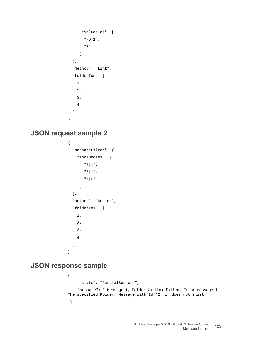```
 "excludeIds": [
         "76|1",
         "3"
       ]
   },
   "method": "Link", 
   "folderIds": [
     1,
     2,
     3,
     4
   ]
}
```
### **JSON request sample 2**

```
{
   "messageFilter": {
     "includeIds": [
         "5|1",
         "6|1",
         "7|0"
      ]
   },
   "method": "UnLink",
   "folderIds": [
     1,
     2,
     3,
     4
   ]
}
```

```
{
      "state": "PartialSuccess",
     "message": "(Message 1, Folder 2) link failed. Error message is: 
The specified Folder, Message with Id '2, 1' does not exist."
  }
```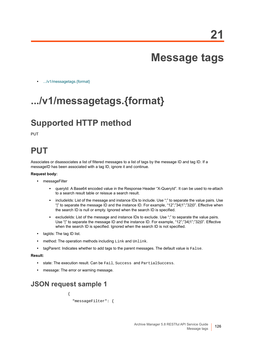# **Message tags**

**•** [.../v1/messagetags.{format}](#page-125-0)

# <span id="page-125-0"></span>**.../v1/messagetags.{format}**

### **Supported HTTP method**

PUT

### **PUT**

Associates or disassociates a list of filtered messages to a list of tags by the message ID and tag ID. If a messageID has been associated with a tag ID, ignore it and continue.

#### **Request body:**

- **•** messageFilter
	- **▪** queryId: A Base64 encoded value in the Response Header "X-QueryId". It can be used to re-attach to a search result table or reissue a search result.
	- **▪** includeIds: List of the message and instance IDs to include. Use ";" to separate the value pairs. Use "|" to separate the message ID and the instance ID. For example, "12";"34|1";"32|0". Effective when the search ID is null or empty. Ignored when the search ID is specified.
	- **■** excludeIds: List of the message and instance IDs to exclude. Use ";" to separate the value pairs. Use "|" to separate the message ID and the instance ID. For example, "12";"34|1";"32|0". Effective when the search ID is specified. Ignored when the search ID is not specified.
- **•** tagIds: The tag ID list.
- **•** method: The operation methods including Link and Unlink.
- **•** tagParent: Indicates whether to add tags to the parent messages. The default value is False.

#### **Result:**

- **•** state: The execution result. Can be Fail, Success and PartialSuccess.
- **•** message: The error or warning message.

### **JSON request sample 1**

```
{
   "messageFilter": {
```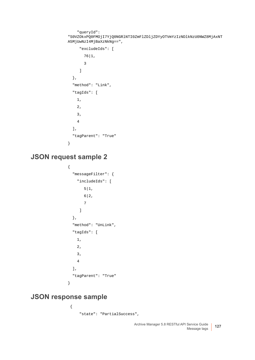```
 "queryId": 
"S0VZOkxPQ0FMOjI7YjQ0NGRlNTI0ZmFlZDljZDYyOTVmYzIzNDlkNzU0NWZ8MjAxNT
A5MjUwNzI4MjBaXzNkNg==",
      "excludeIds": [
        76|1,
        3
      ]
   },
   "method": "Link",
   "tagIds": [
     1,
     2,
     3,
     4
   ],
   "tagParent": "True"
}
```
### **JSON request sample 2**

```
{
   "messageFilter": {
     "includeIds": [
        5|1, 6|2,
         7
      ]
   },
   "method": "UnLink",
   "tagIds": [
     1,
     2,
     3,
     4
   ],
   "tagParent": "True"
}
```

```
 {
     "state": "PartialSuccess",
```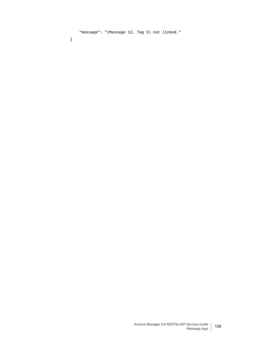"message": "(Message 12, Tag 5) not linked."

}

Archive Manager 5.8 RESTful API Service Guide Message tags **<sup>128</sup>**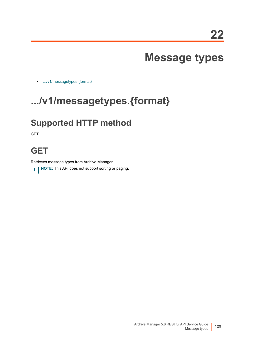# **Message types**

**•** [.../v1/messagetypes.{format}](#page-128-0)

# <span id="page-128-0"></span>**.../v1/messagetypes.{format}**

### **Supported HTTP method**

GET

### **GET**

Retrieves message types from Archive Manager.

**i** | NOTE: This API does not support sorting or paging.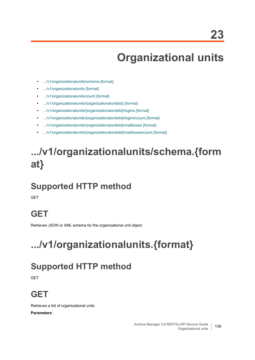# **Organizational units**

- **•** [.../v1/organizationalunits/schema.{format}](#page-129-1)
- **•** [.../v1/organizationalunits.{format}](#page-129-0)
- **•** [.../v1/organizationalunits/count.{format}](#page-130-0)
- **•** [.../v1/organizationalunits/{organizationalunitsId}.{format}](#page-130-2)
- **•** [.../v1/organizationalunits/{organizationalunitsId}/logins.{format}](#page-130-1)
- **•** [.../v1/organizationalunits/{organizationalunitsId}/logins/count.{format}](#page-131-0)
- **•** [.../v1/organizationalunits/{organizationalunitsId}/mailboxes.{format}](#page-132-0)
- **•** [.../v1/organizationalunits/{organizationalunitsId}/mailboxes/count.{format}](#page-133-0)

# <span id="page-129-1"></span>**.../v1/organizationalunits/schema.{form at}**

### **Supported HTTP method**

**GET** 

### **GET**

Retrieves JSON or XML schema for the organizational unit object.

# <span id="page-129-0"></span>**.../v1/organizationalunits.{format}**

### **Supported HTTP method**

**GET** 

### **GET**

Retrieves a list of organizational units. **Parameters**:

> Archive Manager 5.8 RESTful API Service Guide Organizational units **130**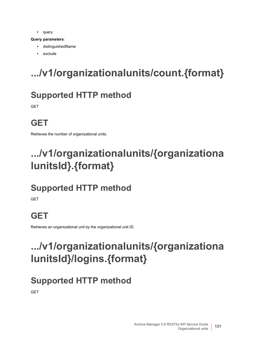**•** query

#### **Query parameters**:

- **•** distinguishedName
- **•** exclude

# <span id="page-130-0"></span>**.../v1/organizationalunits/count.{format}**

## **Supported HTTP method**

**GFT** 

# **GET**

Retrieves the number of organizational units.

# <span id="page-130-2"></span>**.../v1/organizationalunits/{organizationa lunitsId}.{format}**

# **Supported HTTP method**

**GET** 

# **GET**

Retrieves an organizational unit by the organizational unit ID.

# <span id="page-130-1"></span>**.../v1/organizationalunits/{organizationa lunitsId}/logins.{format}**

### **Supported HTTP method**

**GET**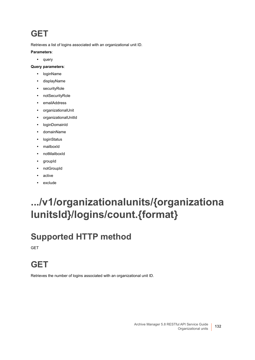### **GET**

Retrieves a list of logins associated with an organizational unit ID.

#### **Parameters**:

**•** query

#### **Query parameters**:

- **•** loginName
- **•** displayName
- **•** securityRole
- **•** notSecurityRole
- **•** emailAddress
- **•** organizationalUnit
- **•** organizationalUnitId
- **•** loginDomainId
- **•** domainName
- **•** loginStatus
- **•** mailboxId
- **•** notMailboxId
- **•** groupId
- **•** notGroupId
- **•** active
- **•** exclude

# <span id="page-131-0"></span>**.../v1/organizationalunits/{organizationa lunitsId}/logins/count.{format}**

### **Supported HTTP method**

**GET** 

### **GET**

Retrieves the number of logins associated with an organizational unit ID.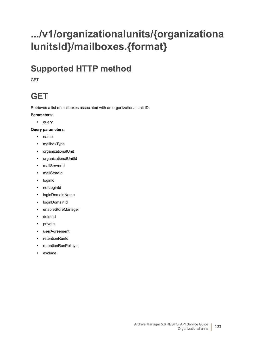# <span id="page-132-0"></span>**.../v1/organizationalunits/{organizationa lunitsId}/mailboxes.{format}**

### **Supported HTTP method**

**GFT** 

# **GET**

Retrieves a list of mailboxes associated with an organizational unit ID.

#### **Parameters**:

**•** query

#### **Query parameters**:

- **•** name
- **•** mailboxType
- **•** organizationalUnit
- **•** organizationalUnitId
- **•** mailServerId
- **•** mailStoreId
- **•** loginId
- **•** notLoginId
- **•** loginDomainName
- **•** loginDomainId
- **•** enableStoreManager
- **•** deleted
- **•** private
- **•** userAgreement
- **•** retentionRunId
- **•** retentionRunPolicyId
- **•** exclude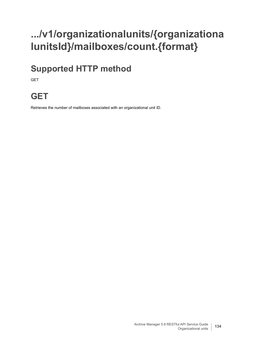# <span id="page-133-0"></span>**.../v1/organizationalunits/{organizationa lunitsId}/mailboxes/count.{format}**

## **Supported HTTP method**

GET

### **GET**

Retrieves the number of mailboxes associated with an organizational unit ID.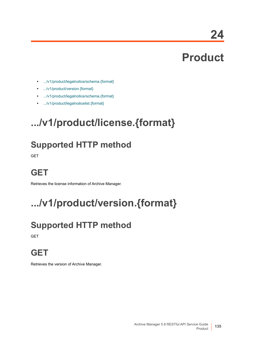**24**

# **Product**

- **•** [.../v1/product/legalnotice/schema.{format}](#page-135-0)
- **•** [.../v1/product/version.{format}](#page-134-0)
- **•** [.../v1/product/legalnotice/schema.{format}](#page-135-0)
- **•** [.../v1/product/legalnoticelist.{format}](#page-135-1)

# **.../v1/product/license.{format}**

# **Supported HTTP method**

GET

### **GET**

Retrieves the license information of Archive Manager.

# <span id="page-134-0"></span>**.../v1/product/version.{format}**

# **Supported HTTP method**

**GET** 

### **GET**

Retrieves the version of Archive Manager.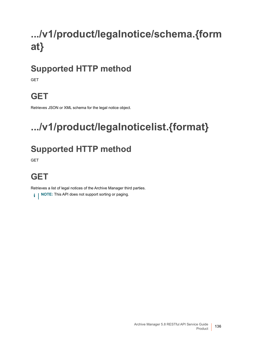# <span id="page-135-0"></span>**.../v1/product/legalnotice/schema.{form at}**

## **Supported HTTP method**

**GET** 

# **GET**

Retrieves JSON or XML schema for the legal notice object.

# <span id="page-135-1"></span>**.../v1/product/legalnoticelist.{format}**

# **Supported HTTP method**

**GET** 

# **GET**

Retrieves a list of legal notices of the Archive Manager third parties.

**i** | NOTE: This API does not support sorting or paging.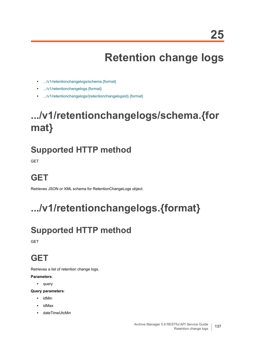# **Retention change logs**

- **•** [.../v1/retentionchangelogs/schema.{format}](#page-136-0)
- **•** [.../v1/retentionchangelogs.{format}](#page-136-1)
- **•** [.../v1/retentionchangelogs/{retentionchangelogsId}.{format}](#page-137-0)

# <span id="page-136-0"></span>**.../v1/retentionchangelogs/schema.{for mat}**

### **Supported HTTP method**

**GET** 

# **GET**

Retrieves JSON or XML schema for RetentionChangeLogs object.

# <span id="page-136-1"></span>**.../v1/retentionchangelogs.{format}**

# **Supported HTTP method**

**GET** 

# **GET**

Retrieves a list of retention change logs.

#### **Parameters**:

- **•** query
- **Query parameters**:
	- **•** idMin
	- **•** idMax
	- **•** dateTimeUtcMin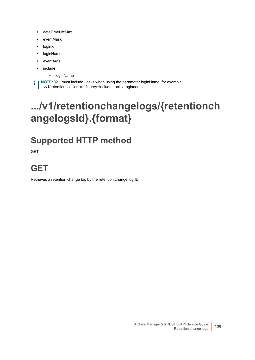- **•** dateTimeUtcMax
- **•** eventMask
- **•** loginId
- **•** loginName
- **•** eventArgs
- **•** include
	- **▪** loginName

**NOTE:** You must include Locks when using the parameter loginName, for example: f. .../v1/retentionpolicies.xml?query=include:Locks|Loginname

# <span id="page-137-0"></span>**.../v1/retentionchangelogs/{retentionch angelogsId}.{format}**

# **Supported HTTP method**

GET

## **GET**

Retrieves a retention change log by the retention change log ID.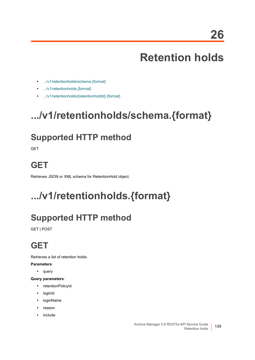# **Retention holds**

- **•** [.../v1/retentionholds/schema.{format}](#page-138-1)
- **•** [.../v1/retentionholds.{format}](#page-138-0)
- **•** [.../v1/retentionholds/{retentionholdId}.{format}](#page-139-0)

# <span id="page-138-1"></span>**.../v1/retentionholds/schema.{format}**

### **Supported HTTP method**

**GET** 

### **GET**

Retrieves JSON or XML schema for RetentionHold object.

# <span id="page-138-0"></span>**.../v1/retentionholds.{format}**

# **Supported HTTP method**

GET | POST

# **GET**

Retrieves a list of retention holds.

**Parameters**:

**•** query

**Query parameters**:

- **•** retentionPolicyId
- **•** loginId
- **•** loginName
- **•** reason
- **•** include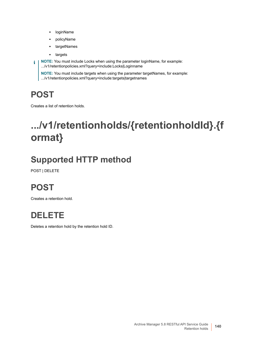- **▪** loginName
- **▪** policyName
- **▪** targetNames
- **▪** targets

**i** | NOTE: You must include Locks when using the parameter loginName, for example: .../v1/retentionpolicies.xml?query=include:Locks|Loginname

**NOTE:** You must include targets when using the parameter targetNames, for example: .../v1/retentionpolicies.xml?query=include:targets|targetnames

### **POST**

Creates a list of retention holds.

# <span id="page-139-0"></span>**.../v1/retentionholds/{retentionholdId}.{f ormat}**

# **Supported HTTP method**

POST | DELETE

### **POST**

Creates a retention hold.



Deletes a retention hold by the retention hold ID.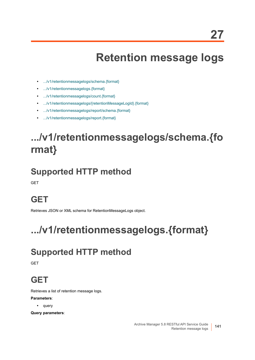# **Retention message logs**

- **•** [.../v1/retentionmessagelogs/schema.{format}](#page-140-1)
- **•** [.../v1/retentionmessagelogs.{format}](#page-140-0)
- **•** [.../v1/retentionmessagelogs/count.{format}](#page-141-0)
- **•** [.../v1/retentionmessagelogs/{retentionMessageLogId}.{format}](#page-141-1)
- **•** [.../v1/retentionmessagelogs/report/schema.{format}](#page-142-1)
- **•** [.../v1/retentionmessagelogs/report.{format}](#page-142-0)

# <span id="page-140-1"></span>**.../v1/retentionmessagelogs/schema.{fo rmat}**

### **Supported HTTP method**

**GET** 

# **GET**

Retrieves JSON or XML schema for RetentionMessageLogs object.

# <span id="page-140-0"></span>**.../v1/retentionmessagelogs.{format}**

### **Supported HTTP method**

GET

### **GET**

Retrieves a list of retention message logs.

#### **Parameters**:

**•** query

**Query parameters**: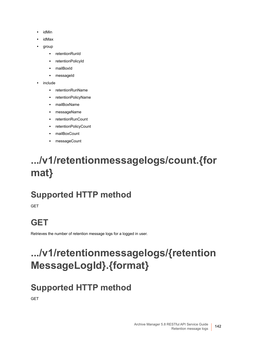- **•** idMin
- **•** idMax
- **•** group
	- **▪** retentionRunId
	- **▪** retentionPolicyId
	- **▪** mailBoxId
	- messageId
- **•** include
	- **▪** retentionRunName
	- **▪** retentionPolicyName
	- **▪** mailBoxName
	- **▪** messageName
	- **▪** retentionRunCount
	- **▪** retentionPolicyCount
	- **▪** mailBoxCount
	- **▪** messageCount

# <span id="page-141-0"></span>**.../v1/retentionmessagelogs/count.{for mat}**

# **Supported HTTP method**

**GET** 

# **GET**

Retrieves the number of retention message logs for a logged in user.

# <span id="page-141-1"></span>**.../v1/retentionmessagelogs/{retention MessageLogId}.{format}**

### **Supported HTTP method**

**GFT**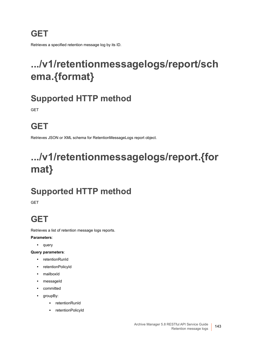### **GET**

Retrieves a specified retention message log by its ID.

# <span id="page-142-1"></span>**.../v1/retentionmessagelogs/report/sch ema.{format}**

### **Supported HTTP method**

**GET** 

# **GET**

Retrieves JSON or XML schema for RetentionMessageLogs report object.

# <span id="page-142-0"></span>**.../v1/retentionmessagelogs/report.{for mat}**

# **Supported HTTP method**

**GET** 

### **GET**

Retrieves a list of retention message logs reports.

#### **Parameters**:

**•** query

#### **Query parameters**:

- **•** retentionRunId
- **•** retentionPolicyId
- **•** mailboxId
- **•** messageId
- **•** committed
- **•** groupBy:
	- **▪** retentionRunId
	- **▪** retentionPolicyId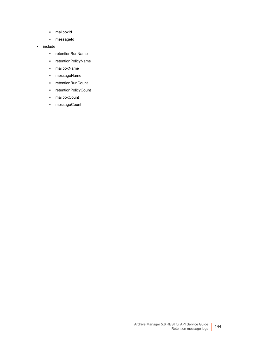- **▪** mailboxId
- **▪** messageId
- **•** include
	- **▪** retentionRunName
	- **▪** retentionPolicyName
	- **▪** mailboxName
	- **▪** messageName
	- **▪** retentionRunCount
	- **▪** retentionPolicyCount
	- **▪** mailboxCount
	- **▪** messageCount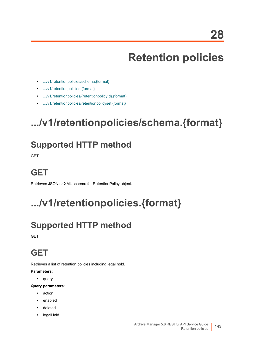# **Retention policies**

- **•** [.../v1/retentionpolicies/schema.{format}](#page-144-0)
- **•** [.../v1/retentionpolicies.{format}](#page-144-1)
- **•** [.../v1/retentionpolicies/{retentionpolicyId}.{format}](#page-145-1)
- **•** [.../v1/retentionpolicies/retentionpolicyset.{format}](#page-145-0)

# <span id="page-144-0"></span>**.../v1/retentionpolicies/schema.{format}**

#### **Supported HTTP method**

GET

#### **GET**

Retrieves JSON or XML schema for RetentionPolicy object.

# <span id="page-144-1"></span>**.../v1/retentionpolicies.{format}**

## **Supported HTTP method**

**GET** 

#### **GET**

Retrieves a list of retention policies including legal hold.

#### **Parameters**:

**•** query

- **•** action
- **•** enabled
- **•** deleted
- **•** legalHold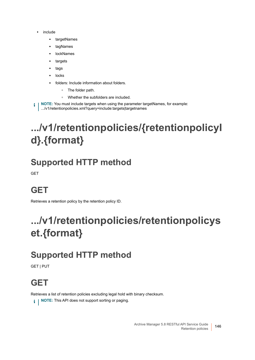- **•** include
	- **▪** targetNames
	- **▪** tagNames
	- **▪** lockNames
	- **▪** targets
	- **▪** tags
	- **▪** locks
	- **▪** folders: Include information about folders.
		- **▫** The folder path.
		- **▫** Whether the subfolders are included.
- **NOTE:** You must include targets when using the parameter targetNames, for example: f. .../v1/retentionpolicies.xml?query=include:targets|targetnames

# <span id="page-145-1"></span>**.../v1/retentionpolicies/{retentionpolicyI d}.{format}**

#### **Supported HTTP method**

GET

## **GET**

Retrieves a retention policy by the retention policy ID.

# <span id="page-145-0"></span>**.../v1/retentionpolicies/retentionpolicys et.{format}**

### **Supported HTTP method**

GET | PUT

## **GET**

Retrieves a list of retention policies excluding legal hold with binary checksum.

**i** | NOTE: This API does not support sorting or paging.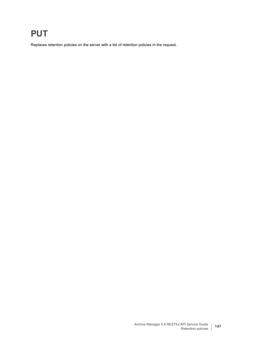#### **PUT**

Replaces retention policies on the server with a list of retention policies in the request.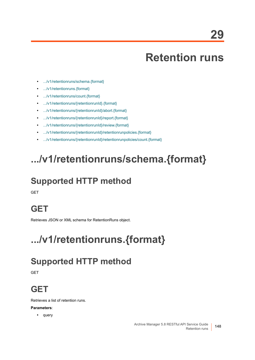## **Retention runs**

- **•** [.../v1/retentionruns/schema.{format}](#page-147-0)
- **•** [.../v1/retentionruns.{format}](#page-147-1)
- **•** [.../v1/retentionruns/count.{format}](#page-148-1)
- **•** [.../v1/retentionruns/{retentionrunId}.{format}](#page-148-0)
- **•** [.../v1/retentionruns/{retentionrunId}/abort.{format}](#page-149-0)
- **•** [.../v1/retentionruns/{retentionrunId}/report.{format}](#page-149-1)
- **•** [.../v1/retentionruns/{retentionrunId}/review.{format}](#page-150-0)
- **•** [.../v1/retentionruns/{retentionrunId}/retentionrunpolicies.{format}](#page-150-1)
- **•** [.../v1/retentionruns/{retentionrunId}/retentionrunpolicies/count.{format}](#page-151-0)

# <span id="page-147-0"></span>**.../v1/retentionruns/schema.{format}**

## **Supported HTTP method**

**GFT** 

#### **GET**

Retrieves JSON or XML schema for RetentionRuns object.

# <span id="page-147-1"></span>**.../v1/retentionruns.{format}**

#### **Supported HTTP method**

**GET** 

### **GET**

Retrieves a list of retention runs.

#### **Parameters**:

**•** query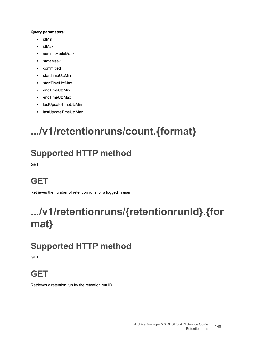#### **Query parameters**:

- **•** idMin
- **•** idMax
- **•** commitModeMask
- **•** stateMask
- **•** committed
- **•** startTimeUtcMin
- **•** startTimeUtcMax
- **•** endTimeUtcMin
- **•** endTimeUtcMax
- **•** lastUpdateTimeUtcMin
- **•** lastUpdateTimeUtcMax

# <span id="page-148-1"></span>**.../v1/retentionruns/count.{format}**

#### **Supported HTTP method**

GET

## **GET**

Retrieves the number of retention runs for a logged in user.

# <span id="page-148-0"></span>**.../v1/retentionruns/{retentionrunId}.{for mat}**

### **Supported HTTP method**

**GET** 

### **GET**

Retrieves a retention run by the retention run ID.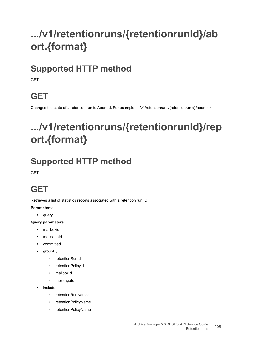# <span id="page-149-0"></span>**.../v1/retentionruns/{retentionrunId}/ab ort.{format}**

### **Supported HTTP method**

**GFT** 

## **GET**

Changes the state of a retention run to Aborted. For example, .../v1/retentionruns/{retentionrunId}/abort.xml

# <span id="page-149-1"></span>**.../v1/retentionruns/{retentionrunId}/rep ort.{format}**

## **Supported HTTP method**

**GET** 

## **GET**

Retrieves a list of statistics reports associated with a retention run ID.

#### **Parameters**:

**•** query

- **•** mailboxid:
- **•** messageId
- **•** committed
- **•** groupBy
	- **▪** retentionRunId:
	- **▪** retentionPolicyId
	- **▪** mailboxId
	- **▪** messageId
- **•** include:
	- **▪** retentionRunName:
	- **▪** retentionPolicyName
	- **▪** retentionPolicyName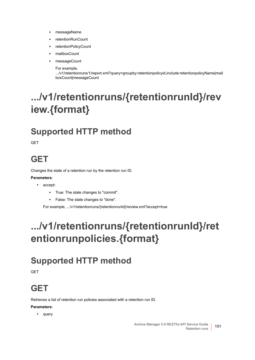- **▪** messageName
- **▪** retentionRunCount
- **▪** retentionPolicyCount
- **▪** mailboxCount
- **▪** messageCount
	- For example,

.../v1/retentionruns/1/report.xml?query=groupby:retentionpolicyid,include:retentionpolicyName|mail boxCount|messageCount

# <span id="page-150-0"></span>**.../v1/retentionruns/{retentionrunId}/rev iew.{format}**

### **Supported HTTP method**

**GFT** 

#### **GET**

Changes the state of a retention run by the retention run ID.

#### **Parameters**:

- **•** accept:
	- **▪** True: The state changes to "commit".
	- **▪** False: The state changes to "done".

For example, .../v1/retentionruns/{retentionrunId}/review.xml?accept=true

## <span id="page-150-1"></span>**.../v1/retentionruns/{retentionrunId}/ret entionrunpolicies.{format}**

### **Supported HTTP method**

**GFT** 

#### **GET**

Retrieves a list of retention run policies associated with a retention run ID.

#### **Parameters**:

**•** query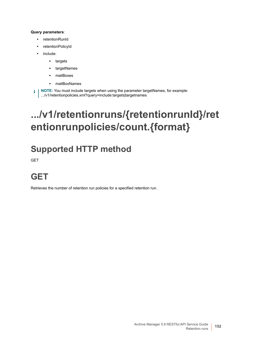#### **Query parameters**:

- **•** retentionRunId
- **•** retentionPolicyId
- **•** include:
	- **▪** targets
	- **▪** targetNames
	- **▪** mailBoxes
	- **▪** mailBoxNames

**i** | NOTE: You must include targets when using the parameter targetNames, for example: .../v1/retentionpolicies.xml?query=include:targets|targetnames

## <span id="page-151-0"></span>**.../v1/retentionruns/{retentionrunId}/ret entionrunpolicies/count.{format}**

### **Supported HTTP method**

**GET** 

## **GET**

Retrieves the number of retention run policies for a specified retention run.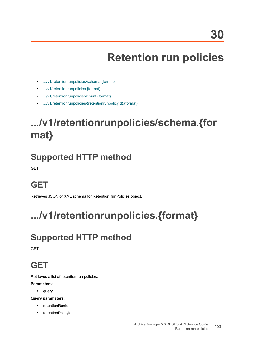# **Retention run policies**

- **•** [.../v1/retentionrunpolicies/schema.{format}](#page-152-0)
- **•** [.../v1/retentionrunpolicies.{format}](#page-152-1)
- **•** [.../v1/retentionrunpolicies/count.{format}](#page-153-0)
- **•** [.../v1/retentionrunpolicies/{retentionrunpolicyId}.{format}](#page-153-1)

# <span id="page-152-0"></span>**.../v1/retentionrunpolicies/schema.{for mat}**

#### **Supported HTTP method**

**GET** 

## **GET**

Retrieves JSON or XML schema for RetentionRunPolicies object.

# <span id="page-152-1"></span>**.../v1/retentionrunpolicies.{format}**

## **Supported HTTP method**

**GET** 

#### **GET**

Retrieves a list of retention run policies.

#### **Parameters**:

**•** query

- **•** retentionRunId
- **•** retentionPolicyId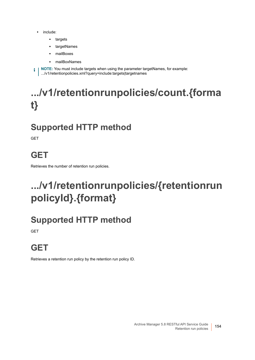- **•** include:
	- **▪** targets
	- **▪** targetNames
	- **▪** mailBoxes
	- **▪** mailBoxNames

**i** | NOTE: You must include targets when using the parameter targetNames, for example: .../v1/retentionpolicies.xml?query=include:targets|targetnames

# <span id="page-153-0"></span>**.../v1/retentionrunpolicies/count.{forma t}**

### **Supported HTTP method**

GET

## **GET**

Retrieves the number of retention run policies.

# <span id="page-153-1"></span>**.../v1/retentionrunpolicies/{retentionrun policyId}.{format}**

### **Supported HTTP method**

**GET** 

## **GET**

Retrieves a retention run policy by the retention run policy ID.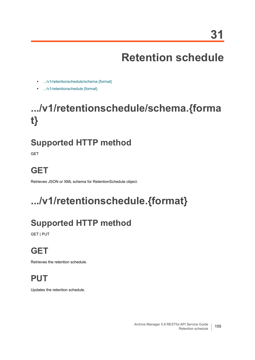# **Retention schedule**

- **•** [.../v1/retentionschedule/schema.{format}](#page-154-1)
- **•** [.../v1/retentionschedule.{format}](#page-154-0)

# <span id="page-154-1"></span>**.../v1/retentionschedule/schema.{forma t}**

## **Supported HTTP method**

**GET** 

## **GET**

Retrieves JSON or XML schema for RetentionSchedule object.

# <span id="page-154-0"></span>**.../v1/retentionschedule.{format}**

## **Supported HTTP method**

GET | PUT

## **GET**

Retrieves the retention schedule.

## **PUT**

Updates the retention schedule.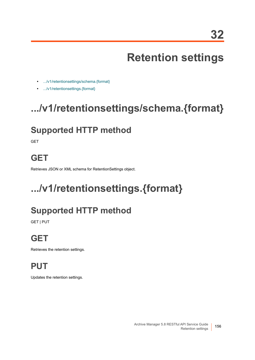# **Retention settings**

- **•** [.../v1/retentionsettings/schema.{format}](#page-155-1)
- **•** [.../v1/retentionsettings.{format}](#page-155-0)

# <span id="page-155-1"></span>**.../v1/retentionsettings/schema.{format}**

## **Supported HTTP method**

**GET** 

### **GET**

Retrieves JSON or XML schema for RetentionSettings object.

# <span id="page-155-0"></span>**.../v1/retentionsettings.{format}**

## **Supported HTTP method**

GET | PUT

## **GET**

Retrieves the retention settings.

## **PUT**

Updates the retention settings.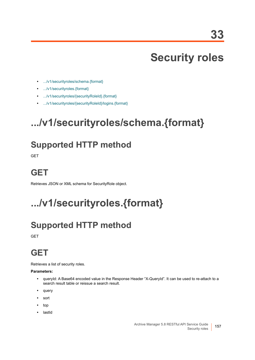# **Security roles**

- **•** [.../v1/securityroles/schema.{format}](#page-156-1)
- **•** [.../v1/securityroles.{format}](#page-156-0)
- **•** [.../v1/securityroles/{securityRoleId}.{format}](#page-157-0)
- **•** [.../v1/securityroles/{securityRoleId}/logins.{format}](#page-157-1)

# <span id="page-156-1"></span>**.../v1/securityroles/schema.{format}**

#### **Supported HTTP method**

GET

#### **GET**

Retrieves JSON or XML schema for SecurityRole object.

# <span id="page-156-0"></span>**.../v1/securityroles.{format}**

## **Supported HTTP method**

**GET** 

#### **GET**

Retrieves a list of security roles.

#### **Parameters:**

- **•** queryId: A Base64 encoded value in the Response Header "X-QueryId". It can be used to re-attach to a search result table or reissue a search result.
- **•** query
- **•** sort
- **•** top
- **•** lastId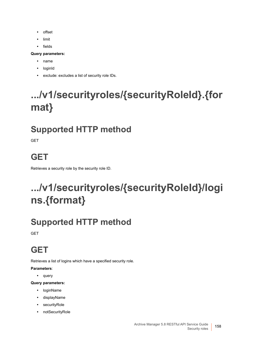- **•** offset
- **•** limit
- **•** fields

#### **Query parameters:**

- **•** name
- **•** loginId
- **•** exclude: excludes a list of security role IDs.

# <span id="page-157-0"></span>**.../v1/securityroles/{securityRoleId}.{for mat}**

## **Supported HTTP method**

**GET** 

### **GET**

Retrieves a security role by the security role ID.

# <span id="page-157-1"></span>**.../v1/securityroles/{securityRoleId}/logi ns.{format}**

### **Supported HTTP method**

GET

## **GET**

Retrieves a list of logins which have a specified security role.

**Parameters**:

**•** query

- **•** loginName
- **•** displayName
- **•** securityRole
- **•** notSecurityRole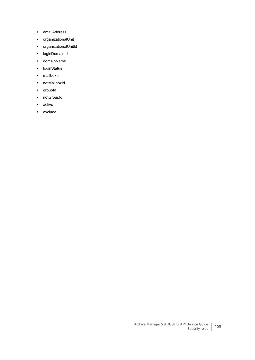- **•** emailAddress
- **•** organizationalUnit
- **•** organizationalUnitId
- **•** loginDomainId
- **•** domainName
- **•** loginStatus
- **•** mailboxId
- **•** notMailboxId
- **•** groupId
- **•** notGroupId
- **•** active
- **•** exclude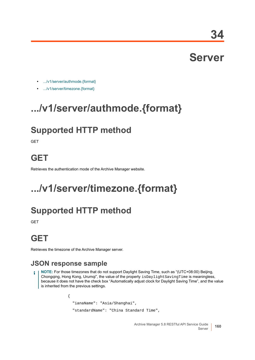**34**

# **Server**

- **•** [.../v1/server/authmode.{format}](#page-159-1)
- **•** [.../v1/server/timezone.{format}](#page-159-0)

## <span id="page-159-1"></span>**.../v1/server/authmode.{format}**

### **Supported HTTP method**

**GFT** 

#### **GET**

Retrieves the authentication mode of the Archive Manager website.

# <span id="page-159-0"></span>**.../v1/server/timezone.{format}**

### **Supported HTTP method**

**GET** 

## **GET**

Retrieves the timezone of the Archive Manager server.

#### **JSON response sample**

**NOTE:** For those timezones that do not support Daylight Saving Time, such as "(UTC+08:00) Beijing, Chongqing, Hong Kong, Urumqi", the value of the property isDaylightSavingTime is meaningless, because it does not have the check box "Automatically adjust clock for Daylight Saving Time", and the value is inherited from the previous settings.

```
{
  "ianaName": "Asia/Shanghai",
  "standardName": "China Standard Time",
```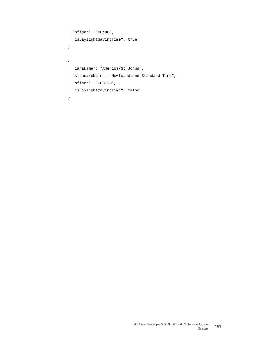```
 "offset": "08:00",
   "isDaylightSavingTime": true
}
{
   "ianaName": "America/St_Johns",
   "standardName": "Newfoundland Standard Time",
  "offset": "-03:30",
  "isDaylightSavingTime": false
}
```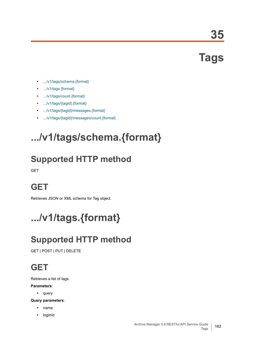**Tags**

- **•** [.../v1/tags/schema.{format}](#page-161-0)
- **•** [.../v1/tags.{format}](#page-161-1)
- **•** [.../v1/tags/count.{format}](#page-162-0)
- **•** [.../v1/tags/{tagId}.{format}](#page-162-1)
- **•** [.../v1/tags/{tagId}/messages.{format}](#page-163-0)
- **•** [.../v1/tags/{tagId}/messages/count.{format}](#page-163-1)

# <span id="page-161-0"></span>**.../v1/tags/schema.{format}**

## **Supported HTTP method**

GET

### **GET**

Retrieves JSON or XML schema for Tag object.

# <span id="page-161-1"></span>**.../v1/tags.{format}**

## **Supported HTTP method**

GET | POST | PUT | DELETE

## **GET**

Retrieves a list of tags.

#### **Parameters**:

**•** query

- **•** name
- **•** loginId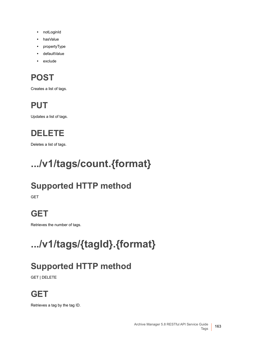- **•** notLoginId
- **•** hasValue
- **•** propertyType
- **•** defaultValue
- **•** exclude

## **POST**

Creates a list of tags.

## **PUT**

Updates a list of tags.

## **DELETE**

Deletes a list of tags.

# <span id="page-162-0"></span>**.../v1/tags/count.{format}**

## **Supported HTTP method**

**GET** 

## **GET**

Retrieves the number of tags.

# <span id="page-162-1"></span>**.../v1/tags/{tagId}.{format}**

## **Supported HTTP method**

GET | DELETE

## **GET**

Retrieves a tag by the tag ID.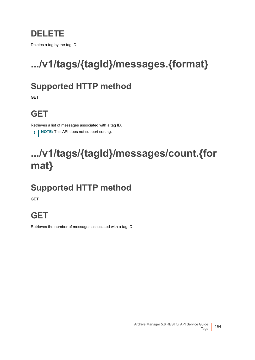#### **DELETE**

Deletes a tag by the tag ID.

# <span id="page-163-0"></span>**.../v1/tags/{tagId}/messages.{format}**

#### **Supported HTTP method**

**GET** 

## **GET**

Retrieves a list of messages associated with a tag ID.

**i** | NOTE: This API does not support sorting.

# <span id="page-163-1"></span>**.../v1/tags/{tagId}/messages/count.{for mat}**

## **Supported HTTP method**

GET

## **GET**

Retrieves the number of messages associated with a tag ID.